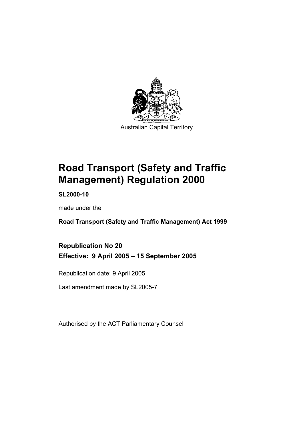

**Road Transport (Safety and Traffic Management) Regulation 2000** 

**SL2000-10** 

made under the

**Road Transport (Safety and Traffic Management) Act 1999** 

**Republication No 20 Effective: 9 April 2005 – 15 September 2005** 

Republication date: 9 April 2005

Last amendment made by SL2005-7

Authorised by the ACT Parliamentary Counsel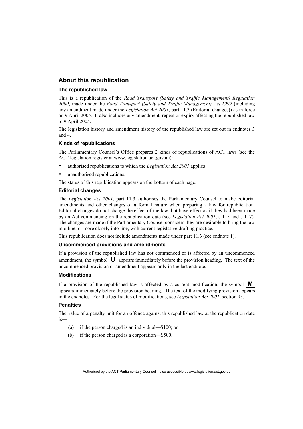#### **About this republication**

#### **The republished law**

This is a republication of the *Road Transport (Safety and Traffic Management) Regulation 2000*, made under the *Road Transport (Safety and Traffic Management) Act 1999* (including any amendment made under the *Legislation Act 2001*, part 11.3 (Editorial changes)) as in force on 9 April 2005*.* It also includes any amendment, repeal or expiry affecting the republished law to 9 April 2005.

The legislation history and amendment history of the republished law are set out in endnotes 3 and 4.

#### **Kinds of republications**

The Parliamentary Counsel's Office prepares 2 kinds of republications of ACT laws (see the ACT legislation register at www.legislation.act.gov.au):

- authorised republications to which the *Legislation Act 2001* applies
- unauthorised republications.

The status of this republication appears on the bottom of each page.

#### **Editorial changes**

The *Legislation Act 2001*, part 11.3 authorises the Parliamentary Counsel to make editorial amendments and other changes of a formal nature when preparing a law for republication. Editorial changes do not change the effect of the law, but have effect as if they had been made by an Act commencing on the republication date (see *Legislation Act 2001*, s 115 and s 117). The changes are made if the Parliamentary Counsel considers they are desirable to bring the law into line, or more closely into line, with current legislative drafting practice.

This republication does not include amendments made under part 11.3 (see endnote 1).

#### **Uncommenced provisions and amendments**

If a provision of the republished law has not commenced or is affected by an uncommenced amendment, the symbol  $\mathbf{U}$  appears immediately before the provision heading. The text of the uncommenced provision or amendment appears only in the last endnote.

#### **Modifications**

If a provision of the republished law is affected by a current modification, the symbol  $\mathbf{M}$ appears immediately before the provision heading. The text of the modifying provision appears in the endnotes. For the legal status of modifications, see *Legislation Act 2001*, section 95.

#### **Penalties**

The value of a penalty unit for an offence against this republished law at the republication date is—

- (a) if the person charged is an individual—\$100; or
- (b) if the person charged is a corporation—\$500.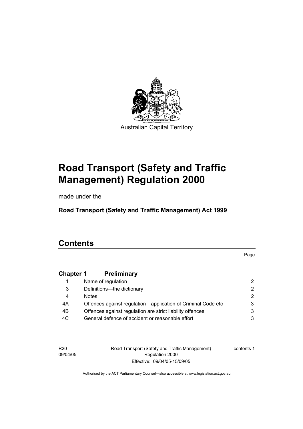

# **Road Transport (Safety and Traffic Management) Regulation 2000**

made under the

**Road Transport (Safety and Traffic Management) Act 1999** 

# **Contents**

Page

# **Chapter 1 Preliminary**

|     | Name of regulation                                           |   |
|-----|--------------------------------------------------------------|---|
| 3   | Definitions--- the dictionary                                | 2 |
| 4   | <b>Notes</b>                                                 |   |
| 4A  | Offences against regulation—application of Criminal Code etc |   |
| 4B  | Offences against regulation are strict liability offences    |   |
| 4C. | General defence of accident or reasonable effort             |   |

R20 09/04/05 Road Transport (Safety and Traffic Management) Regulation 2000 Effective: 09/04/05-15/09/05

contents 1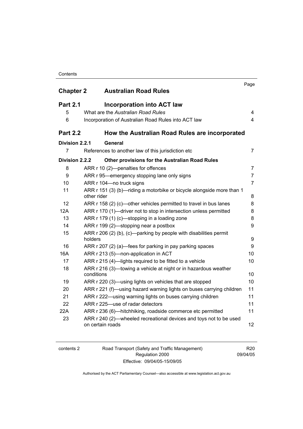#### **Contents**

|                  | <b>Australian Road Rules</b>                                                           | Page           |
|------------------|----------------------------------------------------------------------------------------|----------------|
| <b>Chapter 2</b> |                                                                                        |                |
| <b>Part 2.1</b>  | <b>Incorporation into ACT law</b>                                                      |                |
| 5                | What are the Australian Road Rules                                                     | 4              |
| 6                | Incorporation of Australian Road Rules into ACT law                                    | $\overline{4}$ |
| <b>Part 2.2</b>  | How the Australian Road Rules are incorporated                                         |                |
| Division 2.2.1   | General                                                                                |                |
| $\overline{7}$   | References to another law of this jurisdiction etc                                     | $\overline{7}$ |
| Division 2.2.2   | <b>Other provisions for the Australian Road Rules</b>                                  |                |
| 8                | ARR r 10 (2)-penalties for offences                                                    | $\overline{7}$ |
| 9                | ARR r 95—emergency stopping lane only signs                                            | $\overline{7}$ |
| 10               | ARR r 104-no truck signs                                                               | $\overline{7}$ |
| 11               | ARR r 151 (3) (b)—riding a motorbike or bicycle alongside more than 1<br>other rider   | 8              |
| 12               | ARR r 158 (2) (c)—other vehicles permitted to travel in bus lanes                      | 8              |
| 12A              | ARR r 170 (1)—driver not to stop in intersection unless permitted                      | 8              |
| 13               | ARR r 179 (1) (c)-stopping in a loading zone                                           | 8              |
| 14               | ARR r 199 (2)—stopping near a postbox                                                  | 9              |
| 15               | ARR r 206 (2) (b), (c)—parking by people with disabilities permit<br>holders           | 9              |
| 16               | ARR r 207 (2) (a)—fees for parking in pay parking spaces                               | 9              |
| 16A              | ARR r 213 (5)-non-application in ACT                                                   | 10             |
| 17               | ARR r 215 (4)-lights required to be fitted to a vehicle                                | 10             |
| 18               | ARR r 216 (3)—towing a vehicle at night or in hazardous weather<br>conditions          | 10             |
| 19               | ARR r 220 (3)—using lights on vehicles that are stopped                                | 10             |
| 20               | ARR r 221 (f)—using hazard warning lights on buses carrying children                   | 11             |
| 21               | ARR r 222—using warning lights on buses carrying children                              | 11             |
| 22               | ARR r 225-use of radar detectors                                                       | 11             |
| 22A              | ARR r 236 (6)—hitchhiking, roadside commerce etc permitted                             | 11             |
| 23               | ARR r 240 (2)—wheeled recreational devices and toys not to be used<br>on certain roads | 12             |

| contents: |  |
|-----------|--|
|           |  |

contents 2 Road Transport (Safety and Traffic Management) Regulation 2000 Effective: 09/04/05-15/09/05

R20 09/04/05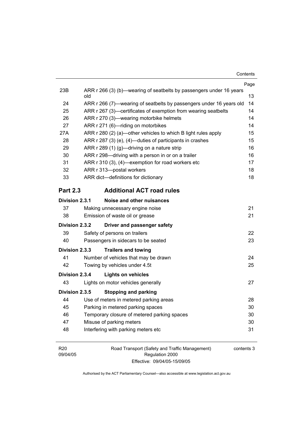|                 |                                                                            | Page |
|-----------------|----------------------------------------------------------------------------|------|
| 23B             | ARR r 266 (3) (b)—wearing of seatbelts by passengers under 16 years<br>old | 13   |
| 24              | ARR r 266 (7)—wearing of seatbelts by passengers under 16 years old        | 14   |
| 25              | ARR r 267 (3)-certificates of exemption from wearing seatbelts             | 14   |
| 26              | ARR r 270 (3)—wearing motorbike helmets                                    | 14   |
| 27              | ARR r 271 (6)-riding on motorbikes                                         | 14   |
| 27A             | ARR r 280 (2) (a)-other vehicles to which B light rules apply              | 15   |
| 28              | ARR r 287 (3) (e), (4)—duties of participants in crashes                   | 15   |
| 29              | ARR r 289 (1) (g)—driving on a nature strip                                | 16   |
| 30              | ARR r 298—driving with a person in or on a trailer                         | 16   |
| 31              | ARR r 310 (3), (4)-exemption for road workers etc                          | 17   |
| 32              | ARR r 313-postal workers                                                   | 18   |
| 33              | ARR dict-definitions for dictionary                                        | 18   |
| <b>Part 2.3</b> | <b>Additional ACT road rules</b>                                           |      |
| Division 2.3.1  | Noise and other nuisances                                                  |      |
| 37              | Making unnecessary engine noise                                            | 21   |
| 38              | Emission of waste oil or grease                                            | 21   |
| Division 2.3.2  | Driver and passenger safety                                                |      |
| 39              | Safety of persons on trailers                                              | 22   |
| 40              | Passengers in sidecars to be seated                                        | 23   |
| Division 2.3.3  | <b>Trailers and towing</b>                                                 |      |
| 41              | Number of vehicles that may be drawn                                       | 24   |
| 42              | Towing by vehicles under 4.5t                                              | 25   |
| Division 2.3.4  | <b>Lights on vehicles</b>                                                  |      |
| 43              | Lights on motor vehicles generally                                         | 27   |
| Division 2.3.5  | <b>Stopping and parking</b>                                                |      |
| 44              | Use of meters in metered parking areas                                     | 28   |
| 45              | Parking in metered parking spaces                                          | 30   |
| 46              | Temporary closure of metered parking spaces                                | 30   |
| 47              | Misuse of parking meters                                                   | 30   |
| 48              | Interfering with parking meters etc                                        | 31   |
|                 |                                                                            |      |

R20 09/04/05 Road Transport (Safety and Traffic Management) Regulation 2000 Effective: 09/04/05-15/09/05

contents 3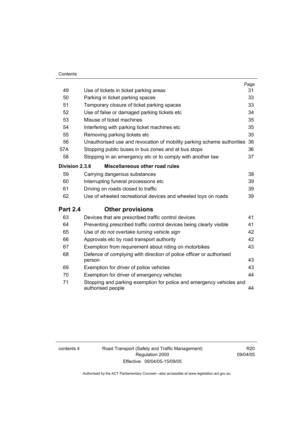#### **Contents**

|                 |                                                                                           | Page |
|-----------------|-------------------------------------------------------------------------------------------|------|
| 49              | Use of tickets in ticket parking areas                                                    | 31   |
| 50              | Parking in ticket parking spaces                                                          | 33   |
| 51              | Temporary closure of ticket parking spaces                                                | 33   |
| 52              | Use of false or damaged parking tickets etc                                               | 34   |
| 53              | Misuse of ticket machines                                                                 | 35   |
| 54              | Interfering with parking ticket machines etc                                              | 35   |
| 55              | Removing parking tickets etc                                                              | 35   |
| 56              | Unauthorised use and revocation of mobility parking scheme authorities 36                 |      |
| 57A             | Stopping public buses in bus zones and at bus stops                                       | 36   |
| 58              | Stopping in an emergency etc or to comply with another law                                | 37   |
| Division 2.3.6  | Miscellaneous other road rules                                                            |      |
| 59              | Carrying dangerous substances                                                             | 38   |
| 60              | Interrupting funeral processions etc                                                      | 39   |
| 61              | Driving on roads closed to traffic                                                        | 39   |
| 62              | Use of wheeled recreational devices and wheeled toys on roads                             | 39   |
| <b>Part 2.4</b> | <b>Other provisions</b>                                                                   |      |
| 63              | Devices that are prescribed traffic control devices                                       | 41   |
| 64              | Preventing prescribed traffic control devices being clearly visible                       | 41   |
| 65              | Use of do not overtake turning vehicle sign                                               | 42   |
| 66              | Approvals etc by road transport authority                                                 | 42   |
| 67              | Exemption from requirement about riding on motorbikes                                     | 43   |
| 68              | Defence of complying with direction of police officer or authorised<br>person             | 43   |
| 69              | Exemption for driver of police vehicles                                                   | 43   |
| 70              | Exemption for driver of emergency vehicles                                                | 44   |
| 71              | Stopping and parking exemption for police and emergency vehicles and<br>authorised people | 44   |

contents 4 Road Transport (Safety and Traffic Management) Regulation 2000 Effective: 09/04/05-15/09/05

R20 09/04/05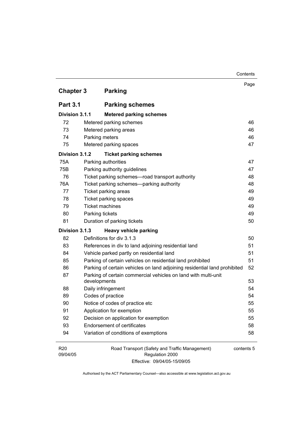|                             |                                                                                | Contents   |
|-----------------------------|--------------------------------------------------------------------------------|------------|
|                             |                                                                                | Page       |
| <b>Chapter 3</b>            | <b>Parking</b>                                                                 |            |
| <b>Part 3.1</b>             | <b>Parking schemes</b>                                                         |            |
| Division 3.1.1              | <b>Metered parking schemes</b>                                                 |            |
| 72                          | Metered parking schemes                                                        | 46         |
| 73                          | Metered parking areas                                                          | 46         |
| 74                          | Parking meters                                                                 | 46         |
| 75                          | Metered parking spaces                                                         | 47         |
| Division 3.1.2              | <b>Ticket parking schemes</b>                                                  |            |
| 75A                         | Parking authorities                                                            | 47         |
| 75B                         | Parking authority guidelines                                                   | 47         |
| 76                          | Ticket parking schemes-road transport authority                                | 48         |
| 76A                         | Ticket parking schemes-parking authority                                       | 48         |
| 77                          | Ticket parking areas                                                           | 49         |
| 78                          | Ticket parking spaces                                                          | 49         |
| 79                          | <b>Ticket machines</b>                                                         | 49         |
| 80                          | Parking tickets                                                                | 49         |
| 81                          | Duration of parking tickets                                                    | 50         |
| Division 3.1.3              | <b>Heavy vehicle parking</b>                                                   |            |
| 82                          | Definitions for div 3.1.3                                                      | 50         |
| 83                          | References in div to land adjoining residential land                           | 51         |
| 84                          | Vehicle parked partly on residential land                                      | 51         |
| 85                          | Parking of certain vehicles on residential land prohibited                     | 51         |
| 86                          | Parking of certain vehicles on land adjoining residential land prohibited      | 52         |
| 87                          | Parking of certain commercial vehicles on land with multi-unit<br>developments | 53         |
| 88                          | Daily infringement                                                             | 54         |
| 89                          | Codes of practice                                                              | 54         |
| 90                          | Notice of codes of practice etc                                                | 55         |
| 91                          | Application for exemption                                                      | 55         |
| 92                          | Decision on application for exemption                                          | 55         |
| 93                          | <b>Endorsement of certificates</b>                                             | 58         |
| 94                          | Variation of conditions of exemptions                                          | 58         |
| R <sub>20</sub><br>09/04/05 | Road Transport (Safety and Traffic Management)<br>Regulation 2000              | contents 5 |

Regulation 2000 Effective: 09/04/05-15/09/05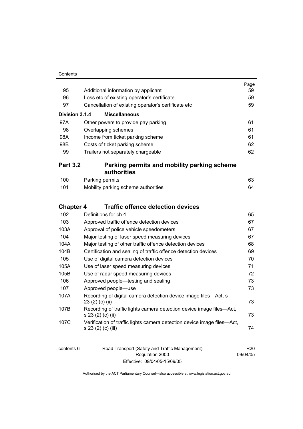| Contents |
|----------|
|          |

|                  |                                                                                               | Page |
|------------------|-----------------------------------------------------------------------------------------------|------|
| 95               | Additional information by applicant                                                           | 59   |
| 96               | Loss etc of existing operator's certificate                                                   | 59   |
| 97               | Cancellation of existing operator's certificate etc                                           | 59   |
| Division 3.1.4   | <b>Miscellaneous</b>                                                                          |      |
| 97A              | Other powers to provide pay parking                                                           | 61   |
| 98               | Overlapping schemes                                                                           | 61   |
| 98A              | Income from ticket parking scheme                                                             | 61   |
| 98B              | Costs of ticket parking scheme                                                                | 62   |
| 99               | Trailers not separately chargeable                                                            | 62   |
| <b>Part 3.2</b>  | Parking permits and mobility parking scheme<br>authorities                                    |      |
| 100              | Parking permits                                                                               | 63   |
| 101              | Mobility parking scheme authorities                                                           | 64   |
| <b>Chapter 4</b> | <b>Traffic offence detection devices</b>                                                      |      |
| 102              | Definitions for ch 4                                                                          | 65   |
| 103              | Approved traffic offence detection devices                                                    | 67   |
| 103A             | Approval of police vehicle speedometers                                                       | 67   |
| 104              | Major testing of laser speed measuring devices                                                | 67   |
| 104A             | Major testing of other traffic offence detection devices                                      | 68   |
| 104B             | Certification and sealing of traffic offence detection devices                                | 69   |
| 105              | Use of digital camera detection devices                                                       | 70   |
| 105A             | Use of laser speed measuring devices                                                          | 71   |
| 105B             | Use of radar speed measuring devices                                                          | 72   |
| 106              | Approved people—testing and sealing                                                           | 73   |
| 107              | Approved people-use                                                                           | 73   |
| 107A             | Recording of digital camera detection device image files-Act, s<br>23 (2) (c) (ii)            | 73   |
| 107B             | Recording of traffic lights camera detection device image files-Act,<br>s 23 (2) (c) (ii)     | 73   |
| 107C             | Verification of traffic lights camera detection device image files—Act,<br>s 23 (2) (c) (iii) | 74   |
|                  |                                                                                               |      |

6 Road Transport (Safety and Traffic Management) Regulation 2000 Effective: 09/04/05-15/09/05

R20 09/04/05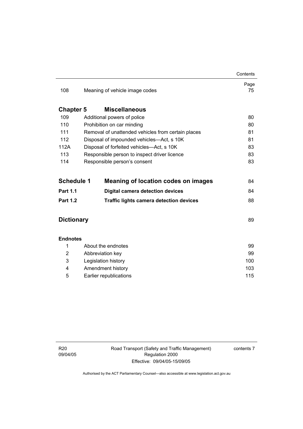|                   |                                                    | Contents   |
|-------------------|----------------------------------------------------|------------|
| 108               | Meaning of vehicle image codes                     | Page<br>75 |
| <b>Chapter 5</b>  | <b>Miscellaneous</b>                               |            |
| 109               | Additional powers of police                        | 80         |
| 110               | Prohibition on car minding                         | 80         |
| 111               | Removal of unattended vehicles from certain places | 81         |
| 112               | Disposal of impounded vehicles-Act, s 10K          | 81         |
| 112A              | Disposal of forfeited vehicles—Act, s 10K          | 83         |
| 113               | Responsible person to inspect driver licence       | 83         |
| 114               | Responsible person's consent                       | 83         |
| <b>Schedule 1</b> | <b>Meaning of location codes on images</b>         | 84         |
| <b>Part 1.1</b>   | <b>Digital camera detection devices</b>            | 84         |
| <b>Part 1.2</b>   | <b>Traffic lights camera detection devices</b>     | 88         |
| <b>Dictionary</b> |                                                    | 89         |
| <b>Endnotes</b>   |                                                    |            |
| 1                 | About the endnotes                                 | 99         |
| 2                 | Abbreviation key                                   | 99         |
| 3                 | Legislation history                                | 100        |
| 4                 | Amendment history                                  |            |
| 5                 | Earlier republications                             | 115        |

 $\overline{a}$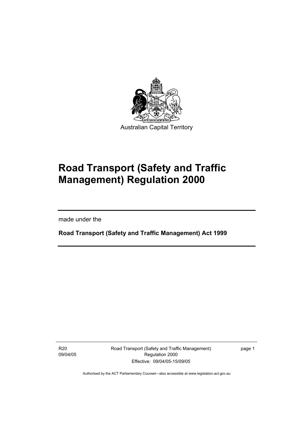

# **Road Transport (Safety and Traffic Management) Regulation 2000**

made under the

I

**Road Transport (Safety and Traffic Management) Act 1999** 

R20 09/04/05 Road Transport (Safety and Traffic Management) Regulation 2000 Effective: 09/04/05-15/09/05

page 1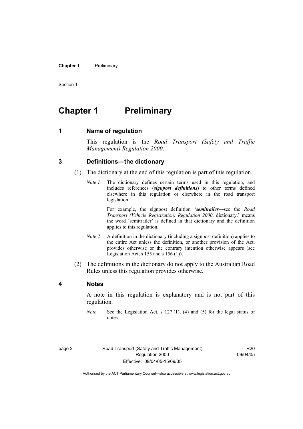#### **Chapter 1** Preliminary

Section 1

# **Chapter 1** Preliminary

**1 Name of regulation** 

This regulation is the *Road Transport (Safety and Traffic Management) Regulation 2000*.

#### **3 Definitions—the dictionary**

- (1) The dictionary at the end of this regulation is part of this regulation.
	- *Note 1* The dictionary defines certain terms used in this regulation, and includes references (*signpost definitions*) to other terms defined elsewhere in this regulation or elsewhere in the road transport legislation.

 For example, the signpost definition '*semitrailer*—see the *Road Transport (Vehicle Registration) Regulation 2000*, dictionary.' means the word 'semitrailer' is defined in that dictionary and the definition applies to this regulation.

- *Note 2* A definition in the dictionary (including a signpost definition) applies to the entire Act unless the definition, or another provision of the Act, provides otherwise or the contrary intention otherwise appears (see Legislation Act, s  $155$  and s  $156$  (1)).
- (2) The definitions in the dictionary do not apply to the Australian Road Rules unless this regulation provides otherwise.

#### **4 Notes**

A note in this regulation is explanatory and is not part of this regulation.

*Note* See the Legislation Act, s 127 (1), (4) and (5) for the legal status of notes.

R20 09/04/05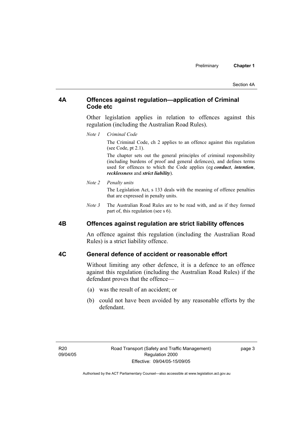#### **4A Offences against regulation—application of Criminal Code etc**

Other legislation applies in relation to offences against this regulation (including the Australian Road Rules).

*Note 1 Criminal Code*

The Criminal Code, ch 2 applies to an offence against this regulation (see Code, pt 2.1).

The chapter sets out the general principles of criminal responsibility (including burdens of proof and general defences), and defines terms used for offences to which the Code applies (eg *conduct*, *intention*, *recklessness* and *strict liability*).

#### *Note 2 Penalty units*

The Legislation Act, s 133 deals with the meaning of offence penalties that are expressed in penalty units.

*Note 3* The Australian Road Rules are to be read with, and as if they formed part of, this regulation (see s 6).

#### **4B Offences against regulation are strict liability offences**

An offence against this regulation (including the Australian Road Rules) is a strict liability offence.

#### **4C General defence of accident or reasonable effort**

Without limiting any other defence, it is a defence to an offence against this regulation (including the Australian Road Rules) if the defendant proves that the offence—

- (a) was the result of an accident; or
- (b) could not have been avoided by any reasonable efforts by the defendant.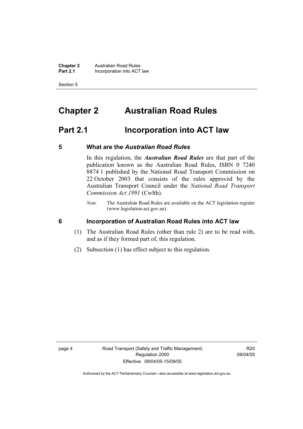**Chapter 2 Australian Road Rules**<br>**Part 2.1 Incorporation into ACT Incorporation into ACT law** 

Section 5

# **Chapter 2 Australian Road Rules**

# **Part 2.1 Incorporation into ACT law**

#### **5 What are the** *Australian Road Rules*

In this regulation, the *Australian Road Rules* are that part of the publication known as the Australian Road Rules, ISBN 0 7240 8874 1 published by the National Road Transport Commission on 22 October 2003 that consists of the rules approved by the Australian Transport Council under the *National Road Transport Commission Act 1991* (Cwlth).

*Note* The Australian Road Rules are available on the ACT legislation register (www.legislation.act.gov.au).

**6 Incorporation of Australian Road Rules into ACT law** 

- (1) The Australian Road Rules (other than rule 2) are to be read with, and as if they formed part of, this regulation.
- (2) Subsection (1) has effect subject to this regulation.

R20 09/04/05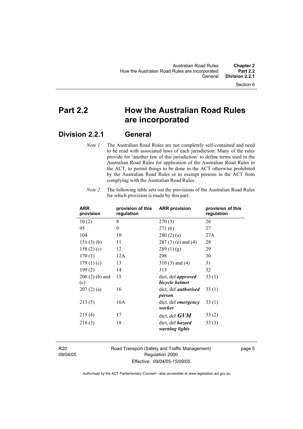# **Part 2.2 How the Australian Road Rules are incorporated**

# **Division 2.2.1 General**

*Note 1* The Australian Road Rules are not completely self-contained and need to be read with associated laws of each jurisdiction. Many of the rules provide for 'another law of this jurisdiction' to define terms used in the Australian Road Rules for application of the Australian Road Rules in the ACT, to permit things to be done in the ACT otherwise prohibited by the Australian Road Rules or to exempt persons in the ACT from complying with the Australian Road Rules.

| <b>ARR</b><br>provision | provision of this<br>regulation | <b>ARR provision</b>                        | provision of this<br>regulation |
|-------------------------|---------------------------------|---------------------------------------------|---------------------------------|
| 10(2)                   | 8                               | 270(3)                                      | 26                              |
| 95                      | 9                               | 271(6)                                      | 27                              |
| 104                     | 10                              | 280(2)(a)                                   | 27A                             |
| 151(3)(b)               | 11                              | $287(3)$ (e) and (4)                        | 28                              |
| 158 $(2)$ $(c)$         | 12                              | 289(1)(g)                                   | 29                              |
| 170(1)                  | 12A                             | 298                                         | 30                              |
| 179 $(1)(c)$            | 13                              | $310(3)$ and $(4)$                          | 31                              |
| 199(2)                  | 14                              | 313                                         | 32                              |
| $206(2)$ (b) and<br>(c) | 15                              | dict, def <i>approved</i><br>bicycle helmet | 33(1)                           |
| 207(2)(a)               | 16                              | dict, def <i>authorised</i><br>person       | 33(1)                           |
| 213(5)                  | 16A                             | dict, def <i>emergency</i><br>worker        | 33(1)                           |
| 215(4)                  | 17                              | dict, def $GVM$                             | 33(2)                           |
| 216(3)                  | 18                              | dict, def <i>hazard</i><br>warning lights   | 33(3)                           |

*Note 2* The following table sets out the provisions of the Australian Road Rules for which provision is made by this part:

R20 09/04/05 Road Transport (Safety and Traffic Management) Regulation 2000 Effective: 09/04/05-15/09/05

page 5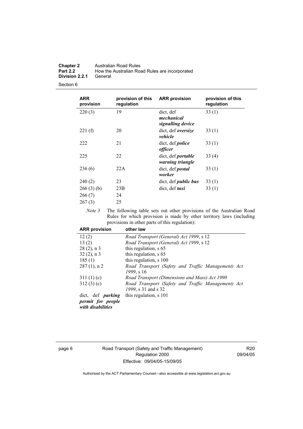| <b>Chapter 2</b> | <b>Australian Road Rules</b>                   |
|------------------|------------------------------------------------|
| <b>Part 2.2</b>  | How the Australian Road Rules are incorporated |
| Division 2.2.1   | General                                        |

| <b>ARR</b><br>provision       | provision of this<br>regulation | <b>ARR provision</b>                          | provision of this<br>regulation |
|-------------------------------|---------------------------------|-----------------------------------------------|---------------------------------|
| 220(3)                        | 19                              | dict, def<br>mechanical<br>signalling device  | 33(1)                           |
| 221(f)                        | 20                              | dict, def oversize<br>vehicle                 | 33(1)                           |
| 222                           | 21                              | dict, def <i>police</i><br>officer            | 33(1)                           |
| 225                           | 22                              | dict, def <i>portable</i><br>warning triangle | 33(4)                           |
| 236(6)                        | 22A                             | dict, def <i>postal</i><br>worker             | 33(1)                           |
| 240(2)                        | 23                              | dict, def <i>public</i> bus                   | 33(1)                           |
| 266(3)(b)<br>266(7)<br>267(3) | 23B<br>24<br>25                 | dict, def <i>taxi</i>                         | 33(1)                           |

*Note 3* The following table sets out other provisions of the Australian Road Rules for which provision is made by other territory laws (including provisions in other parts of this regulation):

| <b>ARR provision</b>                   | other law                                          |
|----------------------------------------|----------------------------------------------------|
| 12(2)                                  | Road Transport (General) Act 1999, s 12            |
| 13(2)                                  | Road Transport (General) Act 1999, s 12            |
| $28(2)$ , n 3                          | this regulation, s 65                              |
| $32(2)$ , n 3                          | this regulation, s 65                              |
| 185(1)                                 | this regulation, s 100                             |
| $287(1)$ , n 2                         | Road Transport (Safety and Traffic Management) Act |
|                                        | 1999, s 16                                         |
| 311(1)(c)                              | Road Transport (Dimensions and Mass) Act 1990      |
| 312(3)(c)                              | Road Transport (Safety and Traffic Management) Act |
|                                        | 1999, s 31 and s 32                                |
| dict, def <i>parking</i>               | this regulation, s 101                             |
| permit for people<br>with disabilities |                                                    |

page 6 Road Transport (Safety and Traffic Management) Regulation 2000 Effective: 09/04/05-15/09/05

R20 09/04/05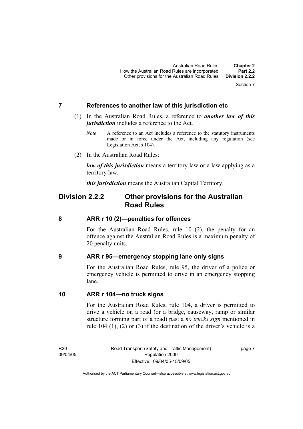#### **7 References to another law of this jurisdiction etc**

- (1) In the Australian Road Rules, a reference to *another law of this jurisdiction* includes a reference to the Act.
	- *Note* A reference to an Act includes a reference to the statutory instruments made or in force under the Act, including any regulation (see Legislation Act, s 104).
- (2) In the Australian Road Rules:

*law of this jurisdiction* means a territory law or a law applying as a territory law.

*this jurisdiction* means the Australian Capital Territory.

## **Division 2.2.2 Other provisions for the Australian Road Rules**

#### **8 ARR r 10 (2)—penalties for offences**

For the Australian Road Rules, rule 10 (2), the penalty for an offence against the Australian Road Rules is a maximum penalty of 20 penalty units.

#### **9 ARR r 95—emergency stopping lane only signs**

For the Australian Road Rules, rule 95, the driver of a police or emergency vehicle is permitted to drive in an emergency stopping lane.

#### **10 ARR r 104—no truck signs**

For the Australian Road Rules, rule 104, a driver is permitted to drive a vehicle on a road (or a bridge, causeway, ramp or similar structure forming part of a road) past a *no trucks sign* mentioned in rule 104 (1), (2) or (3) if the destination of the driver's vehicle is a

R20 09/04/05 page 7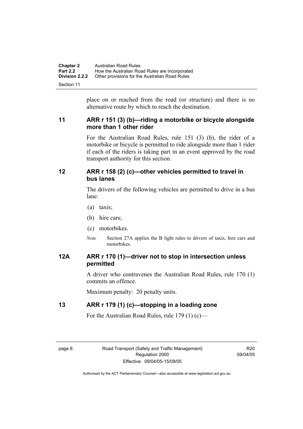| <b>Chapter 2</b>      | Australian Road Rules                          |
|-----------------------|------------------------------------------------|
| <b>Part 2.2</b>       | How the Australian Road Rules are incorporated |
| <b>Division 2.2.2</b> | Other provisions for the Australian Road Rules |
| Section 11            |                                                |

place on or reached from the road (or structure) and there is no alternative route by which to reach the destination.

### **11 ARR r 151 (3) (b)—riding a motorbike or bicycle alongside more than 1 other rider**

For the Australian Road Rules, rule 151 (3) (b), the rider of a motorbike or bicycle is permitted to ride alongside more than 1 rider if each of the riders is taking part in an event approved by the road transport authority for this section.

#### **12 ARR r 158 (2) (c)—other vehicles permitted to travel in bus lanes**

The drivers of the following vehicles are permitted to drive in a bus lane:

- (a) taxis;
- (b) hire cars;
- (c) motorbikes.
- *Note* Section 27A applies the B light rules to drivers of taxis, hire cars and motorbikes.

### **12A ARR r 170 (1)—driver not to stop in intersection unless permitted**

A driver who contravenes the Australian Road Rules, rule 170 (1) commits an offence.

Maximum penalty: 20 penalty units.

### **13 ARR r 179 (1) (c)—stopping in a loading zone**

For the Australian Road Rules, rule 179 (1) (c)—

R20 09/04/05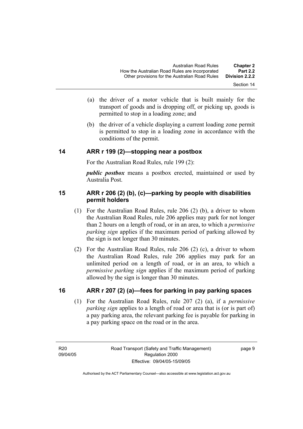- Section 14
- (a) the driver of a motor vehicle that is built mainly for the transport of goods and is dropping off, or picking up, goods is permitted to stop in a loading zone; and
- (b) the driver of a vehicle displaying a current loading zone permit is permitted to stop in a loading zone in accordance with the conditions of the permit.

#### **14 ARR r 199 (2)—stopping near a postbox**

For the Australian Road Rules, rule 199 (2):

*public postbox* means a postbox erected, maintained or used by Australia Post.

### **15 ARR r 206 (2) (b), (c)—parking by people with disabilities permit holders**

- (1) For the Australian Road Rules, rule 206 (2) (b), a driver to whom the Australian Road Rules, rule 206 applies may park for not longer than 2 hours on a length of road, or in an area, to which a *permissive parking sign* applies if the maximum period of parking allowed by the sign is not longer than 30 minutes.
- (2) For the Australian Road Rules, rule 206 (2) (c), a driver to whom the Australian Road Rules, rule 206 applies may park for an unlimited period on a length of road, or in an area, to which a *permissive parking sign* applies if the maximum period of parking allowed by the sign is longer than 30 minutes.

#### **16 ARR r 207 (2) (a)—fees for parking in pay parking spaces**

 (1) For the Australian Road Rules, rule 207 (2) (a), if a *permissive parking sign* applies to a length of road or area that is (or is part of) a pay parking area, the relevant parking fee is payable for parking in a pay parking space on the road or in the area.

R20 09/04/05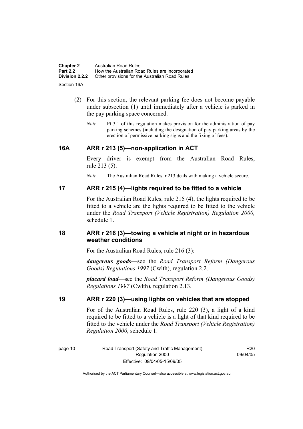| <b>Chapter 2</b>      | Australian Road Rules                          |
|-----------------------|------------------------------------------------|
| <b>Part 2.2</b>       | How the Australian Road Rules are incorporated |
| <b>Division 2.2.2</b> | Other provisions for the Australian Road Rules |
| Section 16A           |                                                |

- (2) For this section, the relevant parking fee does not become payable under subsection (1) until immediately after a vehicle is parked in the pay parking space concerned.
	- *Note* Pt 3.1 of this regulation makes provision for the administration of pay parking schemes (including the designation of pay parking areas by the erection of permissive parking signs and the fixing of fees).

#### **16A ARR r 213 (5)—non-application in ACT**

Every driver is exempt from the Australian Road Rules, rule 213 (5).

*Note* The Australian Road Rules, r 213 deals with making a vehicle secure.

#### **17 ARR r 215 (4)—lights required to be fitted to a vehicle**

For the Australian Road Rules, rule 215 (4), the lights required to be fitted to a vehicle are the lights required to be fitted to the vehicle under the *Road Transport (Vehicle Registration) Regulation 2000,*  schedule 1.

#### **18 ARR r 216 (3)—towing a vehicle at night or in hazardous weather conditions**

For the Australian Road Rules, rule 216 (3):

*dangerous goods*—see the *Road Transport Reform (Dangerous Goods) Regulations 1997* (Cwlth), regulation 2.2.

*placard load*—see the *Road Transport Reform (Dangerous Goods) Regulations 1997* (Cwlth), regulation 2.13.

### **19 ARR r 220 (3)—using lights on vehicles that are stopped**

For of the Australian Road Rules, rule 220 (3), a light of a kind required to be fitted to a vehicle is a light of that kind required to be fitted to the vehicle under the *Road Transport (Vehicle Registration) Regulation 2000*, schedule 1.

R20 09/04/05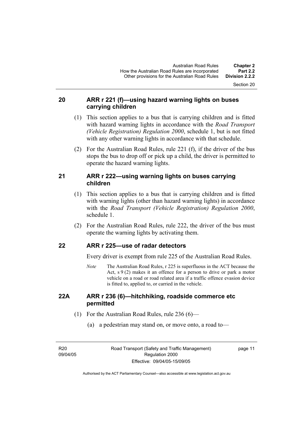#### **20 ARR r 221 (f)—using hazard warning lights on buses carrying children**

- (1) This section applies to a bus that is carrying children and is fitted with hazard warning lights in accordance with the *Road Transport (Vehicle Registration) Regulation 2000*, schedule 1, but is not fitted with any other warning lights in accordance with that schedule.
- (2) For the Australian Road Rules, rule 221 (f), if the driver of the bus stops the bus to drop off or pick up a child, the driver is permitted to operate the hazard warning lights.

### **21 ARR r 222—using warning lights on buses carrying children**

- (1) This section applies to a bus that is carrying children and is fitted with warning lights (other than hazard warning lights) in accordance with the *Road Transport (Vehicle Registration) Regulation 2000*, schedule 1.
- (2) For the Australian Road Rules, rule 222, the driver of the bus must operate the warning lights by activating them.

### **22 ARR r 225—use of radar detectors**

Every driver is exempt from rule 225 of the Australian Road Rules.

*Note* The Australian Road Rules, r 225 is superfluous in the ACT because the Act,  $s \theta(2)$  makes it an offence for a person to drive or park a motor vehicle on a road or road related area if a traffic offence evasion device is fitted to, applied to, or carried in the vehicle.

#### **22A ARR r 236 (6)—hitchhiking, roadside commerce etc permitted**

- (1) For the Australian Road Rules, rule 236 (6)—
	- (a) a pedestrian may stand on, or move onto, a road to—

R20 09/04/05

page 11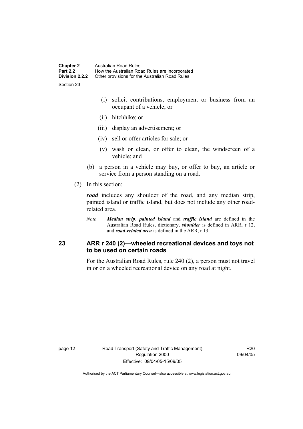| <b>Chapter 2</b> | Australian Road Rules                          |
|------------------|------------------------------------------------|
| <b>Part 2.2</b>  | How the Australian Road Rules are incorporated |
| Division 2.2.2   | Other provisions for the Australian Road Rules |
| Section 23       |                                                |

 (i) solicit contributions, employment or business from an occupant of a vehicle; or

- (ii) hitchhike; or
- (iii) display an advertisement; or
- (iv) sell or offer articles for sale; or
- (v) wash or clean, or offer to clean, the windscreen of a vehicle; and
- (b) a person in a vehicle may buy, or offer to buy, an article or service from a person standing on a road.
- (2) In this section:

*road* includes any shoulder of the road, and any median strip, painted island or traffic island, but does not include any other roadrelated area.

*Note Median strip*, *painted island* and *traffic island* are defined in the Australian Road Rules, dictionary, *shoulder* is defined in ARR, r 12, and *road-related area* is defined in the ARR, r 13.

#### **23 ARR r 240 (2)—wheeled recreational devices and toys not to be used on certain roads**

For the Australian Road Rules, rule 240 (2), a person must not travel in or on a wheeled recreational device on any road at night.

page 12 Road Transport (Safety and Traffic Management) Regulation 2000 Effective: 09/04/05-15/09/05

R20 09/04/05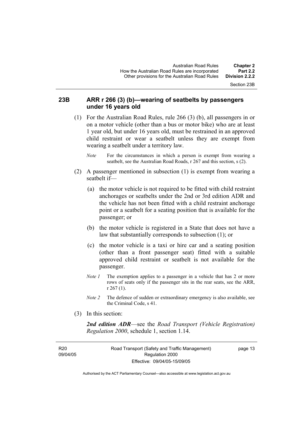Section 23B

#### **23B ARR r 266 (3) (b)—wearing of seatbelts by passengers under 16 years old**

- (1) For the Australian Road Rules, rule 266 (3) (b), all passengers in or on a motor vehicle (other than a bus or motor bike) who are at least 1 year old, but under 16 years old, must be restrained in an approved child restraint or wear a seatbelt unless they are exempt from wearing a seatbelt under a territory law.
	- *Note* For the circumstances in which a person is exempt from wearing a seatbelt, see the Australian Road Roads, r 267 and this section, s (2).
- (2) A passenger mentioned in subsection (1) is exempt from wearing a seatbelt if—
	- (a) the motor vehicle is not required to be fitted with child restraint anchorages or seatbelts under the 2nd or 3rd edition ADR and the vehicle has not been fitted with a child restraint anchorage point or a seatbelt for a seating position that is available for the passenger; or
	- (b) the motor vehicle is registered in a State that does not have a law that substantially corresponds to subsection (1); or
	- (c) the motor vehicle is a taxi or hire car and a seating position (other than a front passenger seat) fitted with a suitable approved child restraint or seatbelt is not available for the passenger.
	- *Note 1* The exemption applies to a passenger in a vehicle that has 2 or more rows of seats only if the passenger sits in the rear seats, see the ARR, r 267 (1).
	- *Note 2* The defence of sudden or extraordinary emergency is also available, see the Criminal Code, s 41.
- (3) In this section:

*2nd edition ADR*—see the *Road Transport (Vehicle Registration) Regulation 2000*, schedule 1, section 1.14.

R20 09/04/05 Road Transport (Safety and Traffic Management) Regulation 2000 Effective: 09/04/05-15/09/05

page 13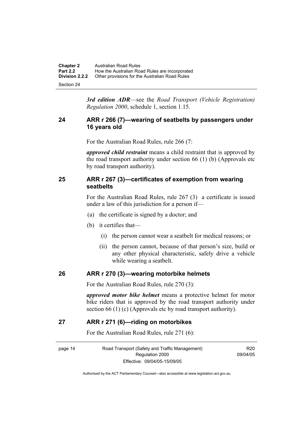| <b>Chapter 2</b>      | Australian Road Rules                          |
|-----------------------|------------------------------------------------|
| <b>Part 2.2</b>       | How the Australian Road Rules are incorporated |
| <b>Division 2.2.2</b> | Other provisions for the Australian Road Rules |
| Section 24            |                                                |

*3rd edition ADR*—see the *Road Transport (Vehicle Registration) Regulation 2000*, schedule 1, section 1.15.

#### **24 ARR r 266 (7)—wearing of seatbelts by passengers under 16 years old**

For the Australian Road Rules, rule 266 (7:

*approved child restraint* means a child restraint that is approved by the road transport authority under section 66 (1) (b) (Approvals etc by road transport authority).

#### **25 ARR r 267 (3)—certificates of exemption from wearing seatbelts**

For the Australian Road Rules, rule 267 (3) a certificate is issued under a law of this jurisdiction for a person if—

- (a) the certificate is signed by a doctor; and
- (b) it certifies that—
	- (i) the person cannot wear a seatbelt for medical reasons; or
	- (ii) the person cannot, because of that person's size, build or any other physical characteristic, safely drive a vehicle while wearing a seatbelt.

#### **26 ARR r 270 (3)—wearing motorbike helmets**

For the Australian Road Rules, rule 270 (3):

*approved motor bike helmet* means a protective helmet for motor bike riders that is approved by the road transport authority under section 66 (1) (c) (Approvals etc by road transport authority).

#### **27 ARR r 271 (6)—riding on motorbikes**

For the Australian Road Rules, rule 271 (6):

page 14 Road Transport (Safety and Traffic Management) Regulation 2000 Effective: 09/04/05-15/09/05

R20 09/04/05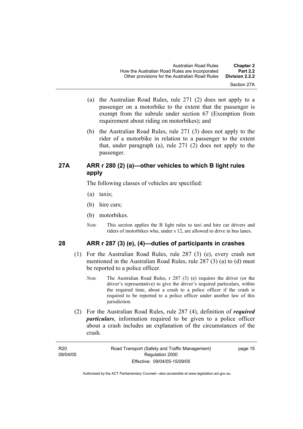- (a) the Australian Road Rules, rule 271 (2) does not apply to a passenger on a motorbike to the extent that the passenger is exempt from the subrule under section 67 (Exemption from requirement about riding on motorbikes); and
- (b) the Australian Road Rules, rule 271 (3) does not apply to the rider of a motorbike in relation to a passenger to the extent that, under paragraph (a), rule 271 (2) does not apply to the passenger.

### **27A ARR r 280 (2) (a)—other vehicles to which B light rules apply**

The following classes of vehicles are specified:

- (a) taxis;
- (b) hire cars;
- (b) motorbikes.
- *Note* This section applies the B light rules to taxi and hire car drivers and riders of motorbikes who, under s 12, are allowed to drive in bus lanes.

### **28 ARR r 287 (3) (e), (4)—duties of participants in crashes**

- (1) For the Australian Road Rules, rule 287 (3) (e), every crash not mentioned in the Australian Road Rules, rule 287 (3) (a) to (d) must be reported to a police officer.
	- *Note* The Australian Road Rules, r 287 (3) (e) requires the driver (or the driver's representative) to give the driver's required particulars, within the required time, about a crash to a police officer if the crash is required to be reported to a police officer under another law of this jurisdiction.
- (2) For the Australian Road Rules, rule 287 (4), definition of *required particulars*, information required to be given to a police officer about a crash includes an explanation of the circumstances of the crash.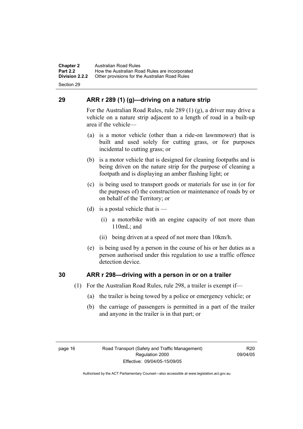**Chapter 2** Australian Road Rules<br>**Part 2.2** How the Australian Ro **Part 2.2 How the Australian Road Rules are incorporated Division 2.2.2** Other provisions for the Australian Road Rules **Other provisions for the Australian Road Rules** 

Section 29

### **29 ARR r 289 (1) (g)—driving on a nature strip**

For the Australian Road Rules, rule 289 (1) (g), a driver may drive a vehicle on a nature strip adjacent to a length of road in a built-up area if the vehicle—

- (a) is a motor vehicle (other than a ride-on lawnmower) that is built and used solely for cutting grass, or for purposes incidental to cutting grass; or
- (b) is a motor vehicle that is designed for cleaning footpaths and is being driven on the nature strip for the purpose of cleaning a footpath and is displaying an amber flashing light; or
- (c) is being used to transport goods or materials for use in (or for the purposes of) the construction or maintenance of roads by or on behalf of the Territory; or
- (d) is a postal vehicle that is  $-$ 
	- (i) a motorbike with an engine capacity of not more than 110mL; and
	- (ii) being driven at a speed of not more than 10km/h.
- (e) is being used by a person in the course of his or her duties as a person authorised under this regulation to use a traffic offence detection device.

#### **30 ARR r 298—driving with a person in or on a trailer**

- (1) For the Australian Road Rules, rule 298, a trailer is exempt if—
	- (a) the trailer is being towed by a police or emergency vehicle; or
	- (b) the carriage of passengers is permitted in a part of the trailer and anyone in the trailer is in that part; or

R20 09/04/05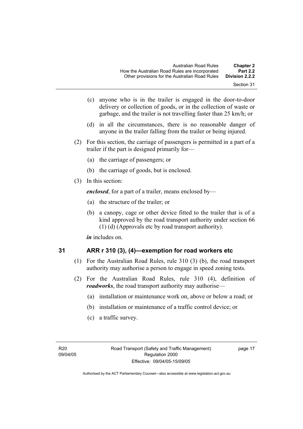- Section 31
- (c) anyone who is in the trailer is engaged in the door-to-door delivery or collection of goods, or in the collection of waste or garbage, and the trailer is not travelling faster than 25 km/h; or
- (d) in all the circumstances, there is no reasonable danger of anyone in the trailer falling from the trailer or being injured.
- (2) For this section, the carriage of passengers is permitted in a part of a trailer if the part is designed primarily for—
	- (a) the carriage of passengers; or
	- (b) the carriage of goods, but is enclosed.
- (3) In this section:

*enclosed*, for a part of a trailer, means enclosed by—

- (a) the structure of the trailer; or
- (b) a canopy, cage or other device fitted to the trailer that is of a kind approved by the road transport authority under section 66 (1) (d) (Approvals etc by road transport authority).

*in* includes on.

$$
31
$$

### **31 ARR r 310 (3), (4)—exemption for road workers etc**

- (1) For the Australian Road Rules, rule 310 (3) (b), the road transport authority may authorise a person to engage in speed zoning tests.
- (2) For the Australian Road Rules, rule 310 (4), definition of *roadworks*, the road transport authority may authorise—
	- (a) installation or maintenance work on, above or below a road; or
	- (b) installation or maintenance of a traffic control device; or
	- (c) a traffic survey.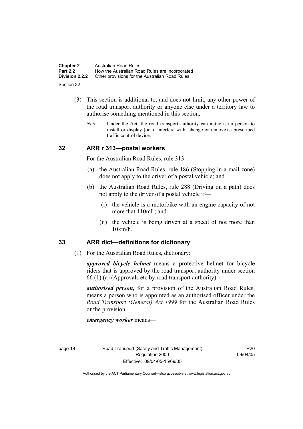| <b>Chapter 2</b>      | Australian Road Rules                          |
|-----------------------|------------------------------------------------|
| <b>Part 2.2</b>       | How the Australian Road Rules are incorporated |
| <b>Division 2.2.2</b> | Other provisions for the Australian Road Rules |
| Section 32            |                                                |

- (3) This section is additional to, and does not limit, any other power of the road transport authority or anyone else under a territory law to authorise something mentioned in this section.
	- *Note* Under the Act, the road transport authority can authorise a person to install or display (or to interfere with, change or remove) a prescribed traffic control device.

#### **32 ARR r 313—postal workers**

For the Australian Road Rules, rule 313 —

- (a) the Australian Road Rules, rule 186 (Stopping in a mail zone) does not apply to the driver of a postal vehicle; and
- (b) the Australian Road Rules, rule 288 (Driving on a path) does not apply to the driver of a postal vehicle if—
	- (i) the vehicle is a motorbike with an engine capacity of not more that 110mL; and
	- (ii) the vehicle is being driven at a speed of not more than 10km/h.

#### **33 ARR dict—definitions for dictionary**

(1) For the Australian Road Rules, dictionary:

*approved bicycle helmet* means a protective helmet for bicycle riders that is approved by the road transport authority under section 66 (1) (a) (Approvals etc by road transport authority).

*authorised person,* for a provision of the Australian Road Rules, means a person who is appointed as an authorised officer under the *Road Transport (General) Act 1999* for the Australian Road Rules or the provision.

*emergency worker* means—

R20 09/04/05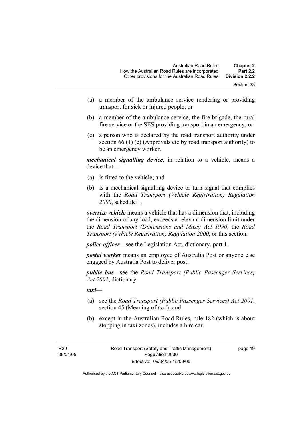- Section 33
- (a) a member of the ambulance service rendering or providing transport for sick or injured people; or
- (b) a member of the ambulance service, the fire brigade, the rural fire service or the SES providing transport in an emergency; or
- (c) a person who is declared by the road transport authority under section 66 (1) (e) (Approvals etc by road transport authority) to be an emergency worker.

*mechanical signalling device*, in relation to a vehicle, means a device that—

- (a) is fitted to the vehicle; and
- (b) is a mechanical signalling device or turn signal that complies with the *Road Transport (Vehicle Registration) Regulation 2000*, schedule 1.

*oversize vehicle* means a vehicle that has a dimension that, including the dimension of any load, exceeds a relevant dimension limit under the *Road Transport (Dimensions and Mass) Act 1990*, the *Road Transport (Vehicle Registration) Regulation 2000*, or this section.

*police officer*—see the Legislation Act, dictionary, part 1.

*postal worker* means an employee of Australia Post or anyone else engaged by Australia Post to deliver post.

*public bus*—see the *Road Transport (Public Passenger Services) Act 2001*, dictionary.

*taxi*—

- (a) see the *Road Transport (Public Passenger Services) Act 2001*, section 45 (Meaning of *taxi*); and
- (b) except in the Australian Road Rules, rule 182 (which is about stopping in taxi zones), includes a hire car.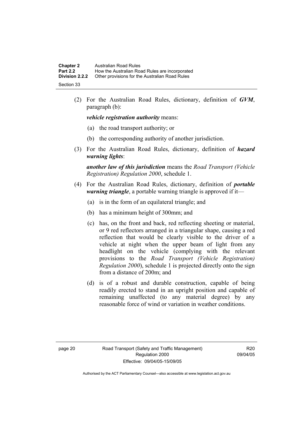| <b>Chapter 2</b>      | Australian Road Rules                          |
|-----------------------|------------------------------------------------|
| <b>Part 2.2</b>       | How the Australian Road Rules are incorporated |
| <b>Division 2.2.2</b> | Other provisions for the Australian Road Rules |
| Section 33            |                                                |

 (2) For the Australian Road Rules, dictionary, definition of *GVM*, paragraph (b):

*vehicle registration authority* means:

- (a) the road transport authority; or
- (b) the corresponding authority of another jurisdiction.
- (3) For the Australian Road Rules, dictionary, definition of *hazard warning lights*:

*another law of this jurisdiction* means the *Road Transport (Vehicle Registration) Regulation 2000*, schedule 1.

- (4) For the Australian Road Rules, dictionary, definition of *portable warning triangle*, a portable warning triangle is approved if it—
	- (a) is in the form of an equilateral triangle; and
	- (b) has a minimum height of 300mm; and
	- (c) has, on the front and back, red reflecting sheeting or material, or 9 red reflectors arranged in a triangular shape, causing a red reflection that would be clearly visible to the driver of a vehicle at night when the upper beam of light from any headlight on the vehicle (complying with the relevant provisions to the *Road Transport (Vehicle Registration) Regulation 2000*), schedule 1 is projected directly onto the sign from a distance of 200m; and
	- (d) is of a robust and durable construction, capable of being readily erected to stand in an upright position and capable of remaining unaffected (to any material degree) by any reasonable force of wind or variation in weather conditions.

R20 09/04/05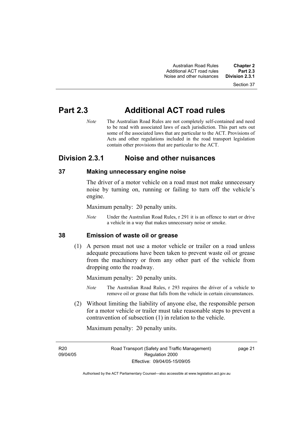# **Part 2.3 Additional ACT road rules**

*Note* The Australian Road Rules are not completely self-contained and need to be read with associated laws of each jurisdiction. This part sets out some of the associated laws that are particular to the ACT. Provisions of Acts and other regulations included in the road transport legislation contain other provisions that are particular to the ACT.

# **Division 2.3.1 Noise and other nuisances**

### **37 Making unnecessary engine noise**

The driver of a motor vehicle on a road must not make unnecessary noise by turning on, running or failing to turn off the vehicle's engine.

Maximum penalty: 20 penalty units.

*Note* Under the Australian Road Rules, r 291 it is an offence to start or drive a vehicle in a way that makes unnecessary noise or smoke.

### **38 Emission of waste oil or grease**

 (1) A person must not use a motor vehicle or trailer on a road unless adequate precautions have been taken to prevent waste oil or grease from the machinery or from any other part of the vehicle from dropping onto the roadway.

Maximum penalty: 20 penalty units.

- *Note* The Australian Road Rules, r 293 requires the driver of a vehicle to remove oil or grease that falls from the vehicle in certain circumstances.
- (2) Without limiting the liability of anyone else, the responsible person for a motor vehicle or trailer must take reasonable steps to prevent a contravention of subsection (1) in relation to the vehicle.

Maximum penalty: 20 penalty units.

R<sub>20</sub> 09/04/05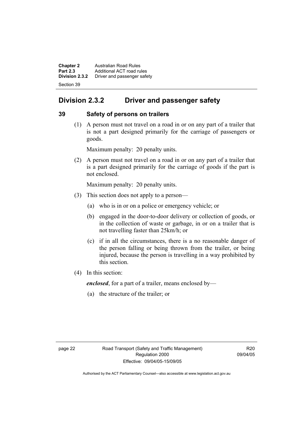**Chapter 2 Australian Road Rules**<br>**Part 2.3 Additional ACT road rules Part 2.3** Additional ACT road rules<br>**Division 2.3.2** Driver and passenger safe **Division 2.3.2** Driver and passenger safety Section 39

# **Division 2.3.2 Driver and passenger safety**

### **39 Safety of persons on trailers**

 (1) A person must not travel on a road in or on any part of a trailer that is not a part designed primarily for the carriage of passengers or goods.

Maximum penalty: 20 penalty units.

 (2) A person must not travel on a road in or on any part of a trailer that is a part designed primarily for the carriage of goods if the part is not enclosed.

Maximum penalty: 20 penalty units.

- (3) This section does not apply to a person—
	- (a) who is in or on a police or emergency vehicle; or
	- (b) engaged in the door-to-door delivery or collection of goods, or in the collection of waste or garbage, in or on a trailer that is not travelling faster than 25km/h; or
	- (c) if in all the circumstances, there is a no reasonable danger of the person falling or being thrown from the trailer, or being injured, because the person is travelling in a way prohibited by this section.
- (4) In this section:

*enclosed*, for a part of a trailer, means enclosed by—

(a) the structure of the trailer; or

R20 09/04/05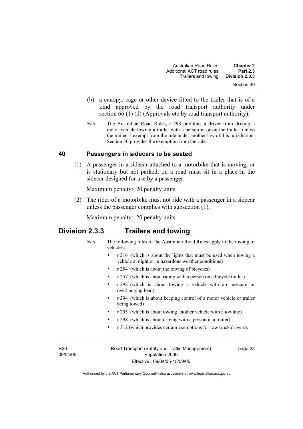- (b) a canopy, cage or other device fitted to the trailer that is of a kind approved by the road transport authority under section 66 (1) (d) (Approvals etc by road transport authority).
- *Note* The Australian Road Rules, r 298 prohibits a driver from driving a motor vehicle towing a trailer with a person in or on the trailer, unless the trailer is exempt from the rule under another law of this jurisdiction. Section 30 provides the exemption from the rule.

#### **40 Passengers in sidecars to be seated**

 (1) A passenger in a sidecar attached to a motorbike that is moving, or is stationary but not parked, on a road must sit in a place in the sidecar designed for use by a passenger.

Maximum penalty: 20 penalty units.

 (2) The rider of a motorbike must not ride with a passenger in a sidecar unless the passenger complies with subsection (1).

Maximum penalty: 20 penalty units.

### **Division 2.3.3 Trailers and towing**

- *Note* The following rules of the Australian Road Rules apply to the towing of vehicles:
	- r 216 (which is about the lights that must be used when towing a vehicle at night or in hazardous weather conditions)
	- r 254 (which is about the towing of bicycles)
	- r 257 (which is about riding with a person on a bicycle trailer)
	- r 292 (which is about towing a vehicle with an insecure or overhanging load)
	- r 294 (which is about keeping control of a motor vehicle or trailer being towed)
	- r 295 (which is about towing another vehicle with a towline)
	- r 298 (which is about driving with a person in a trailer)
	- r 312 (which provides certain exemptions for tow truck drivers).

R20 09/04/05 Road Transport (Safety and Traffic Management) Regulation 2000 Effective: 09/04/05-15/09/05

page 23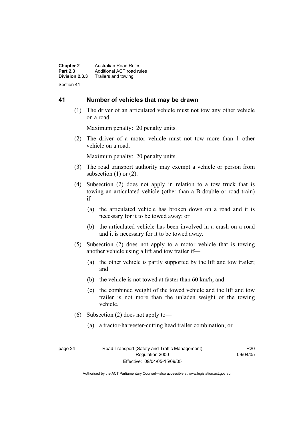**Chapter 2 Australian Road Rules**<br>**Part 2.3 Additional ACT road rules Part 2.3** Additional ACT road rules<br>**Division 2.3.3** Trailers and towing **Division 2.3.3** Trailers and towing Section 41

#### **41 Number of vehicles that may be drawn**

 (1) The driver of an articulated vehicle must not tow any other vehicle on a road.

Maximum penalty: 20 penalty units.

 (2) The driver of a motor vehicle must not tow more than 1 other vehicle on a road.

Maximum penalty: 20 penalty units.

- (3) The road transport authority may exempt a vehicle or person from subsection  $(1)$  or  $(2)$ .
- (4) Subsection (2) does not apply in relation to a tow truck that is towing an articulated vehicle (other than a B-double or road train) if—
	- (a) the articulated vehicle has broken down on a road and it is necessary for it to be towed away; or
	- (b) the articulated vehicle has been involved in a crash on a road and it is necessary for it to be towed away.
- (5) Subsection (2) does not apply to a motor vehicle that is towing another vehicle using a lift and tow trailer if—
	- (a) the other vehicle is partly supported by the lift and tow trailer; and
	- (b) the vehicle is not towed at faster than 60 km/h; and
	- (c) the combined weight of the towed vehicle and the lift and tow trailer is not more than the unladen weight of the towing vehicle.
- (6) Subsection (2) does not apply to—
	- (a) a tractor-harvester-cutting head trailer combination; or

R20 09/04/05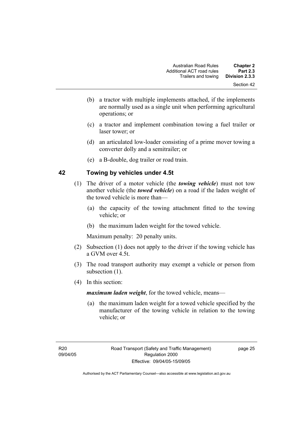- (b) a tractor with multiple implements attached, if the implements are normally used as a single unit when performing agricultural operations; or
- (c) a tractor and implement combination towing a fuel trailer or laser tower; or
- (d) an articulated low-loader consisting of a prime mover towing a converter dolly and a semitrailer; or
- (e) a B-double, dog trailer or road train.

### **42 Towing by vehicles under 4.5t**

- (1) The driver of a motor vehicle (the *towing vehicle*) must not tow another vehicle (the *towed vehicle*) on a road if the laden weight of the towed vehicle is more than—
	- (a) the capacity of the towing attachment fitted to the towing vehicle; or
	- (b) the maximum laden weight for the towed vehicle.

Maximum penalty: 20 penalty units.

- (2) Subsection (1) does not apply to the driver if the towing vehicle has a GVM over 4.5t.
- (3) The road transport authority may exempt a vehicle or person from subsection  $(1)$ .
- (4) In this section:

*maximum laden weight*, for the towed vehicle, means—

 (a) the maximum laden weight for a towed vehicle specified by the manufacturer of the towing vehicle in relation to the towing vehicle; or

page 25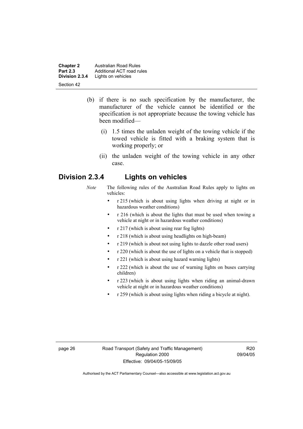**Chapter 2 Australian Road Rules**<br>**Part 2.3 Additional ACT road rules Part 2.3** Additional ACT road rules<br>**Division 2.3.4** Lights on vehicles Lights on vehicles Section 42

- (b) if there is no such specification by the manufacturer, the manufacturer of the vehicle cannot be identified or the specification is not appropriate because the towing vehicle has been modified—
	- (i) 1.5 times the unladen weight of the towing vehicle if the towed vehicle is fitted with a braking system that is working properly; or
	- (ii) the unladen weight of the towing vehicle in any other case.

### **Division 2.3.4 Lights on vehicles**

- *Note* The following rules of the Australian Road Rules apply to lights on vehicles:
	- r 215 (which is about using lights when driving at night or in hazardous weather conditions)
	- r 216 (which is about the lights that must be used when towing a vehicle at night or in hazardous weather conditions)
	- r 217 (which is about using rear fog lights)
	- r 218 (which is about using headlights on high-beam)
	- r 219 (which is about not using lights to dazzle other road users)
	- r 220 (which is about the use of lights on a vehicle that is stopped)
	- r 221 (which is about using hazard warning lights)
	- r 222 (which is about the use of warning lights on buses carrying children)
	- r 223 (which is about using lights when riding an animal-drawn vehicle at night or in hazardous weather conditions)
	- r 259 (which is about using lights when riding a bicycle at night).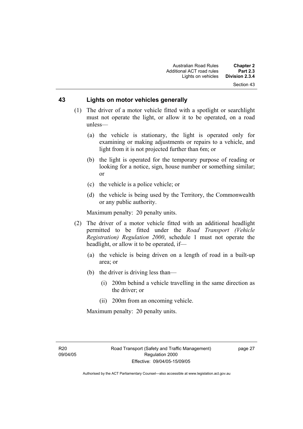### **43 Lights on motor vehicles generally**

- (1) The driver of a motor vehicle fitted with a spotlight or searchlight must not operate the light, or allow it to be operated, on a road unless—
	- (a) the vehicle is stationary, the light is operated only for examining or making adjustments or repairs to a vehicle, and light from it is not projected further than 6m; or
	- (b) the light is operated for the temporary purpose of reading or looking for a notice, sign, house number or something similar; or
	- (c) the vehicle is a police vehicle; or
	- (d) the vehicle is being used by the Territory, the Commonwealth or any public authority.

Maximum penalty: 20 penalty units.

- (2) The driver of a motor vehicle fitted with an additional headlight permitted to be fitted under the *Road Transport (Vehicle Registration) Regulation 2000*, schedule 1 must not operate the headlight, or allow it to be operated, if—
	- (a) the vehicle is being driven on a length of road in a built-up area; or
	- (b) the driver is driving less than—
		- (i) 200m behind a vehicle travelling in the same direction as the driver; or
		- (ii) 200m from an oncoming vehicle.

Maximum penalty: 20 penalty units.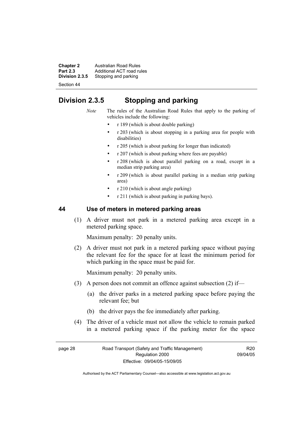**Chapter 2 Australian Road Rules**<br>**Part 2.3 Additional ACT road rules Part 2.3** Additional ACT road rules<br>**Division 2.3.5** Stopping and parking Stopping and parking

Section 44

# **Division 2.3.5 Stopping and parking**

- *Note* The rules of the Australian Road Rules that apply to the parking of vehicles include the following:
	- r 189 (which is about double parking)
	- r 203 (which is about stopping in a parking area for people with disabilities)
	- r 205 (which is about parking for longer than indicated)
	- r 207 (which is about parking where fees are payable)
	- r 208 (which is about parallel parking on a road, except in a median strip parking area)
	- r 209 (which is about parallel parking in a median strip parking area)
	- r 210 (which is about angle parking)
	- r 211 (which is about parking in parking bays).

### **44 Use of meters in metered parking areas**

 (1) A driver must not park in a metered parking area except in a metered parking space.

Maximum penalty: 20 penalty units.

 (2) A driver must not park in a metered parking space without paying the relevant fee for the space for at least the minimum period for which parking in the space must be paid for.

Maximum penalty: 20 penalty units.

- (3) A person does not commit an offence against subsection (2) if—
	- (a) the driver parks in a metered parking space before paying the relevant fee; but
	- (b) the driver pays the fee immediately after parking.
- (4) The driver of a vehicle must not allow the vehicle to remain parked in a metered parking space if the parking meter for the space

R20 09/04/05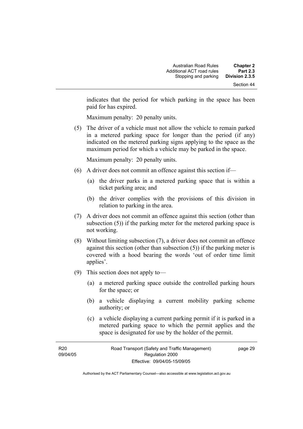indicates that the period for which parking in the space has been paid for has expired.

Maximum penalty: 20 penalty units.

 (5) The driver of a vehicle must not allow the vehicle to remain parked in a metered parking space for longer than the period (if any) indicated on the metered parking signs applying to the space as the maximum period for which a vehicle may be parked in the space.

Maximum penalty: 20 penalty units.

- (6) A driver does not commit an offence against this section if—
	- (a) the driver parks in a metered parking space that is within a ticket parking area; and
	- (b) the driver complies with the provisions of this division in relation to parking in the area.
- (7) A driver does not commit an offence against this section (other than subsection (5)) if the parking meter for the metered parking space is not working.
- (8) Without limiting subsection (7), a driver does not commit an offence against this section (other than subsection (5)) if the parking meter is covered with a hood bearing the words 'out of order time limit applies'.
- (9) This section does not apply to—
	- (a) a metered parking space outside the controlled parking hours for the space; or
	- (b) a vehicle displaying a current mobility parking scheme authority; or
	- (c) a vehicle displaying a current parking permit if it is parked in a metered parking space to which the permit applies and the space is designated for use by the holder of the permit.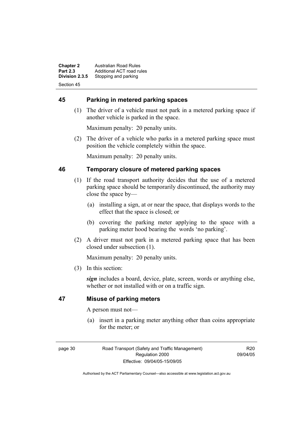**Chapter 2 Australian Road Rules**<br>**Part 2.3 Additional ACT road rules Part 2.3** Additional ACT road rules<br>**Division 2.3.5** Stopping and parking Stopping and parking Section 45

### **45 Parking in metered parking spaces**

 (1) The driver of a vehicle must not park in a metered parking space if another vehicle is parked in the space.

Maximum penalty: 20 penalty units.

 (2) The driver of a vehicle who parks in a metered parking space must position the vehicle completely within the space.

Maximum penalty: 20 penalty units.

### **46 Temporary closure of metered parking spaces**

- (1) If the road transport authority decides that the use of a metered parking space should be temporarily discontinued, the authority may close the space by—
	- (a) installing a sign, at or near the space, that displays words to the effect that the space is closed; or
	- (b) covering the parking meter applying to the space with a parking meter hood bearing the words 'no parking'.
- (2) A driver must not park in a metered parking space that has been closed under subsection (1).

Maximum penalty: 20 penalty units.

(3) In this section:

*sign* includes a board, device, plate, screen, words or anything else, whether or not installed with or on a traffic sign.

### **47 Misuse of parking meters**

A person must not—

 (a) insert in a parking meter anything other than coins appropriate for the meter; or

page 30 Road Transport (Safety and Traffic Management) Regulation 2000 Effective: 09/04/05-15/09/05

R20 09/04/05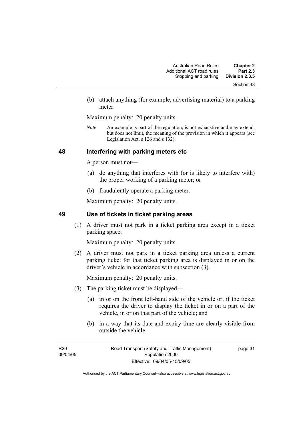(b) attach anything (for example, advertising material) to a parking meter.

Maximum penalty: 20 penalty units.

*Note* An example is part of the regulation, is not exhaustive and may extend, but does not limit, the meaning of the provision in which it appears (see Legislation Act, s 126 and s 132).

### **48 Interfering with parking meters etc**

A person must not—

- (a) do anything that interferes with (or is likely to interfere with) the proper working of a parking meter; or
- (b) fraudulently operate a parking meter.

Maximum penalty: 20 penalty units.

### **49 Use of tickets in ticket parking areas**

 (1) A driver must not park in a ticket parking area except in a ticket parking space.

Maximum penalty: 20 penalty units.

 (2) A driver must not park in a ticket parking area unless a current parking ticket for that ticket parking area is displayed in or on the driver's vehicle in accordance with subsection (3).

Maximum penalty: 20 penalty units.

- (3) The parking ticket must be displayed—
	- (a) in or on the front left-hand side of the vehicle or, if the ticket requires the driver to display the ticket in or on a part of the vehicle, in or on that part of the vehicle; and
	- (b) in a way that its date and expiry time are clearly visible from outside the vehicle.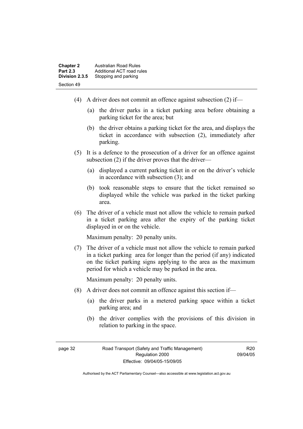| <b>Chapter 2</b> | Australian Road Rules     |
|------------------|---------------------------|
| <b>Part 2.3</b>  | Additional ACT road rules |
| Division 2.3.5   | Stopping and parking      |
| Section 49       |                           |

- (4) A driver does not commit an offence against subsection (2) if—
	- (a) the driver parks in a ticket parking area before obtaining a parking ticket for the area; but
	- (b) the driver obtains a parking ticket for the area, and displays the ticket in accordance with subsection (2), immediately after parking.
- (5) It is a defence to the prosecution of a driver for an offence against subsection (2) if the driver proves that the driver—
	- (a) displayed a current parking ticket in or on the driver's vehicle in accordance with subsection  $(3)$  and
	- (b) took reasonable steps to ensure that the ticket remained so displayed while the vehicle was parked in the ticket parking area.
- (6) The driver of a vehicle must not allow the vehicle to remain parked in a ticket parking area after the expiry of the parking ticket displayed in or on the vehicle.

Maximum penalty: 20 penalty units.

 (7) The driver of a vehicle must not allow the vehicle to remain parked in a ticket parking area for longer than the period (if any) indicated on the ticket parking signs applying to the area as the maximum period for which a vehicle may be parked in the area.

Maximum penalty: 20 penalty units.

- (8) A driver does not commit an offence against this section if—
	- (a) the driver parks in a metered parking space within a ticket parking area; and
	- (b) the driver complies with the provisions of this division in relation to parking in the space.

R20 09/04/05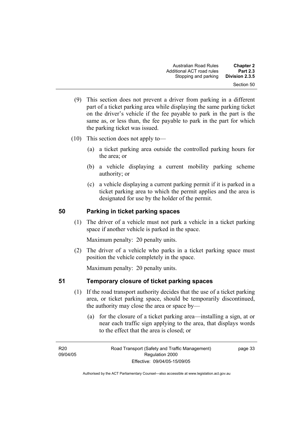- (9) This section does not prevent a driver from parking in a different part of a ticket parking area while displaying the same parking ticket on the driver's vehicle if the fee payable to park in the part is the same as, or less than, the fee payable to park in the part for which the parking ticket was issued.
- (10) This section does not apply to—
	- (a) a ticket parking area outside the controlled parking hours for the area; or
	- (b) a vehicle displaying a current mobility parking scheme authority; or
	- (c) a vehicle displaying a current parking permit if it is parked in a ticket parking area to which the permit applies and the area is designated for use by the holder of the permit.

### **50 Parking in ticket parking spaces**

 (1) The driver of a vehicle must not park a vehicle in a ticket parking space if another vehicle is parked in the space.

Maximum penalty: 20 penalty units.

 (2) The driver of a vehicle who parks in a ticket parking space must position the vehicle completely in the space.

Maximum penalty: 20 penalty units.

### **51 Temporary closure of ticket parking spaces**

- (1) If the road transport authority decides that the use of a ticket parking area, or ticket parking space, should be temporarily discontinued, the authority may close the area or space by—
	- (a) for the closure of a ticket parking area—installing a sign, at or near each traffic sign applying to the area, that displays words to the effect that the area is closed; or

R<sub>20</sub> 09/04/05 page 33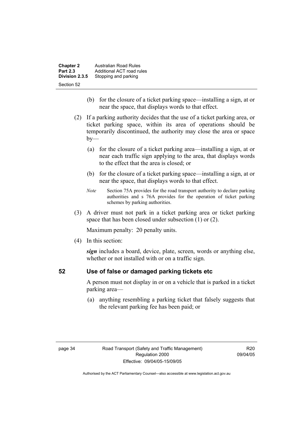| <b>Chapter 2</b> | Australian Road Rules     |
|------------------|---------------------------|
| <b>Part 2.3</b>  | Additional ACT road rules |
| Division 2.3.5   | Stopping and parking      |
| Section 52       |                           |

- (b) for the closure of a ticket parking space—installing a sign, at or near the space, that displays words to that effect.
- (2) If a parking authority decides that the use of a ticket parking area, or ticket parking space, within its area of operations should be temporarily discontinued, the authority may close the area or space  $by-$ 
	- (a) for the closure of a ticket parking area—installing a sign, at or near each traffic sign applying to the area, that displays words to the effect that the area is closed; or
	- (b) for the closure of a ticket parking space—installing a sign, at or near the space, that displays words to that effect.
	- *Note* Section 75A provides for the road transport authority to declare parking authorities and s 76A provides for the operation of ticket parking schemes by parking authorities.
- (3) A driver must not park in a ticket parking area or ticket parking space that has been closed under subsection (1) or (2).

Maximum penalty: 20 penalty units.

(4) In this section:

*sign* includes a board, device, plate, screen, words or anything else, whether or not installed with or on a traffic sign.

### **52 Use of false or damaged parking tickets etc**

A person must not display in or on a vehicle that is parked in a ticket parking area—

 (a) anything resembling a parking ticket that falsely suggests that the relevant parking fee has been paid; or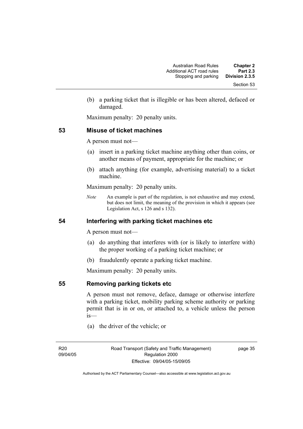(b) a parking ticket that is illegible or has been altered, defaced or damaged.

Maximum penalty: 20 penalty units.

### **53 Misuse of ticket machines**

A person must not—

- (a) insert in a parking ticket machine anything other than coins, or another means of payment, appropriate for the machine; or
- (b) attach anything (for example, advertising material) to a ticket machine.

Maximum penalty: 20 penalty units.

*Note* An example is part of the regulation, is not exhaustive and may extend, but does not limit, the meaning of the provision in which it appears (see Legislation Act, s 126 and s 132).

### **54 Interfering with parking ticket machines etc**

A person must not—

- (a) do anything that interferes with (or is likely to interfere with) the proper working of a parking ticket machine; or
- (b) fraudulently operate a parking ticket machine.

Maximum penalty: 20 penalty units.

**55 Removing parking tickets etc**

A person must not remove, deface, damage or otherwise interfere with a parking ticket, mobility parking scheme authority or parking permit that is in or on, or attached to, a vehicle unless the person is—

(a) the driver of the vehicle; or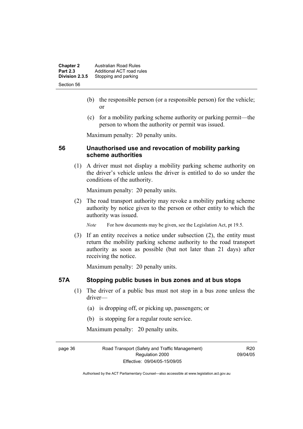| <b>Chapter 2</b> | <b>Australian Road Rules</b> |
|------------------|------------------------------|
| <b>Part 2.3</b>  | Additional ACT road rules    |
| Division 2.3.5   | Stopping and parking         |
| Section 56       |                              |

- (b) the responsible person (or a responsible person) for the vehicle; or
- (c) for a mobility parking scheme authority or parking permit—the person to whom the authority or permit was issued.

Maximum penalty: 20 penalty units.

### **56 Unauthorised use and revocation of mobility parking scheme authorities**

 (1) A driver must not display a mobility parking scheme authority on the driver's vehicle unless the driver is entitled to do so under the conditions of the authority.

Maximum penalty: 20 penalty units.

 (2) The road transport authority may revoke a mobility parking scheme authority by notice given to the person or other entity to which the authority was issued.

*Note* For how documents may be given, see the Legislation Act, pt 19.5.

 (3) If an entity receives a notice under subsection (2), the entity must return the mobility parking scheme authority to the road transport authority as soon as possible (but not later than 21 days) after receiving the notice.

Maximum penalty: 20 penalty units.

### **57A Stopping public buses in bus zones and at bus stops**

- (1) The driver of a public bus must not stop in a bus zone unless the driver—
	- (a) is dropping off, or picking up, passengers; or
	- (b) is stopping for a regular route service.

Maximum penalty: 20 penalty units.

page 36 Road Transport (Safety and Traffic Management) Regulation 2000 Effective: 09/04/05-15/09/05

R20 09/04/05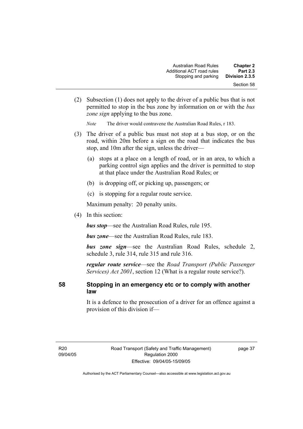| <b>Chapter 2</b><br><b>Part 2.3</b> | Australian Road Rules<br>Additional ACT road rules |
|-------------------------------------|----------------------------------------------------|
| Division 2.3.5                      | Stopping and parking                               |
| Section 58                          |                                                    |

 (2) Subsection (1) does not apply to the driver of a public bus that is not permitted to stop in the bus zone by information on or with the *bus zone sign* applying to the bus zone.

*Note* The driver would contravene the Australian Road Rules, r 183.

- (3) The driver of a public bus must not stop at a bus stop, or on the road, within 20m before a sign on the road that indicates the bus stop, and 10m after the sign, unless the driver—
	- (a) stops at a place on a length of road, or in an area, to which a parking control sign applies and the driver is permitted to stop at that place under the Australian Road Rules; or
	- (b) is dropping off, or picking up, passengers; or
	- (c) is stopping for a regular route service.

Maximum penalty: 20 penalty units.

(4) In this section:

*bus stop*—see the Australian Road Rules, rule 195.

*bus zone*—see the Australian Road Rules, rule 183.

*bus zone sign*—see the Australian Road Rules, schedule 2, schedule 3, rule 314, rule 315 and rule 316.

*regular route service*—see the *Road Transport (Public Passenger Services) Act 2001*, section 12 (What is a regular route service?).

### **58 Stopping in an emergency etc or to comply with another law**

It is a defence to the prosecution of a driver for an offence against a provision of this division if—

page 37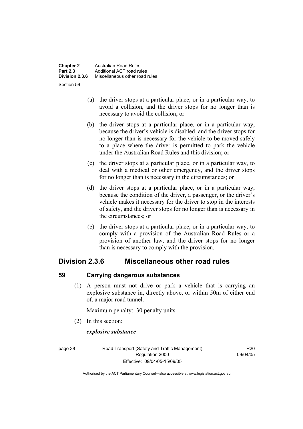- (a) the driver stops at a particular place, or in a particular way, to avoid a collision, and the driver stops for no longer than is necessary to avoid the collision; or
- (b) the driver stops at a particular place, or in a particular way, because the driver's vehicle is disabled, and the driver stops for no longer than is necessary for the vehicle to be moved safely to a place where the driver is permitted to park the vehicle under the Australian Road Rules and this division; or
- (c) the driver stops at a particular place, or in a particular way, to deal with a medical or other emergency, and the driver stops for no longer than is necessary in the circumstances; or
- (d) the driver stops at a particular place, or in a particular way, because the condition of the driver, a passenger, or the driver's vehicle makes it necessary for the driver to stop in the interests of safety, and the driver stops for no longer than is necessary in the circumstances; or
- (e) the driver stops at a particular place, or in a particular way, to comply with a provision of the Australian Road Rules or a provision of another law, and the driver stops for no longer than is necessary to comply with the provision.

# **Division 2.3.6 Miscellaneous other road rules**

### **59 Carrying dangerous substances**

 (1) A person must not drive or park a vehicle that is carrying an explosive substance in, directly above, or within 50m of either end of, a major road tunnel.

Maximum penalty: 30 penalty units.

(2) In this section:

*explosive substance*—

page 38 Road Transport (Safety and Traffic Management) Regulation 2000 Effective: 09/04/05-15/09/05

R20 09/04/05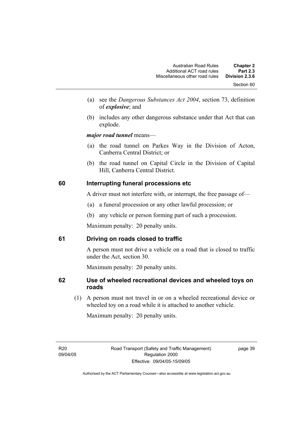- (a) see the *Dangerous Substances Act 2004*, section 73, definition of *explosive*; and
- (b) includes any other dangerous substance under that Act that can explode.

*major road tunnel* means—

- (a) the road tunnel on Parkes Way in the Division of Acton, Canberra Central District; or
- (b) the road tunnel on Capital Circle in the Division of Capital Hill, Canberra Central District.

### **60 Interrupting funeral processions etc**

A driver must not interfere with, or interrupt, the free passage of—

- (a) a funeral procession or any other lawful procession; or
- (b) any vehicle or person forming part of such a procession.

Maximum penalty: 20 penalty units.

### **61 Driving on roads closed to traffic**

A person must not drive a vehicle on a road that is closed to traffic under the Act, section 30.

Maximum penalty: 20 penalty units.

# **62 Use of wheeled recreational devices and wheeled toys on roads**

 (1) A person must not travel in or on a wheeled recreational device or wheeled toy on a road while it is attached to another vehicle.

Maximum penalty: 20 penalty units.

R<sub>20</sub> 09/04/05 page 39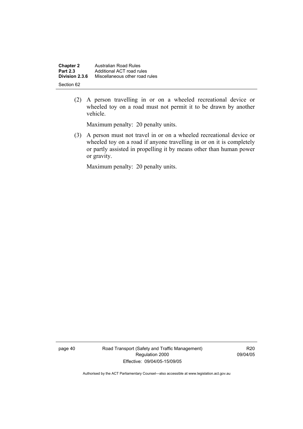| <b>Chapter 2</b> | <b>Australian Road Rules</b>   |
|------------------|--------------------------------|
| <b>Part 2.3</b>  | Additional ACT road rules      |
| Division 2.3.6   | Miscellaneous other road rules |
| Section 62       |                                |

 (2) A person travelling in or on a wheeled recreational device or wheeled toy on a road must not permit it to be drawn by another vehicle.

Maximum penalty: 20 penalty units.

 (3) A person must not travel in or on a wheeled recreational device or wheeled toy on a road if anyone travelling in or on it is completely or partly assisted in propelling it by means other than human power or gravity.

Maximum penalty: 20 penalty units.

page 40 Road Transport (Safety and Traffic Management) Regulation 2000 Effective: 09/04/05-15/09/05

R20 09/04/05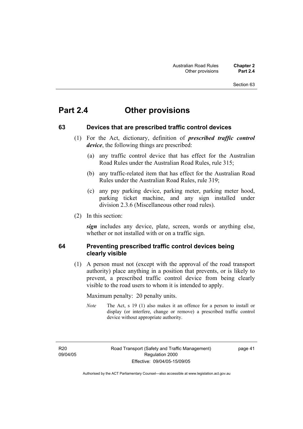# **Part 2.4 Other provisions**

### **63 Devices that are prescribed traffic control devices**

- (1) For the Act, dictionary, definition of *prescribed traffic control device*, the following things are prescribed:
	- (a) any traffic control device that has effect for the Australian Road Rules under the Australian Road Rules, rule 315;
	- (b) any traffic-related item that has effect for the Australian Road Rules under the Australian Road Rules, rule 319;
	- (c) any pay parking device, parking meter, parking meter hood, parking ticket machine, and any sign installed under division 2.3.6 (Miscellaneous other road rules).
- (2) In this section:

*sign* includes any device, plate, screen, words or anything else, whether or not installed with or on a traffic sign.

### **64 Preventing prescribed traffic control devices being clearly visible**

 (1) A person must not (except with the approval of the road transport authority) place anything in a position that prevents, or is likely to prevent, a prescribed traffic control device from being clearly visible to the road users to whom it is intended to apply.

Maximum penalty: 20 penalty units.

*Note* The Act, s 19 (1) also makes it an offence for a person to install or display (or interfere, change or remove) a prescribed traffic control device without appropriate authority.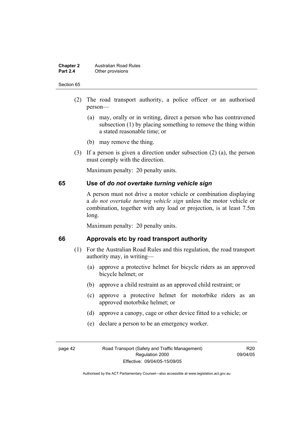#### **Chapter 2 Australian Road Rules**<br>**Part 2.4 Other provisions Other provisions**

#### Section 65

- (2) The road transport authority, a police officer or an authorised person—
	- (a) may, orally or in writing, direct a person who has contravened subsection (1) by placing something to remove the thing within a stated reasonable time; or
	- (b) may remove the thing.
- (3) If a person is given a direction under subsection (2) (a), the person must comply with the direction.

Maximum penalty: 20 penalty units.

### **65 Use of** *do not overtake turning vehicle sign*

A person must not drive a motor vehicle or combination displaying a *do not overtake turning vehicle sign* unless the motor vehicle or combination, together with any load or projection, is at least 7.5m long.

Maximum penalty: 20 penalty units.

### **66 Approvals etc by road transport authority**

- (1) For the Australian Road Rules and this regulation, the road transport authority may, in writing—
	- (a) approve a protective helmet for bicycle riders as an approved bicycle helmet; or
	- (b) approve a child restraint as an approved child restraint; or
	- (c) approve a protective helmet for motorbike riders as an approved motorbike helmet; or
	- (d) approve a canopy, cage or other device fitted to a vehicle; or
	- (e) declare a person to be an emergency worker.

R20 09/04/05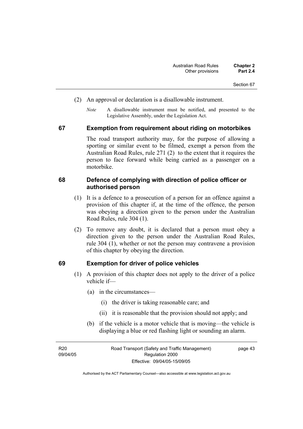- (2) An approval or declaration is a disallowable instrument.
	- *Note* A disallowable instrument must be notified, and presented to the Legislative Assembly, under the Legislation Act.

### **67 Exemption from requirement about riding on motorbikes**

The road transport authority may, for the purpose of allowing a sporting or similar event to be filmed, exempt a person from the Australian Road Rules, rule 271 (2) to the extent that it requires the person to face forward while being carried as a passenger on a motorbike.

### **68 Defence of complying with direction of police officer or authorised person**

- (1) It is a defence to a prosecution of a person for an offence against a provision of this chapter if, at the time of the offence, the person was obeying a direction given to the person under the Australian Road Rules, rule 304 (1).
- (2) To remove any doubt, it is declared that a person must obey a direction given to the person under the Australian Road Rules, rule 304 (1), whether or not the person may contravene a provision of this chapter by obeying the direction.

### **69 Exemption for driver of police vehicles**

- (1) A provision of this chapter does not apply to the driver of a police vehicle if—
	- (a) in the circumstances—
		- (i) the driver is taking reasonable care; and
		- (ii) it is reasonable that the provision should not apply; and
	- (b) if the vehicle is a motor vehicle that is moving—the vehicle is displaying a blue or red flashing light or sounding an alarm.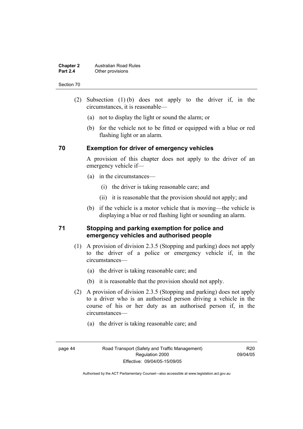#### **Chapter 2 Australian Road Rules**<br>**Part 2.4 Other provisions Other provisions**

#### Section 70

- (2) Subsection (1) (b) does not apply to the driver if, in the circumstances, it is reasonable—
	- (a) not to display the light or sound the alarm; or
	- (b) for the vehicle not to be fitted or equipped with a blue or red flashing light or an alarm.

### **70 Exemption for driver of emergency vehicles**

A provision of this chapter does not apply to the driver of an emergency vehicle if—

- (a) in the circumstances—
	- (i) the driver is taking reasonable care; and
	- (ii) it is reasonable that the provision should not apply; and
- (b) if the vehicle is a motor vehicle that is moving—the vehicle is displaying a blue or red flashing light or sounding an alarm.

### **71 Stopping and parking exemption for police and emergency vehicles and authorised people**

- (1) A provision of division 2.3.5 (Stopping and parking) does not apply to the driver of a police or emergency vehicle if, in the circumstances—
	- (a) the driver is taking reasonable care; and
	- (b) it is reasonable that the provision should not apply.
- (2) A provision of division 2.3.5 (Stopping and parking) does not apply to a driver who is an authorised person driving a vehicle in the course of his or her duty as an authorised person if, in the circumstances—
	- (a) the driver is taking reasonable care; and
- 

R20 09/04/05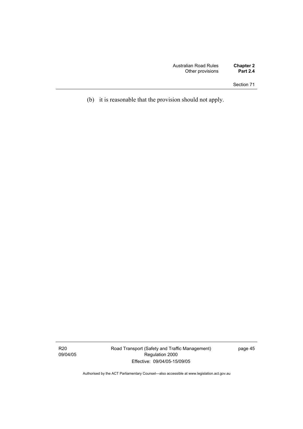(b) it is reasonable that the provision should not apply.

R20 09/04/05 Road Transport (Safety and Traffic Management) Regulation 2000 Effective: 09/04/05-15/09/05

page 45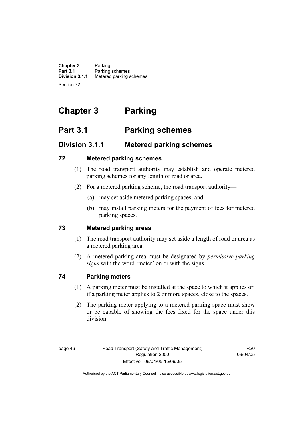**Chapter 3** Parking<br>**Part 3.1** Parking **Part 3.1** Parking schemes<br>**Division 3.1.1** Metered parking s **Division 3.1.1** Metered parking schemes Section 72

# **Chapter 3 Parking**

# **Part 3.1 Parking schemes**

# **Division 3.1.1 Metered parking schemes**

# **72 Metered parking schemes**

- (1) The road transport authority may establish and operate metered parking schemes for any length of road or area.
- (2) For a metered parking scheme, the road transport authority—
	- (a) may set aside metered parking spaces; and
	- (b) may install parking meters for the payment of fees for metered parking spaces.

# **73 Metered parking areas**

- (1) The road transport authority may set aside a length of road or area as a metered parking area.
- (2) A metered parking area must be designated by *permissive parking signs* with the word 'meter' on or with the signs.

# **74 Parking meters**

- (1) A parking meter must be installed at the space to which it applies or, if a parking meter applies to 2 or more spaces, close to the spaces.
- (2) The parking meter applying to a metered parking space must show or be capable of showing the fees fixed for the space under this division.

R20 09/04/05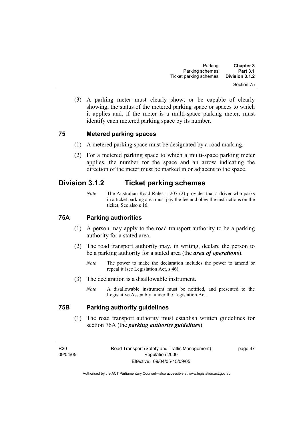(3) A parking meter must clearly show, or be capable of clearly showing, the status of the metered parking space or spaces to which it applies and, if the meter is a multi-space parking meter, must identify each metered parking space by its number.

### **75 Metered parking spaces**

- (1) A metered parking space must be designated by a road marking.
- (2) For a metered parking space to which a multi-space parking meter applies, the number for the space and an arrow indicating the direction of the meter must be marked in or adjacent to the space.

# **Division 3.1.2 Ticket parking schemes**

*Note* The Australian Road Rules, r 207 (2) provides that a driver who parks in a ticket parking area must pay the fee and obey the instructions on the ticket. See also s 16.

### **75A Parking authorities**

- (1) A person may apply to the road transport authority to be a parking authority for a stated area.
- (2) The road transport authority may, in writing, declare the person to be a parking authority for a stated area (the *area of operations*).
	- *Note* The power to make the declaration includes the power to amend or repeal it (see Legislation Act, s 46).
- (3) The declaration is a disallowable instrument.
	- *Note* A disallowable instrument must be notified, and presented to the Legislative Assembly, under the Legislation Act.

### **75B Parking authority guidelines**

 (1) The road transport authority must establish written guidelines for section 76A (the *parking authority guidelines*).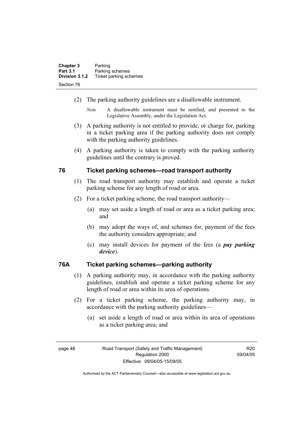| <b>Chapter 3</b> | Parking                |
|------------------|------------------------|
| <b>Part 3.1</b>  | Parking schemes        |
| Division 3.1.2   | Ticket parking schemes |
| Section 76       |                        |

- (2) The parking authority guidelines are a disallowable instrument.
	- *Note* A disallowable instrument must be notified, and presented to the Legislative Assembly, under the Legislation Act.
- (3) A parking authority is not entitled to provide, or charge for, parking in a ticket parking area if the parking authority does not comply with the parking authority guidelines.
- (4) A parking authority is taken to comply with the parking authority guidelines until the contrary is proved.

### **76 Ticket parking schemes—road transport authority**

- (1) The road transport authority may establish and operate a ticket parking scheme for any length of road or area.
- (2) For a ticket parking scheme, the road transport authority—
	- (a) may set aside a length of road or area as a ticket parking area; and
	- (b) may adopt the ways of, and schemes for, payment of the fees the authority considers appropriate; and
	- (c) may install devices for payment of the fees (a *pay parking device*).

### **76A Ticket parking schemes—parking authority**

- (1) A parking authority may, in accordance with the parking authority guidelines, establish and operate a ticket parking scheme for any length of road or area within its area of operations.
- (2) For a ticket parking scheme, the parking authority may, in accordance with the parking authority guidelines—
	- (a) set aside a length of road or area within its area of operations as a ticket parking area; and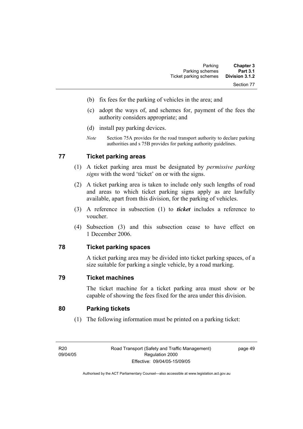- (b) fix fees for the parking of vehicles in the area; and
- (c) adopt the ways of, and schemes for, payment of the fees the authority considers appropriate; and
- (d) install pay parking devices.
- *Note* Section 75A provides for the road transport authority to declare parking authorities and s 75B provides for parking authority guidelines.

# **77 Ticket parking areas**

- (1) A ticket parking area must be designated by *permissive parking signs* with the word 'ticket' on or with the signs.
- (2) A ticket parking area is taken to include only such lengths of road and areas to which ticket parking signs apply as are lawfully available, apart from this division, for the parking of vehicles.
- (3) A reference in subsection (1) to *ticket* includes a reference to voucher.
- (4) Subsection (3) and this subsection cease to have effect on 1 December 2006.

### **78 Ticket parking spaces**

A ticket parking area may be divided into ticket parking spaces, of a size suitable for parking a single vehicle, by a road marking.

### **79 Ticket machines**

The ticket machine for a ticket parking area must show or be capable of showing the fees fixed for the area under this division.

### **80 Parking tickets**

(1) The following information must be printed on a parking ticket: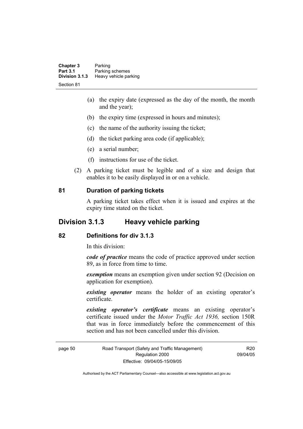| <b>Chapter 3</b><br><b>Part 3.1</b> | Parking<br>Parking schemes |  |
|-------------------------------------|----------------------------|--|
| Division 3.1.3                      | Heavy vehicle parking      |  |
| Section 81                          |                            |  |

- (a) the expiry date (expressed as the day of the month, the month and the year);
- (b) the expiry time (expressed in hours and minutes);
- (c) the name of the authority issuing the ticket;
- (d) the ticket parking area code (if applicable);
- (e) a serial number;
- (f) instructions for use of the ticket.
- (2) A parking ticket must be legible and of a size and design that enables it to be easily displayed in or on a vehicle.

### **81 Duration of parking tickets**

A parking ticket takes effect when it is issued and expires at the expiry time stated on the ticket.

# **Division 3.1.3 Heavy vehicle parking**

### **82 Definitions for div 3.1.3**

In this division:

*code of practice* means the code of practice approved under section 89, as in force from time to time.

*exemption* means an exemption given under section 92 (Decision on application for exemption).

*existing operator* means the holder of an existing operator's certificate.

*existing operator's certificate* means an existing operator's certificate issued under the *Motor Traffic Act 1936,* section 150R that was in force immediately before the commencement of this section and has not been cancelled under this division.

page 50 Road Transport (Safety and Traffic Management) Regulation 2000 Effective: 09/04/05-15/09/05

R20 09/04/05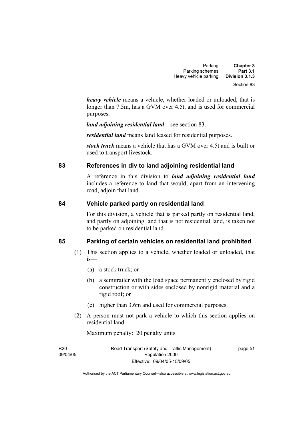| <b>Chapter 3</b> | Parking               |
|------------------|-----------------------|
| <b>Part 3.1</b>  | Parking schemes       |
| Division 3.1.3   | Heavy vehicle parking |
| Section 83       |                       |

*heavy vehicle* means a vehicle, whether loaded or unloaded, that is longer than 7.5m, has a GVM over 4.5t, and is used for commercial purposes.

*land adjoining residential land*—see section 83.

*residential land* means land leased for residential purposes.

*stock truck* means a vehicle that has a GVM over 4.5t and is built or used to transport livestock.

### **83 References in div to land adjoining residential land**

A reference in this division to *land adjoining residential land* includes a reference to land that would, apart from an intervening road, adjoin that land.

### **84 Vehicle parked partly on residential land**

For this division, a vehicle that is parked partly on residential land, and partly on adjoining land that is not residential land, is taken not to be parked on residential land.

### **85 Parking of certain vehicles on residential land prohibited**

- (1) This section applies to a vehicle, whether loaded or unloaded, that is—
	- (a) a stock truck; or
	- (b) a semitrailer with the load space permanently enclosed by rigid construction or with sides enclosed by nonrigid material and a rigid roof; or
	- (c) higher than 3.6m and used for commercial purposes.
- (2) A person must not park a vehicle to which this section applies on residential land.

Maximum penalty: 20 penalty units.

| R20      | Road Transport (Safety and Traffic Management) | page 51 |
|----------|------------------------------------------------|---------|
| 09/04/05 | Regulation 2000                                |         |
|          | Effective: 09/04/05-15/09/05                   |         |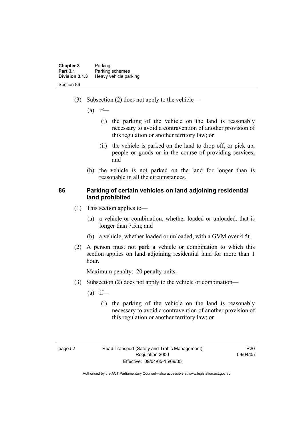| <b>Chapter 3</b> | Parking               |
|------------------|-----------------------|
| <b>Part 3.1</b>  | Parking schemes       |
| Division 3.1.3   | Heavy vehicle parking |
| Section 86       |                       |

- (3) Subsection (2) does not apply to the vehicle—
	- $(a)$  if—
		- (i) the parking of the vehicle on the land is reasonably necessary to avoid a contravention of another provision of this regulation or another territory law; or
		- (ii) the vehicle is parked on the land to drop off, or pick up, people or goods or in the course of providing services; and
	- (b) the vehicle is not parked on the land for longer than is reasonable in all the circumstances.

### **86 Parking of certain vehicles on land adjoining residential land prohibited**

- (1) This section applies to—
	- (a) a vehicle or combination, whether loaded or unloaded, that is longer than 7.5m; and
	- (b) a vehicle, whether loaded or unloaded, with a GVM over 4.5t.
- (2) A person must not park a vehicle or combination to which this section applies on land adjoining residential land for more than 1 hour.

Maximum penalty: 20 penalty units.

- (3) Subsection (2) does not apply to the vehicle or combination—
	- $(a)$  if—
		- (i) the parking of the vehicle on the land is reasonably necessary to avoid a contravention of another provision of this regulation or another territory law; or

R20 09/04/05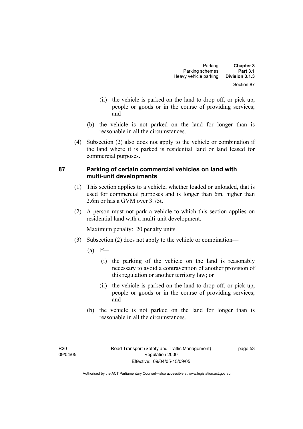- (ii) the vehicle is parked on the land to drop off, or pick up, people or goods or in the course of providing services; and
- (b) the vehicle is not parked on the land for longer than is reasonable in all the circumstances.
- (4) Subsection (2) also does not apply to the vehicle or combination if the land where it is parked is residential land or land leased for commercial purposes.

### **87 Parking of certain commercial vehicles on land with multi-unit developments**

- (1) This section applies to a vehicle, whether loaded or unloaded, that is used for commercial purposes and is longer than 6m, higher than 2.6m or has a GVM over 3.75t.
- (2) A person must not park a vehicle to which this section applies on residential land with a multi-unit development.

Maximum penalty: 20 penalty units.

- (3) Subsection (2) does not apply to the vehicle or combination—
	- $(a)$  if—
		- (i) the parking of the vehicle on the land is reasonably necessary to avoid a contravention of another provision of this regulation or another territory law; or
		- (ii) the vehicle is parked on the land to drop off, or pick up, people or goods or in the course of providing services; and
	- (b) the vehicle is not parked on the land for longer than is reasonable in all the circumstances.

page 53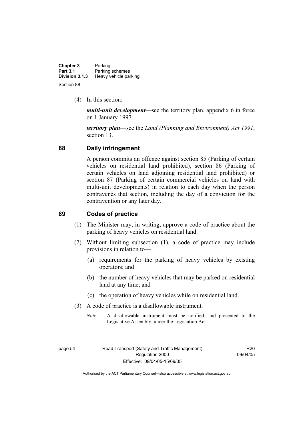| <b>Chapter 3</b> | Parking               |
|------------------|-----------------------|
| <b>Part 3.1</b>  | Parking schemes       |
| Division 3.1.3   | Heavy vehicle parking |
| Section 88       |                       |

(4) In this section:

*multi-unit development*—see the territory plan, appendix 6 in force on 1 January 1997.

*territory plan*—see the *Land (Planning and Environment) Act 1991*, section 13.

### **88 Daily infringement**

A person commits an offence against section 85 (Parking of certain vehicles on residential land prohibited), section 86 (Parking of certain vehicles on land adjoining residential land prohibited) or section 87 (Parking of certain commercial vehicles on land with multi-unit developments) in relation to each day when the person contravenes that section, including the day of a conviction for the contravention or any later day.

### **89 Codes of practice**

- (1) The Minister may, in writing, approve a code of practice about the parking of heavy vehicles on residential land.
- (2) Without limiting subsection (1), a code of practice may include provisions in relation to—
	- (a) requirements for the parking of heavy vehicles by existing operators; and
	- (b) the number of heavy vehicles that may be parked on residential land at any time; and
	- (c) the operation of heavy vehicles while on residential land.
- (3) A code of practice is a disallowable instrument.
	- *Note* A disallowable instrument must be notified, and presented to the Legislative Assembly, under the Legislation Act.

R20 09/04/05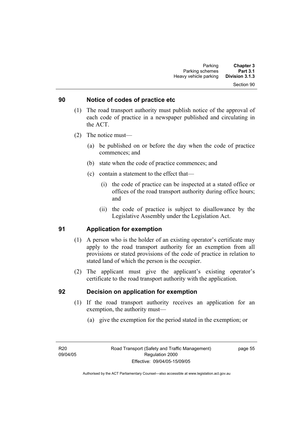#### Section 90

### **90 Notice of codes of practice etc**

- (1) The road transport authority must publish notice of the approval of each code of practice in a newspaper published and circulating in the ACT.
- (2) The notice must—
	- (a) be published on or before the day when the code of practice commences; and
	- (b) state when the code of practice commences; and
	- (c) contain a statement to the effect that—
		- (i) the code of practice can be inspected at a stated office or offices of the road transport authority during office hours; and
		- (ii) the code of practice is subject to disallowance by the Legislative Assembly under the Legislation Act.

### **91 Application for exemption**

- (1) A person who is the holder of an existing operator's certificate may apply to the road transport authority for an exemption from all provisions or stated provisions of the code of practice in relation to stated land of which the person is the occupier.
- (2) The applicant must give the applicant's existing operator's certificate to the road transport authority with the application.

### **92 Decision on application for exemption**

- (1) If the road transport authority receives an application for an exemption, the authority must—
	- (a) give the exemption for the period stated in the exemption; or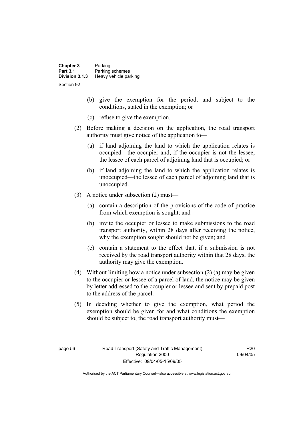| <b>Chapter 3</b><br><b>Part 3.1</b> | Parking<br>Parking schemes |  |
|-------------------------------------|----------------------------|--|
| Division 3.1.3                      | Heavy vehicle parking      |  |
| Section 92                          |                            |  |

- (b) give the exemption for the period, and subject to the conditions, stated in the exemption; or
- (c) refuse to give the exemption.
- (2) Before making a decision on the application, the road transport authority must give notice of the application to—
	- (a) if land adjoining the land to which the application relates is occupied—the occupier and, if the occupier is not the lessee, the lessee of each parcel of adjoining land that is occupied; or
	- (b) if land adjoining the land to which the application relates is unoccupied—the lessee of each parcel of adjoining land that is unoccupied.
- (3) A notice under subsection (2) must—
	- (a) contain a description of the provisions of the code of practice from which exemption is sought; and
	- (b) invite the occupier or lessee to make submissions to the road transport authority, within 28 days after receiving the notice, why the exemption sought should not be given; and
	- (c) contain a statement to the effect that, if a submission is not received by the road transport authority within that 28 days, the authority may give the exemption.
- (4) Without limiting how a notice under subsection (2) (a) may be given to the occupier or lessee of a parcel of land, the notice may be given by letter addressed to the occupier or lessee and sent by prepaid post to the address of the parcel.
- (5) In deciding whether to give the exemption, what period the exemption should be given for and what conditions the exemption should be subject to, the road transport authority must—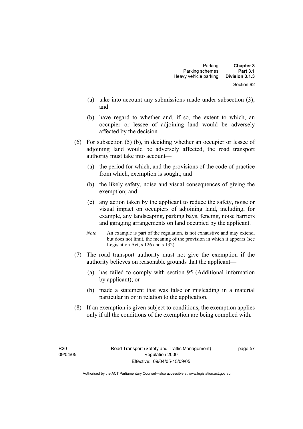- (a) take into account any submissions made under subsection (3); and
- (b) have regard to whether and, if so, the extent to which, an occupier or lessee of adjoining land would be adversely affected by the decision.
- (6) For subsection (5) (b), in deciding whether an occupier or lessee of adjoining land would be adversely affected, the road transport authority must take into account—
	- (a) the period for which, and the provisions of the code of practice from which, exemption is sought; and
	- (b) the likely safety, noise and visual consequences of giving the exemption; and
	- (c) any action taken by the applicant to reduce the safety, noise or visual impact on occupiers of adjoining land, including, for example, any landscaping, parking bays, fencing, noise barriers and garaging arrangements on land occupied by the applicant.
	- *Note* An example is part of the regulation, is not exhaustive and may extend, but does not limit, the meaning of the provision in which it appears (see Legislation Act, s 126 and s 132).
- (7) The road transport authority must not give the exemption if the authority believes on reasonable grounds that the applicant—
	- (a) has failed to comply with section 95 (Additional information by applicant); or
	- (b) made a statement that was false or misleading in a material particular in or in relation to the application.
- (8) If an exemption is given subject to conditions, the exemption applies only if all the conditions of the exemption are being complied with.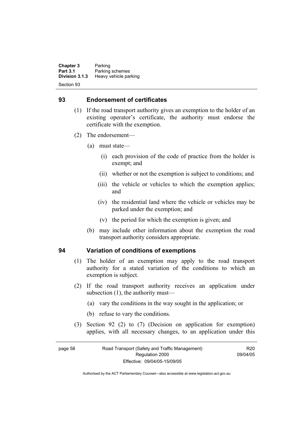**Chapter 3** Parking<br>**Part 3.1** Parking **Part 3.1** Parking schemes<br>Division 3.1.3 Heavy vehicle part **Division 3.1.3** Heavy vehicle parking Section 93

### **93 Endorsement of certificates**

- (1) If the road transport authority gives an exemption to the holder of an existing operator's certificate, the authority must endorse the certificate with the exemption.
- (2) The endorsement—
	- (a) must state—
		- (i) each provision of the code of practice from the holder is exempt; and
		- (ii) whether or not the exemption is subject to conditions; and
		- (iii) the vehicle or vehicles to which the exemption applies; and
		- (iv) the residential land where the vehicle or vehicles may be parked under the exemption; and
		- (v) the period for which the exemption is given; and
	- (b) may include other information about the exemption the road transport authority considers appropriate.

### **94 Variation of conditions of exemptions**

- (1) The holder of an exemption may apply to the road transport authority for a stated variation of the conditions to which an exemption is subject.
- (2) If the road transport authority receives an application under subsection (1), the authority must—
	- (a) vary the conditions in the way sought in the application; or
	- (b) refuse to vary the conditions.
- (3) Section 92 (2) to (7) (Decision on application for exemption) applies, with all necessary changes, to an application under this

R20 09/04/05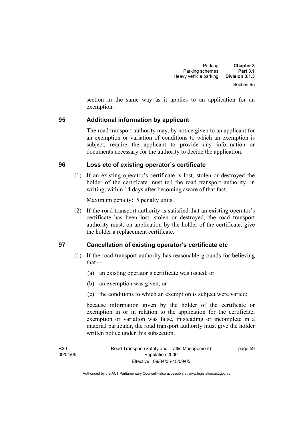section in the same way as it applies to an application for an exemption.

# **95 Additional information by applicant**

The road transport authority may, by notice given to an applicant for an exemption or variation of conditions to which an exemption is subject, require the applicant to provide any information or documents necessary for the authority to decide the application.

### **96 Loss etc of existing operator's certificate**

 (1) If an existing operator's certificate is lost, stolen or destroyed the holder of the certificate must tell the road transport authority, in writing, within 14 days after becoming aware of that fact.

Maximum penalty: 5 penalty units.

 (2) If the road transport authority is satisfied that an existing operator's certificate has been lost, stolen or destroyed, the road transport authority must, on application by the holder of the certificate, give the holder a replacement certificate.

### **97 Cancellation of existing operator's certificate etc**

- (1) If the road transport authority has reasonable grounds for believing that—
	- (a) an existing operator's certificate was issued; or
	- (b) an exemption was given; or
	- (c) the conditions to which an exemption is subject were varied;

because information given by the holder of the certificate or exemption in or in relation to the application for the certificate, exemption or variation was false, misleading or incomplete in a material particular, the road transport authority must give the holder written notice under this subsection.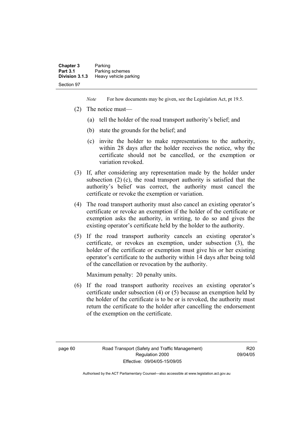| <b>Chapter 3</b> | Parking               |
|------------------|-----------------------|
| <b>Part 3.1</b>  | Parking schemes       |
| Division 3.1.3   | Heavy vehicle parking |
| Section 97       |                       |

*Note* For how documents may be given, see the Legislation Act, pt 19.5.

- (2) The notice must—
	- (a) tell the holder of the road transport authority's belief; and
	- (b) state the grounds for the belief; and
	- (c) invite the holder to make representations to the authority, within 28 days after the holder receives the notice, why the certificate should not be cancelled, or the exemption or variation revoked.
- (3) If, after considering any representation made by the holder under subsection (2) (c), the road transport authority is satisfied that the authority's belief was correct, the authority must cancel the certificate or revoke the exemption or variation.
- (4) The road transport authority must also cancel an existing operator's certificate or revoke an exemption if the holder of the certificate or exemption asks the authority, in writing, to do so and gives the existing operator's certificate held by the holder to the authority.
- (5) If the road transport authority cancels an existing operator's certificate, or revokes an exemption, under subsection (3), the holder of the certificate or exemption must give his or her existing operator's certificate to the authority within 14 days after being told of the cancellation or revocation by the authority.

Maximum penalty: 20 penalty units.

 (6) If the road transport authority receives an existing operator's certificate under subsection (4) or (5) because an exemption held by the holder of the certificate is to be or is revoked, the authority must return the certificate to the holder after cancelling the endorsement of the exemption on the certificate.

R20 09/04/05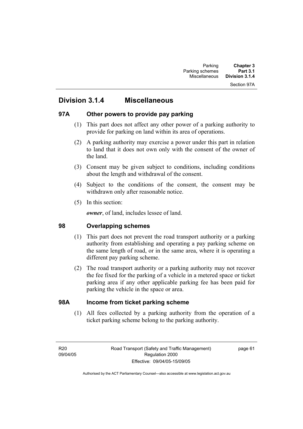### Section 97A

# **Division 3.1.4 Miscellaneous**

### **97A Other powers to provide pay parking**

- (1) This part does not affect any other power of a parking authority to provide for parking on land within its area of operations.
- (2) A parking authority may exercise a power under this part in relation to land that it does not own only with the consent of the owner of the land.
- (3) Consent may be given subject to conditions, including conditions about the length and withdrawal of the consent.
- (4) Subject to the conditions of the consent, the consent may be withdrawn only after reasonable notice.
- (5) In this section:

*owner*, of land, includes lessee of land.

### **98 Overlapping schemes**

- (1) This part does not prevent the road transport authority or a parking authority from establishing and operating a pay parking scheme on the same length of road, or in the same area, where it is operating a different pay parking scheme.
- (2) The road transport authority or a parking authority may not recover the fee fixed for the parking of a vehicle in a metered space or ticket parking area if any other applicable parking fee has been paid for parking the vehicle in the space or area.

### **98A Income from ticket parking scheme**

 (1) All fees collected by a parking authority from the operation of a ticket parking scheme belong to the parking authority.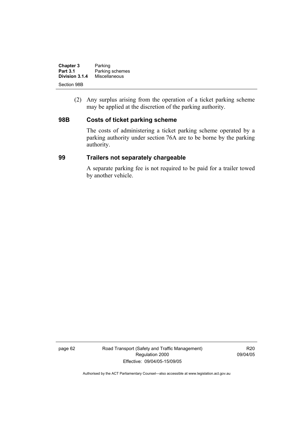| <b>Chapter 3</b> | Parking         |
|------------------|-----------------|
| <b>Part 3.1</b>  | Parking schemes |
| Division 3.1.4   | Miscellaneous   |
| Section 98B      |                 |

 (2) Any surplus arising from the operation of a ticket parking scheme may be applied at the discretion of the parking authority.

### **98B Costs of ticket parking scheme**

The costs of administering a ticket parking scheme operated by a parking authority under section 76A are to be borne by the parking authority.

### **99 Trailers not separately chargeable**

A separate parking fee is not required to be paid for a trailer towed by another vehicle.

page 62 Road Transport (Safety and Traffic Management) Regulation 2000 Effective: 09/04/05-15/09/05

R20 09/04/05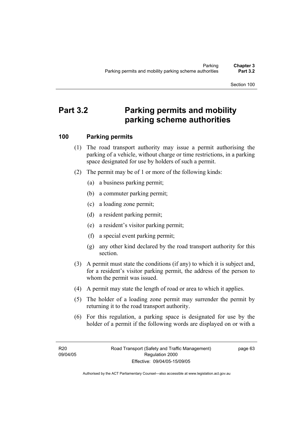# **Part 3.2 Parking permits and mobility parking scheme authorities**

# **100 Parking permits**

- (1) The road transport authority may issue a permit authorising the parking of a vehicle, without charge or time restrictions, in a parking space designated for use by holders of such a permit.
- (2) The permit may be of 1 or more of the following kinds:
	- (a) a business parking permit;
	- (b) a commuter parking permit;
	- (c) a loading zone permit;
	- (d) a resident parking permit;
	- (e) a resident's visitor parking permit;
	- (f) a special event parking permit;
	- (g) any other kind declared by the road transport authority for this section.
- (3) A permit must state the conditions (if any) to which it is subject and, for a resident's visitor parking permit, the address of the person to whom the permit was issued.
- (4) A permit may state the length of road or area to which it applies.
- (5) The holder of a loading zone permit may surrender the permit by returning it to the road transport authority.
- (6) For this regulation, a parking space is designated for use by the holder of a permit if the following words are displayed on or with a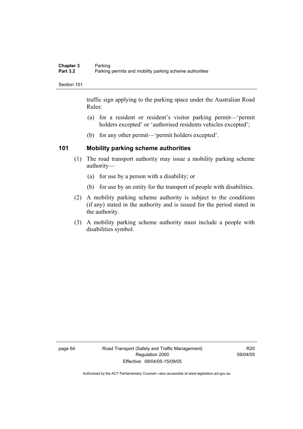traffic sign applying to the parking space under the Australian Road Rules:

- (a) for a resident or resident's visitor parking permit—'permit holders excepted' or 'authorised residents vehicles excepted';
- (b) for any other permit—'permit holders excepted'.

## **101 Mobility parking scheme authorities**

- (1) The road transport authority may issue a mobility parking scheme authority—
	- (a) for use by a person with a disability; or
	- (b) for use by an entity for the transport of people with disabilities.
- (2) A mobility parking scheme authority is subject to the conditions (if any) stated in the authority and is issued for the period stated in the authority.
- (3) A mobility parking scheme authority must include a people with disabilities symbol.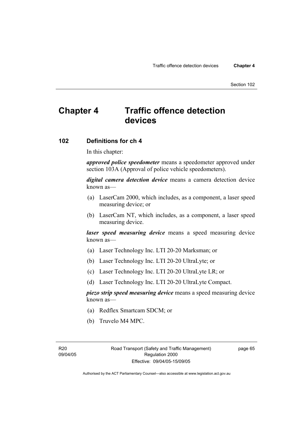# **Chapter 4 Traffic offence detection devices**

## **102 Definitions for ch 4**

In this chapter:

*approved police speedometer* means a speedometer approved under section 103A (Approval of police vehicle speedometers).

*digital camera detection device* means a camera detection device known as—

- (a) LaserCam 2000, which includes, as a component, a laser speed measuring device; or
- (b) LaserCam NT, which includes, as a component, a laser speed measuring device.

*laser speed measuring device* means a speed measuring device known as—

- (a) Laser Technology Inc. LTI 20-20 Marksman; or
- (b) Laser Technology Inc. LTI 20-20 UltraLyte; or
- (c) Laser Technology Inc. LTI 20-20 UltraLyte LR; or
- (d) Laser Technology Inc. LTI 20-20 UltraLyte Compact.

*piezo strip speed measuring device* means a speed measuring device known as—

- (a) Redflex Smartcam SDCM; or
- (b) Truvelo M4 MPC.

page 65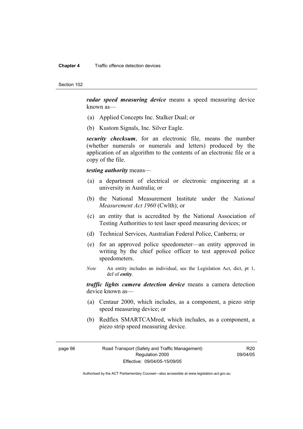#### **Chapter 4** Traffic offence detection devices

Section 102

*radar speed measuring device* means a speed measuring device known as—

- (a) Applied Concepts Inc. Stalker Dual; or
- (b) Kustom Signals, Inc. Silver Eagle.

*security checksum*, for an electronic file, means the number (whether numerals or numerals and letters) produced by the application of an algorithm to the contents of an electronic file or a copy of the file.

## *testing authority* means—

- (a) a department of electrical or electronic engineering at a university in Australia; or
- (b) the National Measurement Institute under the *National Measurement Act 1960* (Cwlth); or
- (c) an entity that is accredited by the National Association of Testing Authorities to test laser speed measuring devices; or
- (d) Technical Services, Australian Federal Police, Canberra; or
- (e) for an approved police speedometer—an entity approved in writing by the chief police officer to test approved police speedometers.
- *Note* An entity includes an individual, see the Legislation Act, dict, pt 1, def of *entity*.

*traffic lights camera detection device* means a camera detection device known as—

- (a) Centaur 2000, which includes, as a component, a piezo strip speed measuring device; or
- (b) Redflex SMARTCAMred, which includes, as a component, a piezo strip speed measuring device.

page 66 Road Transport (Safety and Traffic Management) Regulation 2000 Effective: 09/04/05-15/09/05

R20 09/04/05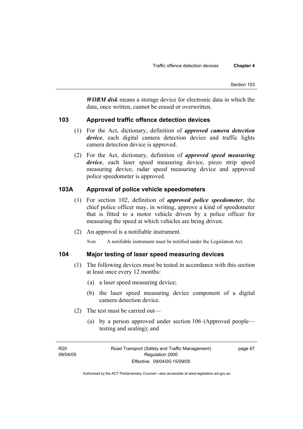*WORM disk* means a storage device for electronic data in which the data, once written, cannot be erased or overwritten.

## **103 Approved traffic offence detection devices**

- (1) For the Act, dictionary, definition of *approved camera detection device*, each digital camera detection device and traffic lights camera detection device is approved.
- (2) For the Act, dictionary, definition of *approved speed measuring device*, each laser speed measuring device, piezo strip speed measuring device, radar speed measuring device and approved police speedometer is approved.

# **103A Approval of police vehicle speedometers**

- (1) For section 102, definition of *approved police speedometer*, the chief police officer may, in writing, approve a kind of speedometer that is fitted to a motor vehicle driven by a police officer for measuring the speed at which vehicles are being driven.
- (2) An approval is a notifiable instrument.

*Note* A notifiable instrument must be notified under the Legislation Act.

# **104 Major testing of laser speed measuring devices**

- (1) The following devices must be tested in accordance with this section at least once every 12 months:
	- (a) a laser speed measuring device;
	- (b) the laser speed measuring device component of a digital camera detection device.
- (2) The test must be carried out—
	- (a) by a person approved under section 106 (Approved people testing and sealing); and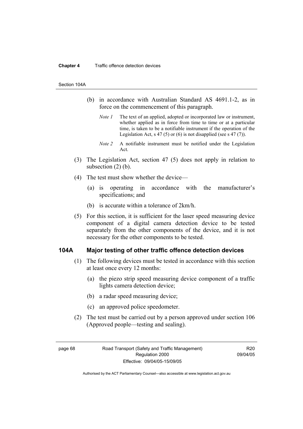#### **Chapter 4** Traffic offence detection devices

#### Section 104A

- (b) in accordance with Australian Standard AS 4691.1-2, as in force on the commencement of this paragraph.
	- *Note 1* The text of an applied, adopted or incorporated law or instrument, whether applied as in force from time to time or at a particular time, is taken to be a notifiable instrument if the operation of the Legislation Act, s 47 (5) or (6) is not disapplied (see s 47 (7)).
	- *Note 2* A notifiable instrument must be notified under the Legislation Act.
- (3) The Legislation Act, section 47 (5) does not apply in relation to subsection  $(2)$  (b).
- (4) The test must show whether the device—
	- (a) is operating in accordance with the manufacturer's specifications; and
	- (b) is accurate within a tolerance of 2km/h.
- (5) For this section, it is sufficient for the laser speed measuring device component of a digital camera detection device to be tested separately from the other components of the device, and it is not necessary for the other components to be tested.

## **104A Major testing of other traffic offence detection devices**

- (1) The following devices must be tested in accordance with this section at least once every 12 months:
	- (a) the piezo strip speed measuring device component of a traffic lights camera detection device;
	- (b) a radar speed measuring device;
	- (c) an approved police speedometer.
- (2) The test must be carried out by a person approved under section 106 (Approved people—testing and sealing).

page 68 Road Transport (Safety and Traffic Management) Regulation 2000 Effective: 09/04/05-15/09/05

R20 09/04/05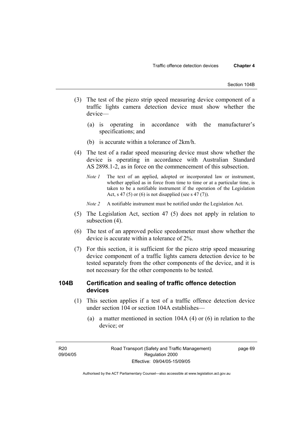- (3) The test of the piezo strip speed measuring device component of a traffic lights camera detection device must show whether the device—
	- (a) is operating in accordance with the manufacturer's specifications; and
	- (b) is accurate within a tolerance of 2km/h.
- (4) The test of a radar speed measuring device must show whether the device is operating in accordance with Australian Standard AS 2898.1-2, as in force on the commencement of this subsection.
	- *Note 1* The text of an applied, adopted or incorporated law or instrument, whether applied as in force from time to time or at a particular time, is taken to be a notifiable instrument if the operation of the Legislation Act, s 47 (5) or (6) is not disapplied (see s 47 (7)).
	- *Note 2* A notifiable instrument must be notified under the Legislation Act.
- (5) The Legislation Act, section 47 (5) does not apply in relation to subsection (4).
- (6) The test of an approved police speedometer must show whether the device is accurate within a tolerance of 2%.
- (7) For this section, it is sufficient for the piezo strip speed measuring device component of a traffic lights camera detection device to be tested separately from the other components of the device, and it is not necessary for the other components to be tested.

## **104B Certification and sealing of traffic offence detection devices**

- (1) This section applies if a test of a traffic offence detection device under section 104 or section 104A establishes—
	- (a) a matter mentioned in section 104A (4) or (6) in relation to the device; or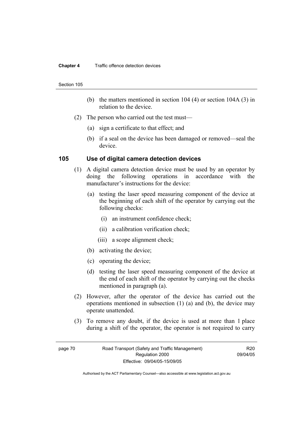#### **Chapter 4** Traffic offence detection devices

#### Section 105

- (b) the matters mentioned in section 104 (4) or section 104A (3) in relation to the device.
- (2) The person who carried out the test must—
	- (a) sign a certificate to that effect; and
	- (b) if a seal on the device has been damaged or removed—seal the device.

## **105 Use of digital camera detection devices**

- (1) A digital camera detection device must be used by an operator by doing the following operations in accordance with the manufacturer's instructions for the device:
	- (a) testing the laser speed measuring component of the device at the beginning of each shift of the operator by carrying out the following checks:
		- (i) an instrument confidence check;
		- (ii) a calibration verification check;
		- (iii) a scope alignment check;
	- (b) activating the device;
	- (c) operating the device;
	- (d) testing the laser speed measuring component of the device at the end of each shift of the operator by carrying out the checks mentioned in paragraph (a).
- (2) However, after the operator of the device has carried out the operations mentioned in subsection (1) (a) and (b), the device may operate unattended.
- (3) To remove any doubt, if the device is used at more than 1 place during a shift of the operator, the operator is not required to carry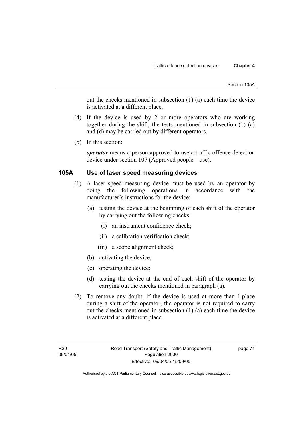out the checks mentioned in subsection (1) (a) each time the device is activated at a different place.

- (4) If the device is used by 2 or more operators who are working together during the shift, the tests mentioned in subsection (1) (a) and (d) may be carried out by different operators.
- (5) In this section:

*operator* means a person approved to use a traffic offence detection device under section 107 (Approved people—use).

## **105A Use of laser speed measuring devices**

- (1) A laser speed measuring device must be used by an operator by doing the following operations in accordance with the manufacturer's instructions for the device:
	- (a) testing the device at the beginning of each shift of the operator by carrying out the following checks:
		- (i) an instrument confidence check;
		- (ii) a calibration verification check;
		- (iii) a scope alignment check;
	- (b) activating the device;
	- (c) operating the device;
	- (d) testing the device at the end of each shift of the operator by carrying out the checks mentioned in paragraph (a).
- (2) To remove any doubt, if the device is used at more than 1 place during a shift of the operator, the operator is not required to carry out the checks mentioned in subsection (1) (a) each time the device is activated at a different place.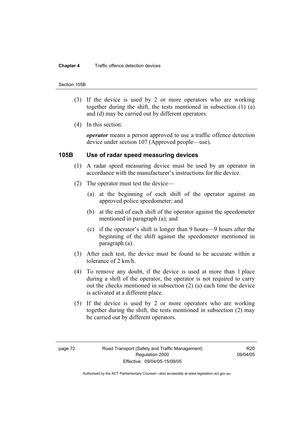#### **Chapter 4** Traffic offence detection devices

#### Section 105B

- (3) If the device is used by 2 or more operators who are working together during the shift, the tests mentioned in subsection (1) (a) and (d) may be carried out by different operators.
- (4) In this section:

*operator* means a person approved to use a traffic offence detection device under section 107 (Approved people—use).

## **105B Use of radar speed measuring devices**

- (1) A radar speed measuring device must be used by an operator in accordance with the manufacturer's instructions for the device.
- (2) The operator must test the device—
	- (a) at the beginning of each shift of the operator against an approved police speedometer; and
	- (b) at the end of each shift of the operator against the speedometer mentioned in paragraph (a); and
	- (c) if the operator's shift is longer than 9 hours—9 hours after the beginning of the shift against the speedometer mentioned in paragraph (a).
- (3) After each test, the device must be found to be accurate within a tolerance of 2 km/h.
- (4) To remove any doubt, if the device is used at more than 1 place during a shift of the operator, the operator is not required to carry out the checks mentioned in subsection (2) (a) each time the device is activated at a different place.
- (5) If the device is used by 2 or more operators who are working together during the shift, the tests mentioned in subsection (2) may be carried out by different operators.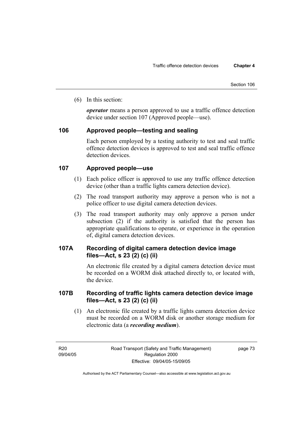(6) In this section:

*operator* means a person approved to use a traffic offence detection device under section 107 (Approved people—use).

## **106 Approved people—testing and sealing**

Each person employed by a testing authority to test and seal traffic offence detection devices is approved to test and seal traffic offence detection devices

## **107 Approved people—use**

- (1) Each police officer is approved to use any traffic offence detection device (other than a traffic lights camera detection device).
- (2) The road transport authority may approve a person who is not a police officer to use digital camera detection devices.
- (3) The road transport authority may only approve a person under subsection (2) if the authority is satisfied that the person has appropriate qualifications to operate, or experience in the operation of, digital camera detection devices.

# **107A Recording of digital camera detection device image files—Act, s 23 (2) (c) (ii)**

An electronic file created by a digital camera detection device must be recorded on a WORM disk attached directly to, or located with, the device.

## **107B Recording of traffic lights camera detection device image files—Act, s 23 (2) (c) (ii)**

 (1) An electronic file created by a traffic lights camera detection device must be recorded on a WORM disk or another storage medium for electronic data (a *recording medium*).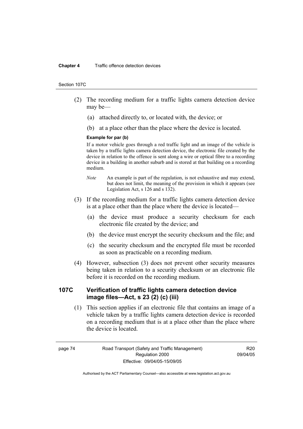#### **Chapter 4** Traffic offence detection devices

#### Section 107C

- (2) The recording medium for a traffic lights camera detection device may be—
	- (a) attached directly to, or located with, the device; or
	- (b) at a place other than the place where the device is located.

## **Example for par (b)**

If a motor vehicle goes through a red traffic light and an image of the vehicle is taken by a traffic lights camera detection device, the electronic file created by the device in relation to the offence is sent along a wire or optical fibre to a recording device in a building in another suburb and is stored at that building on a recording medium.

- *Note* An example is part of the regulation, is not exhaustive and may extend, but does not limit, the meaning of the provision in which it appears (see Legislation Act, s 126 and s 132).
- (3) If the recording medium for a traffic lights camera detection device is at a place other than the place where the device is located—
	- (a) the device must produce a security checksum for each electronic file created by the device; and
	- (b) the device must encrypt the security checksum and the file; and
	- (c) the security checksum and the encrypted file must be recorded as soon as practicable on a recording medium.
- (4) However, subsection (3) does not prevent other security measures being taken in relation to a security checksum or an electronic file before it is recorded on the recording medium.

## **107C Verification of traffic lights camera detection device image files—Act, s 23 (2) (c) (iii)**

 (1) This section applies if an electronic file that contains an image of a vehicle taken by a traffic lights camera detection device is recorded on a recording medium that is at a place other than the place where the device is located.

R20 09/04/05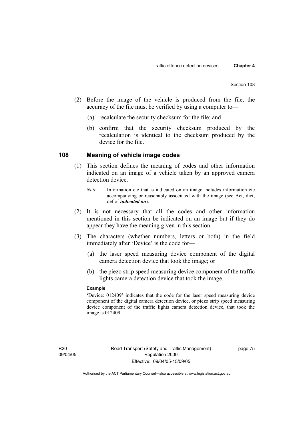- (2) Before the image of the vehicle is produced from the file, the accuracy of the file must be verified by using a computer to—
	- (a) recalculate the security checksum for the file; and
	- (b) confirm that the security checksum produced by the recalculation is identical to the checksum produced by the device for the file.

## **108 Meaning of vehicle image codes**

- (1) This section defines the meaning of codes and other information indicated on an image of a vehicle taken by an approved camera detection device.
	- *Note* Information etc that is indicated on an image includes information etc accompanying or reasonably associated with the image (see Act, dict, def of *indicated on*).
- (2) It is not necessary that all the codes and other information mentioned in this section be indicated on an image but if they do appear they have the meaning given in this section.
- (3) The characters (whether numbers, letters or both) in the field immediately after 'Device' is the code for—
	- (a) the laser speed measuring device component of the digital camera detection device that took the image; or
	- (b) the piezo strip speed measuring device component of the traffic lights camera detection device that took the image.

## **Example**

'Device: 012409' indicates that the code for the laser speed measuring device component of the digital camera detection device, or piezo strip speed measuring device component of the traffic lights camera detection device, that took the image is 012409.

page 75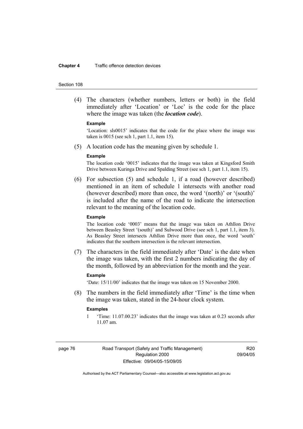#### **Chapter 4** Traffic offence detection devices

#### Section 108

 (4) The characters (whether numbers, letters or both) in the field immediately after 'Location' or 'Loc' is the code for the place where the image was taken (the *location code*).

#### **Example**

'Location: sls0015' indicates that the code for the place where the image was taken is 0015 (see sch 1, part 1.1, item 15).

(5) A location code has the meaning given by schedule 1.

#### **Example**

The location code '0015' indicates that the image was taken at Kingsford Smith Drive between Kuringa Drive and Spalding Street (see sch 1, part 1.1, item 15).

 (6) For subsection (5) and schedule 1, if a road (however described) mentioned in an item of schedule 1 intersects with another road (however described) more than once, the word '(north)' or '(south)' is included after the name of the road to indicate the intersection relevant to the meaning of the location code.

#### **Example**

The location code '0003' means that the image was taken on Athllon Drive between Beasley Street '(south)' and Sulwood Drive (see sch 1, part 1.1, item 3). As Beasley Street intersects Athllon Drive more than once, the word 'south' indicates that the southern intersection is the relevant intersection.

 (7) The characters in the field immediately after 'Date' is the date when the image was taken, with the first 2 numbers indicating the day of the month, followed by an abbreviation for the month and the year.

## **Example**

'Date: 15/11/00' indicates that the image was taken on 15 November 2000.

 (8) The numbers in the field immediately after 'Time' is the time when the image was taken, stated in the 24-hour clock system.

### **Examples**

1 'Time: 11.07.00.23' indicates that the image was taken at 0.23 seconds after 11.07 am.

R20 09/04/05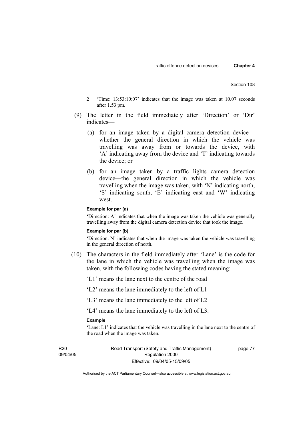- 2 'Time: 13:53:10:07' indicates that the image was taken at 10.07 seconds after 1.53 pm.
- (9) The letter in the field immediately after 'Direction' or 'Dir' indicates—
	- (a) for an image taken by a digital camera detection device whether the general direction in which the vehicle was travelling was away from or towards the device, with 'A' indicating away from the device and 'T' indicating towards the device; or
	- (b) for an image taken by a traffic lights camera detection device—the general direction in which the vehicle was travelling when the image was taken, with 'N' indicating north, 'S' indicating south, 'E' indicating east and 'W' indicating west.

### **Example for par (a)**

'Direction: A' indicates that when the image was taken the vehicle was generally travelling away from the digital camera detection device that took the image.

### **Example for par (b)**

'Direction: N' indicates that when the image was taken the vehicle was travelling in the general direction of north.

 (10) The characters in the field immediately after 'Lane' is the code for the lane in which the vehicle was travelling when the image was taken, with the following codes having the stated meaning:

'L1' means the lane next to the centre of the road

'L2' means the lane immediately to the left of L1

'L3' means the lane immediately to the left of L2

'L4' means the lane immediately to the left of L3.

### **Example**

'Lane: L1' indicates that the vehicle was travelling in the lane next to the centre of the road when the image was taken.

R20 09/04/05 Road Transport (Safety and Traffic Management) Regulation 2000 Effective: 09/04/05-15/09/05

page 77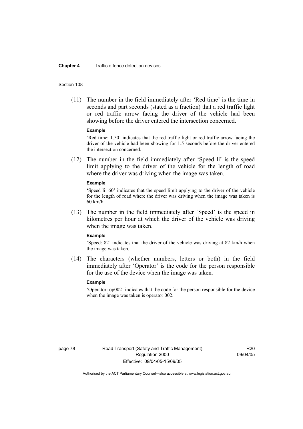#### **Chapter 4** Traffic offence detection devices

#### Section 108

 (11) The number in the field immediately after 'Red time' is the time in seconds and part seconds (stated as a fraction) that a red traffic light or red traffic arrow facing the driver of the vehicle had been showing before the driver entered the intersection concerned.

### **Example**

'Red time: 1.50' indicates that the red traffic light or red traffic arrow facing the driver of the vehicle had been showing for 1.5 seconds before the driver entered the intersection concerned.

 (12) The number in the field immediately after 'Speed li' is the speed limit applying to the driver of the vehicle for the length of road where the driver was driving when the image was taken.

#### **Example**

'Speed li: 60' indicates that the speed limit applying to the driver of the vehicle for the length of road where the driver was driving when the image was taken is 60 km/h.

 (13) The number in the field immediately after 'Speed' is the speed in kilometres per hour at which the driver of the vehicle was driving when the image was taken.

#### **Example**

'Speed: 82' indicates that the driver of the vehicle was driving at 82 km/h when the image was taken.

 (14) The characters (whether numbers, letters or both) in the field immediately after 'Operator' is the code for the person responsible for the use of the device when the image was taken.

#### **Example**

'Operator: op002' indicates that the code for the person responsible for the device when the image was taken is operator 002.

page 78 Road Transport (Safety and Traffic Management) Regulation 2000 Effective: 09/04/05-15/09/05

R20 09/04/05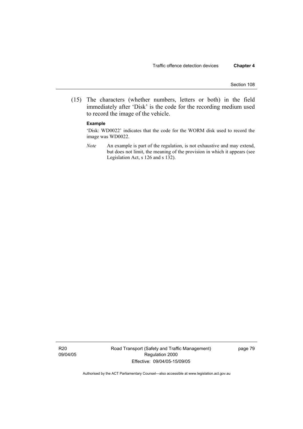(15) The characters (whether numbers, letters or both) in the field immediately after 'Disk' is the code for the recording medium used to record the image of the vehicle.

### **Example**

'Disk: WD0022' indicates that the code for the WORM disk used to record the image was WD0022.

*Note* An example is part of the regulation, is not exhaustive and may extend, but does not limit, the meaning of the provision in which it appears (see Legislation Act, s 126 and s 132).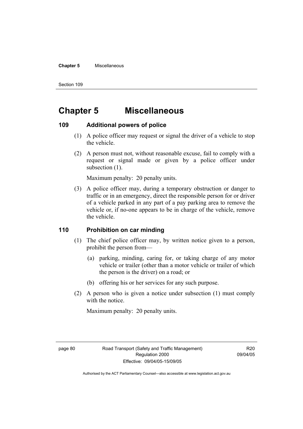### **Chapter 5** Miscellaneous

Section 109

# **Chapter 5 Miscellaneous**

## **109 Additional powers of police**

- (1) A police officer may request or signal the driver of a vehicle to stop the vehicle.
- (2) A person must not, without reasonable excuse, fail to comply with a request or signal made or given by a police officer under subsection  $(1)$ .

Maximum penalty: 20 penalty units.

 (3) A police officer may, during a temporary obstruction or danger to traffic or in an emergency, direct the responsible person for or driver of a vehicle parked in any part of a pay parking area to remove the vehicle or, if no-one appears to be in charge of the vehicle, remove the vehicle.

## **110 Prohibition on car minding**

- (1) The chief police officer may, by written notice given to a person, prohibit the person from—
	- (a) parking, minding, caring for, or taking charge of any motor vehicle or trailer (other than a motor vehicle or trailer of which the person is the driver) on a road; or
	- (b) offering his or her services for any such purpose.
- (2) A person who is given a notice under subsection (1) must comply with the notice.

Maximum penalty: 20 penalty units.

R20 09/04/05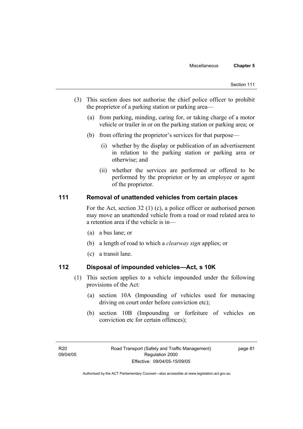- (3) This section does not authorise the chief police officer to prohibit the proprietor of a parking station or parking area—
	- (a) from parking, minding, caring for, or taking charge of a motor vehicle or trailer in or on the parking station or parking area; or
	- (b) from offering the proprietor's services for that purpose—
		- (i) whether by the display or publication of an advertisement in relation to the parking station or parking area or otherwise; and
		- (ii) whether the services are performed or offered to be performed by the proprietor or by an employee or agent of the proprietor.

## **111 Removal of unattended vehicles from certain places**

For the Act, section 32 (1) (c), a police officer or authorised person may move an unattended vehicle from a road or road related area to a retention area if the vehicle is in—

- (a) a bus lane; or
- (b) a length of road to which a *clearway sign* applies; or
- (c) a transit lane.

## **112 Disposal of impounded vehicles—Act, s 10K**

- (1) This section applies to a vehicle impounded under the following provisions of the Act:
	- (a) section 10A (Impounding of vehicles used for menacing driving on court order before conviction etc);
	- (b) section 10B (Impounding or forfeiture of vehicles on conviction etc for certain offences);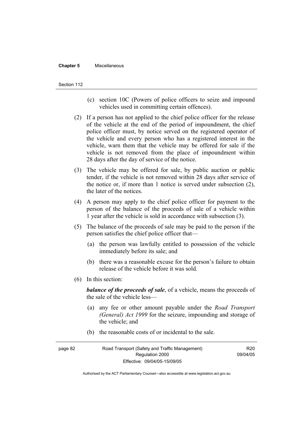#### **Chapter 5** Miscellaneous

#### Section 112

- (c) section 10C (Powers of police officers to seize and impound vehicles used in committing certain offences).
- (2) If a person has not applied to the chief police officer for the release of the vehicle at the end of the period of impoundment, the chief police officer must, by notice served on the registered operator of the vehicle and every person who has a registered interest in the vehicle, warn them that the vehicle may be offered for sale if the vehicle is not removed from the place of impoundment within 28 days after the day of service of the notice.
- (3) The vehicle may be offered for sale, by public auction or public tender, if the vehicle is not removed within 28 days after service of the notice or, if more than 1 notice is served under subsection (2), the later of the notices.
- (4) A person may apply to the chief police officer for payment to the person of the balance of the proceeds of sale of a vehicle within 1 year after the vehicle is sold in accordance with subsection (3).
- (5) The balance of the proceeds of sale may be paid to the person if the person satisfies the chief police officer that—
	- (a) the person was lawfully entitled to possession of the vehicle immediately before its sale; and
	- (b) there was a reasonable excuse for the person's failure to obtain release of the vehicle before it was sold.
- (6) In this section:

*balance of the proceeds of sale*, of a vehicle, means the proceeds of the sale of the vehicle less—

- (a) any fee or other amount payable under the *Road Transport (General) Act 1999* for the seizure, impounding and storage of the vehicle; and
- (b) the reasonable costs of or incidental to the sale.

page 82 Road Transport (Safety and Traffic Management) Regulation 2000 Effective: 09/04/05-15/09/05 R20 09/04/05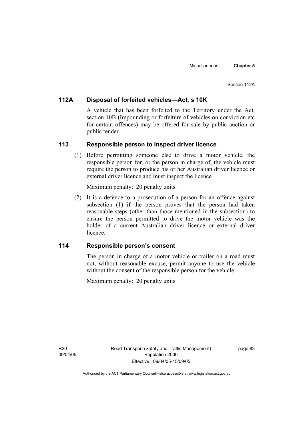# **112A Disposal of forfeited vehicles—Act, s 10K**

A vehicle that has been forfeited to the Territory under the Act, section 10B (Impounding or forfeiture of vehicles on conviction etc for certain offences) may be offered for sale by public auction or public tender.

## **113 Responsible person to inspect driver licence**

 (1) Before permitting someone else to drive a motor vehicle, the responsible person for, or the person in charge of, the vehicle must require the person to produce his or her Australian driver licence or external driver licence and must inspect the licence.

Maximum penalty: 20 penalty units.

 (2) It is a defence to a prosecution of a person for an offence against subsection (1) if the person proves that the person had taken reasonable steps (other than those mentioned in the subsection) to ensure the person permitted to drive the motor vehicle was the holder of a current Australian driver licence or external driver licence.

## **114 Responsible person's consent**

The person in charge of a motor vehicle or trailer on a road must not, without reasonable excuse, permit anyone to use the vehicle without the consent of the responsible person for the vehicle.

Maximum penalty: 20 penalty units.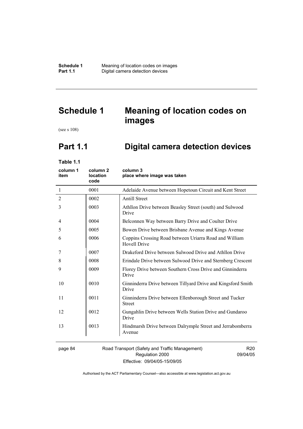# **Schedule 1 Meaning of location codes on images**

(see s 108)

# **Part 1.1 Digital camera detection devices**

**Table 1.1** 

| column 1<br>item | column <sub>2</sub><br>location<br>code | column 3<br>place where image was taken                                       |
|------------------|-----------------------------------------|-------------------------------------------------------------------------------|
| $\mathbf{1}$     | 0001                                    | Adelaide Avenue between Hopetoun Circuit and Kent Street                      |
| $\overline{2}$   | 0002                                    | <b>Antill Street</b>                                                          |
| 3                | 0003                                    | Athllon Drive between Beasley Street (south) and Sulwood<br>Drive             |
| 4                | 0004                                    | Belconnen Way between Barry Drive and Coulter Drive                           |
| 5                | 0005                                    | Bowen Drive between Brisbane Avenue and Kings Avenue                          |
| 6                | 0006                                    | Coppins Crossing Road between Uriarra Road and William<br><b>Hovell Drive</b> |
| 7                | 0007                                    | Drakeford Drive between Sulwood Drive and Athllon Drive                       |
| 8                | 0008                                    | Erindale Drive between Sulwood Drive and Sternberg Crescent                   |
| 9                | 0009                                    | Florey Drive between Southern Cross Drive and Ginninderra<br>Drive            |
| 10               | 0010                                    | Ginninderra Drive between Tillyard Drive and Kingsford Smith<br>Drive         |
| 11               | 0011                                    | Ginninderra Drive between Ellenborough Street and Tucker<br><b>Street</b>     |
| 12               | 0012                                    | Gungahlin Drive between Wells Station Drive and Gundaroo<br>Drive             |
| 13               | 0013                                    | Hindmarsh Drive between Dalrymple Street and Jerrabomberra<br>Avenue          |
| nage 84          |                                         | Road Transport (Safety and Traffic Management)<br>R20                         |

## page 84 Road Transport (Safety and Traffic Management) Regulation 2000 Effective: 09/04/05-15/09/05

R20 09/04/05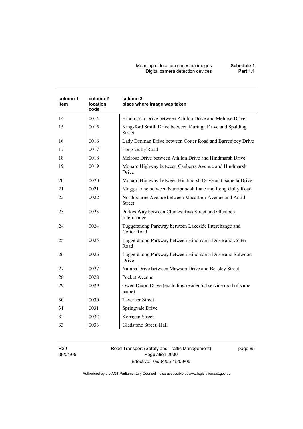#### Meaning of location codes on images **Schedule 1**  Digital camera detection devices **Part 1.1**

| column 1<br>item | column 2<br>location<br>code | column 3<br>place where image was taken                                    |
|------------------|------------------------------|----------------------------------------------------------------------------|
| 14               | 0014                         | Hindmarsh Drive between Athllon Drive and Melrose Drive                    |
| 15               | 0015                         | Kingsford Smith Drive between Kuringa Drive and Spalding<br><b>Street</b>  |
| 16               | 0016                         | Lady Denman Drive between Cotter Road and Barrenjoey Drive                 |
| 17               | 0017                         | Long Gully Road                                                            |
| 18               | 0018                         | Melrose Drive between Athllon Drive and Hindmarsh Drive                    |
| 19               | 0019                         | Monaro Highway between Canberra Avenue and Hindmarsh<br>Drive              |
| 20               | 0020                         | Monaro Highway between Hindmarsh Drive and Isabella Drive                  |
| 21               | 0021                         | Mugga Lane between Narrabundah Lane and Long Gully Road                    |
| 22               | 0022                         | Northbourne Avenue between Macarthur Avenue and Antill<br><b>Street</b>    |
| 23               | 0023                         | Parkes Way between Clunies Ross Street and Glenloch<br>Interchange         |
| 24               | 0024                         | Tuggeranong Parkway between Lakeside Interchange and<br><b>Cotter Road</b> |
| 25               | 0025                         | Tuggeranong Parkway between Hindmarsh Drive and Cotter<br>Road             |
| 26               | 0026                         | Tuggeranong Parkway between Hindmarsh Drive and Sulwood<br>Drive           |
| 27               | 0027                         | Yamba Drive between Mawson Drive and Beasley Street                        |
| 28               | 0028                         | Pocket Avenue                                                              |
| 29               | 0029                         | Owen Dixon Drive (excluding residential service road of same<br>name)      |
| 30               | 0030                         | <b>Taverner Street</b>                                                     |
| 31               | 0031                         | Springvale Drive                                                           |
| 32               | 0032                         | Kerrigan Street                                                            |
| 33               | 0033                         | Gladstone Street, Hall                                                     |

R20 09/04/05 Road Transport (Safety and Traffic Management) Regulation 2000 Effective: 09/04/05-15/09/05

page 85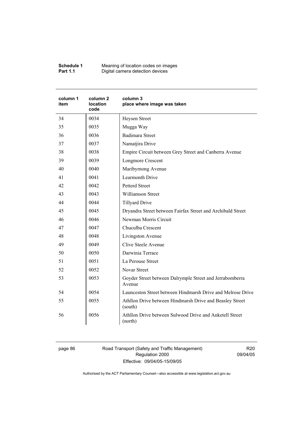| Schedule 1      | Meaning of location codes on images |
|-----------------|-------------------------------------|
| <b>Part 1.1</b> | Digital camera detection devices    |

| column 1<br>item | column <sub>2</sub><br>location<br>code | column 3<br>place where image was taken                             |
|------------------|-----------------------------------------|---------------------------------------------------------------------|
| 34               | 0034                                    | Heysen Street                                                       |
| 35               | 0035                                    | Mugga Way                                                           |
| 36               | 0036                                    | <b>Badimara Street</b>                                              |
| 37               | 0037                                    | Namatjira Drive                                                     |
| 38               | 0038                                    | Empire Circuit between Grey Street and Canberra Avenue              |
| 39               | 0039                                    | <b>Longmore Crescent</b>                                            |
| 40               | 0040                                    | Maribyrnong Avenue                                                  |
| 41               | 0041                                    | Learmonth Drive                                                     |
| 42               | 0042                                    | Petterd Street                                                      |
| 43               | 0043                                    | <b>Williamson Street</b>                                            |
| 44               | 0044                                    | <b>Tillyard Drive</b>                                               |
| 45               | 0045                                    | Dryandra Street between Fairfax Street and Archibald Street         |
| 46               | 0046                                    | Newman Morris Circuit                                               |
| 47               | 0047                                    | Chuculba Crescent                                                   |
| 48               | 0048                                    | Livingston Avenue                                                   |
| 49               | 0049                                    | Clive Steele Avenue                                                 |
| 50               | 0050                                    | Darwinia Terrace                                                    |
| 51               | 0051                                    | La Perouse Street                                                   |
| 52               | 0052                                    | Novar Street                                                        |
| 53               | 0053                                    | Goyder Street between Dalrymple Street and Jerrabomberra<br>Avenue  |
| 54               | 0054                                    | Launceston Street between Hindmarsh Drive and Melrose Drive         |
| 55               | 0055                                    | Athllon Drive between Hindmarsh Drive and Beasley Street<br>(south) |
| 56               | 0056                                    | Athllon Drive between Sulwood Drive and Anketell Street<br>(north)  |

page 86 Road Transport (Safety and Traffic Management) Regulation 2000 Effective: 09/04/05-15/09/05

R20 09/04/05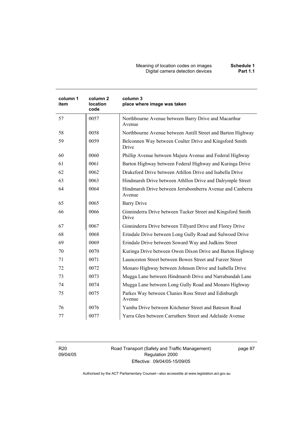Meaning of location codes on images **Schedule 1**  Digital camera detection devices **Part 1.1** 

| column 1<br>item | column <sub>2</sub><br>location<br>code | column 3<br>place where image was taken                              |
|------------------|-----------------------------------------|----------------------------------------------------------------------|
| 57               | 0057                                    | Northbourne Avenue between Barry Drive and Macarthur<br>Avenue       |
| 58               | 0058                                    | Northbourne Avenue between Antill Street and Barton Highway          |
| 59               | 0059                                    | Belconnen Way between Coulter Drive and Kingsford Smith<br>Drive     |
| 60               | 0060                                    | Phillip Avenue between Majura Avenue and Federal Highway             |
| 61               | 0061                                    | Barton Highway between Federal Highway and Kuringa Drive             |
| 62               | 0062                                    | Drakeford Drive between Athllon Drive and Isabella Drive             |
| 63               | 0063                                    | Hindmarsh Drive between Athllon Drive and Dalrymple Street           |
| 64               | 0064                                    | Hindmarsh Drive between Jerrabomberra Avenue and Canberra<br>Avenue  |
| 65               | 0065                                    | <b>Barry Drive</b>                                                   |
| 66               | 0066                                    | Ginninderra Drive between Tucker Street and Kingsford Smith<br>Drive |
| 67               | 0067                                    | Ginninderra Drive between Tillyard Drive and Florey Drive            |
| 68               | 0068                                    | Erindale Drive between Long Gully Road and Sulwood Drive             |
| 69               | 0069                                    | Erindale Drive between Soward Way and Judkins Street                 |
| 70               | 0070                                    | Kuringa Drive between Owen Dixon Drive and Barton Highway            |
| 71               | 0071                                    | Launceston Street between Bowes Street and Furzer Street             |
| 72               | 0072                                    | Monaro Highway between Johnson Drive and Isabella Drive              |
| 73               | 0073                                    | Mugga Lane between Hindmarsh Drive and Narrabundah Lane              |
| 74               | 0074                                    | Mugga Lane between Long Gully Road and Monaro Highway                |
| 75               | 0075                                    | Parkes Way between Clunies Ross Street and Edinburgh<br>Avenue       |
| 76               | 0076                                    | Yamba Drive between Kitchener Street and Bateson Road                |
| 77               | 0077                                    | Yarra Glen between Carruthers Street and Adelaide Avenue             |

R20 09/04/05 Road Transport (Safety and Traffic Management) Regulation 2000 Effective: 09/04/05-15/09/05

page 87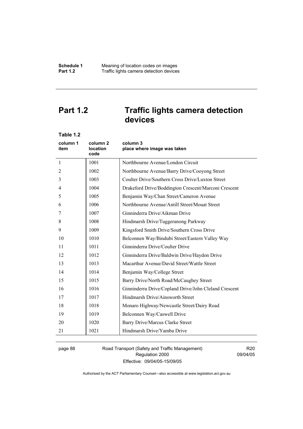# **Part 1.2 Traffic lights camera detection devices**

| Table 1.2        |                                         |                                                       |
|------------------|-----------------------------------------|-------------------------------------------------------|
| column 1<br>item | column <sub>2</sub><br>location<br>code | column 3<br>place where image was taken               |
| 1                | 1001                                    | Northbourne Avenue/London Circuit                     |
| 2                | 1002                                    | Northbourne Avenue/Barry Drive/Cooyong Street         |
| 3                | 1003                                    | Coulter Drive/Southern Cross Drive/Luxton Street      |
| 4                | 1004                                    | Drakeford Drive/Boddington Crescent/Marconi Crescent  |
| 5                | 1005                                    | Benjamin Way/Chan Street/Cameron Avenue               |
| 6                | 1006                                    | Northbourne Avenue/Antill Street/Mouat Street         |
| 7                | 1007                                    | Ginninderra Drive/Aikman Drive                        |
| 8                | 1008                                    | Hindmarsh Drive/Tuggeranong Parkway                   |
| 9                | 1009                                    | Kingsford Smith Drive/Southern Cross Drive            |
| 10               | 1010                                    | Belconnen Way/Bindubi Street/Eastern Valley Way       |
| 11               | 1011                                    | Ginninderra Drive/Coulter Drive                       |
| 12               | 1012                                    | Ginninderra Drive/Baldwin Drive/Haydon Drive          |
| 13               | 1013                                    | Macarthur Avenue/David Street/Wattle Street           |
| 14               | 1014                                    | Benjamin Way/College Street                           |
| 15               | 1015                                    | Barry Drive/North Road/McCaughey Street               |
| 16               | 1016                                    | Ginninderra Drive/Copland Drive/John Cleland Crescent |
| 17               | 1017                                    | Hindmarsh Drive/Ainsworth Street                      |
| 18               | 1018                                    | Monaro Highway/Newcastle Street/Dairy Road            |
| 19               | 1019                                    | Belconnen Way/Caswell Drive                           |
| 20               | 1020                                    | Barry Drive/Marcus Clarke Street                      |
| 21               | 1021                                    | Hindmarsh Drive/Yamba Drive                           |

page 88 Road Transport (Safety and Traffic Management) Regulation 2000 Effective: 09/04/05-15/09/05

R20 09/04/05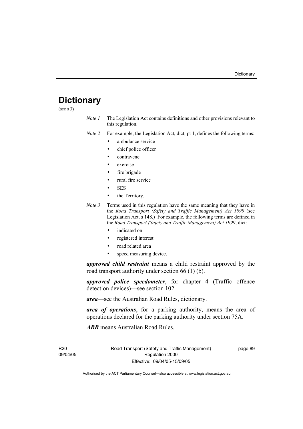# **Dictionary**

(see s 3)

*Note 1* The Legislation Act contains definitions and other provisions relevant to this regulation.

*Note 2* For example, the Legislation Act, dict, pt 1, defines the following terms:

- ambulance service
	- chief police officer
- contravene
- exercise
- fire brigade
- rural fire service
- SES
- the Territory.
- *Note 3* Terms used in this regulation have the same meaning that they have in the *Road Transport (Safety and Traffic Management) Act 1999* (see Legislation Act, s 148.) For example, the following terms are defined in the *Road Transport (Safety and Traffic Management) Act 1999*, dict:
	- indicated on
	- registered interest
	- road related area
	- speed measuring device.

*approved child restraint* means a child restraint approved by the road transport authority under section 66 (1) (b).

*approved police speedometer*, for chapter 4 (Traffic offence detection devices)—see section 102.

*area*—see the Australian Road Rules, dictionary.

*area of operations*, for a parking authority, means the area of operations declared for the parking authority under section 75A.

*ARR* means Australian Road Rules.

R20 09/04/05 page 89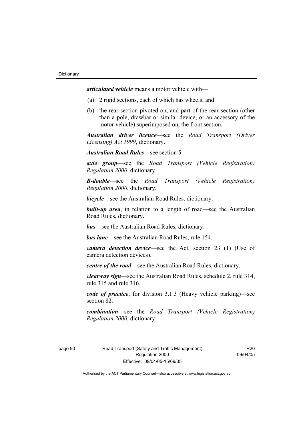*articulated vehicle* means a motor vehicle with—

- (a) 2 rigid sections, each of which has wheels; and
- (b) the rear section pivoted on, and part of the rear section (other than a pole, drawbar or similar device, or an accessory of the motor vehicle) superimposed on, the front section.

*Australian driver licence*—see the *Road Transport (Driver Licensing) Act 1999*, dictionary.

*Australian Road Rules*—see section 5.

*axle group*—see the *Road Transport (Vehicle Registration) Regulation 2000*, dictionary.

*B-double*—see the *Road Transport (Vehicle Registration) Regulation 2000*, dictionary.

*bicycle*—see the Australian Road Rules, dictionary.

**built-up area**, in relation to a length of road—see the Australian Road Rules, dictionary.

*bus*—see the Australian Road Rules, dictionary.

*bus lane*—see the Australian Road Rules, rule 154.

*camera detection device*—see the Act, section 23 (1) (Use of camera detection devices).

*centre of the road*—see the Australian Road Rules, dictionary.

*clearway sign*—see the Australian Road Rules, schedule 2, rule 314, rule 315 and rule 316.

*code of practice*, for division 3.1.3 (Heavy vehicle parking)—see section 82.

*combination*—see the *Road Transport (Vehicle Registration) Regulation 2000*, dictionary.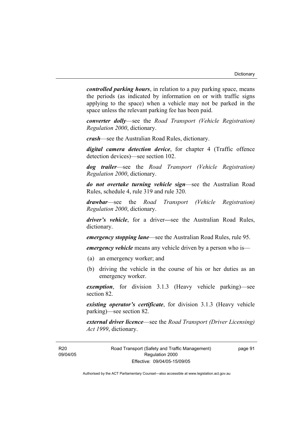*controlled parking hours*, in relation to a pay parking space, means the periods (as indicated by information on or with traffic signs applying to the space) when a vehicle may not be parked in the space unless the relevant parking fee has been paid.

*converter dolly*—see the *Road Transport (Vehicle Registration) Regulation 2000*, dictionary.

*crash*—see the Australian Road Rules, dictionary.

*digital camera detection device*, for chapter 4 (Traffic offence detection devices)—see section 102.

*dog trailer*—see the *Road Transport (Vehicle Registration) Regulation 2000*, dictionary.

*do not overtake turning vehicle sign*—see the Australian Road Rules, schedule 4, rule 319 and rule 320.

*drawbar*—see the *Road Transport (Vehicle Registration) Regulation 2000*, dictionary.

*driver's vehicle*, for a driver*—*see the Australian Road Rules, dictionary.

*emergency stopping lane*—see the Australian Road Rules, rule 95.

*emergency vehicle* means any vehicle driven by a person who is—

- (a) an emergency worker; and
- (b) driving the vehicle in the course of his or her duties as an emergency worker.

*exemption*, for division 3.1.3 (Heavy vehicle parking)—see section 82.

*existing operator's certificate*, for division 3.1.3 (Heavy vehicle parking)—see section 82.

*external driver licence*—see the *Road Transport (Driver Licensing) Act 1999*, dictionary.

page 91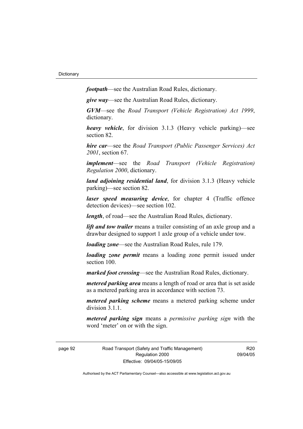*footpath*—see the Australian Road Rules, dictionary.

*give way*—see the Australian Road Rules, dictionary.

*GVM*—see the *Road Transport (Vehicle Registration) Act 1999*, dictionary.

*heavy vehicle*, for division 3.1.3 (Heavy vehicle parking)—see section 82.

*hire car*—see the *Road Transport (Public Passenger Services) Act 2001*, section 67.

*implement*—see the *Road Transport (Vehicle Registration) Regulation 2000*, dictionary.

*land adjoining residential land*, for division 3.1.3 (Heavy vehicle parking)—see section 82.

*laser speed measuring device*, for chapter 4 (Traffic offence detection devices)—see section 102.

*length*, of road—see the Australian Road Rules, dictionary.

*lift and tow trailer* means a trailer consisting of an axle group and a drawbar designed to support 1 axle group of a vehicle under tow.

*loading zone*—see the Australian Road Rules, rule 179.

*loading zone permit* means a loading zone permit issued under section 100.

*marked foot crossing*—see the Australian Road Rules, dictionary.

*metered parking area* means a length of road or area that is set aside as a metered parking area in accordance with section 73.

*metered parking scheme* means a metered parking scheme under division 3.1.1

*metered parking sign* means a *permissive parking sign* with the word 'meter' on or with the sign.

page 92 Road Transport (Safety and Traffic Management) Regulation 2000 Effective: 09/04/05-15/09/05

R20 09/04/05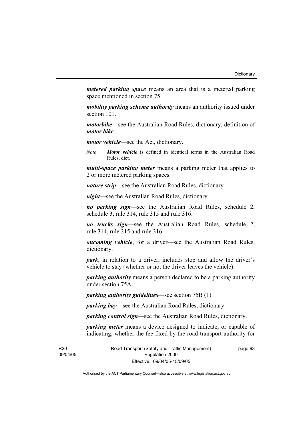*metered parking space* means an area that is a metered parking space mentioned in section 75.

*mobility parking scheme authority* means an authority issued under section 101.

*motorbike*—see the Australian Road Rules, dictionary, definition of *motor bike*.

*motor vehicle*—see the Act, dictionary.

*Note Motor vehicle* is defined in identical terms in the Australian Road Rules, dict.

*multi-space parking meter* means a parking meter that applies to 2 or more metered parking spaces.

*nature strip*—see the Australian Road Rules, dictionary.

*night*—see the Australian Road Rules, dictionary.

*no parking sign*—see the Australian Road Rules, schedule 2, schedule 3, rule 314, rule 315 and rule 316.

*no trucks sign*—see the Australian Road Rules, schedule 2, rule 314, rule 315 and rule 316.

*oncoming vehicle*, for a driver—see the Australian Road Rules, dictionary.

*park*, in relation to a driver, includes stop and allow the driver's vehicle to stay (whether or not the driver leaves the vehicle).

*parking authority* means a person declared to be a parking authority under section 75A.

*parking authority guidelines*—see section 75B (1).

*parking bay*—see the Australian Road Rules, dictionary.

*parking control sign*—see the Australian Road Rules, dictionary.

*parking meter* means a device designed to indicate, or capable of indicating, whether the fee fixed by the road transport authority for

R<sub>20</sub> 09/04/05 page 93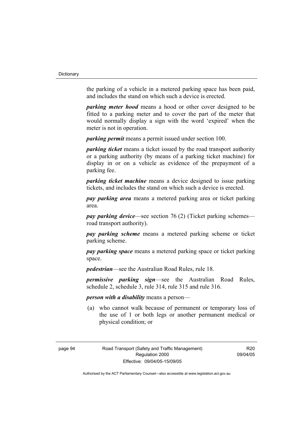the parking of a vehicle in a metered parking space has been paid, and includes the stand on which such a device is erected.

*parking meter hood* means a hood or other cover designed to be fitted to a parking meter and to cover the part of the meter that would normally display a sign with the word 'expired' when the meter is not in operation.

*parking permit* means a permit issued under section 100.

*parking ticket* means a ticket issued by the road transport authority or a parking authority (by means of a parking ticket machine) for display in or on a vehicle as evidence of the prepayment of a parking fee.

*parking ticket machine* means a device designed to issue parking tickets, and includes the stand on which such a device is erected.

*pay parking area* means a metered parking area or ticket parking area.

*pay parking device*—see section 76 (2) (Ticket parking schemes road transport authority).

*pay parking scheme* means a metered parking scheme or ticket parking scheme.

*pay parking space* means a metered parking space or ticket parking space.

*pedestrian*—see the Australian Road Rules, rule 18.

*permissive parking sign*—see the Australian Road Rules, schedule 2, schedule 3, rule 314, rule 315 and rule 316.

*person with a disability* means a person—

 (a) who cannot walk because of permanent or temporary loss of the use of 1 or both legs or another permanent medical or physical condition; or

R20 09/04/05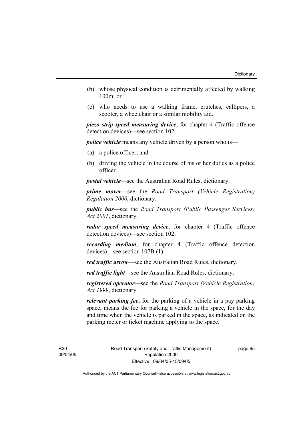- (b) whose physical condition is detrimentally affected by walking 100m; or
- (c) who needs to use a walking frame, crutches, callipers, a scooter, a wheelchair or a similar mobility aid.

*piezo strip speed measuring device*, for chapter 4 (Traffic offence detection devices)—see section 102.

*police vehicle* means any vehicle driven by a person who is—

- (a) a police officer; and
- (b) driving the vehicle in the course of his or her duties as a police officer.

*postal vehicle*—see the Australian Road Rules, dictionary.

*prime mover*—see the *Road Transport (Vehicle Registration) Regulation 2000*, dictionary.

*public bus*—see the *Road Transport (Public Passenger Services) Act 2001*, dictionary.

*radar speed measuring device*, for chapter 4 (Traffic offence detection devices)—see section 102.

*recording medium*, for chapter 4 (Traffic offence detection devices)—see section 107B (1).

*red traffic arrow*—see the Australian Road Rules, dictionary.

*red traffic light*—see the Australian Road Rules, dictionary.

*registered operator*—see the *Road Transport (Vehicle Registration) Act 1999*, dictionary.

*relevant parking fee*, for the parking of a vehicle in a pay parking space, means the fee for parking a vehicle in the space, for the day and time when the vehicle is parked in the space, as indicated on the parking meter or ticket machine applying to the space.

R20 09/04/05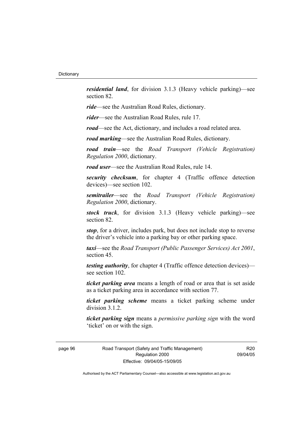*residential land*, for division 3.1.3 (Heavy vehicle parking)—see section 82.

*ride*—see the Australian Road Rules, dictionary.

*rider*—see the Australian Road Rules, rule 17.

*road*—see the Act, dictionary, and includes a road related area.

*road marking*—see the Australian Road Rules, dictionary.

*road train*—see the *Road Transport (Vehicle Registration) Regulation 2000*, dictionary.

*road user*—see the Australian Road Rules, rule 14.

*security checksum*, for chapter 4 (Traffic offence detection devices)—see section 102.

*semitrailer*—see the *Road Transport (Vehicle Registration) Regulation 2000*, dictionary.

*stock truck*, for division 3.1.3 (Heavy vehicle parking)—see section 82.

*stop*, for a driver, includes park, but does not include stop to reverse the driver's vehicle into a parking bay or other parking space.

*taxi*—see the *Road Transport (Public Passenger Services) Act 2001*, section 45.

*testing authority*, for chapter 4 (Traffic offence detection devices) see section 102.

*ticket parking area* means a length of road or area that is set aside as a ticket parking area in accordance with section 77.

*ticket parking scheme* means a ticket parking scheme under division 3.1.2.

*ticket parking sign* means a *permissive parking sign* with the word 'ticket' on or with the sign.

page 96 Road Transport (Safety and Traffic Management) Regulation 2000 Effective: 09/04/05-15/09/05

R20 09/04/05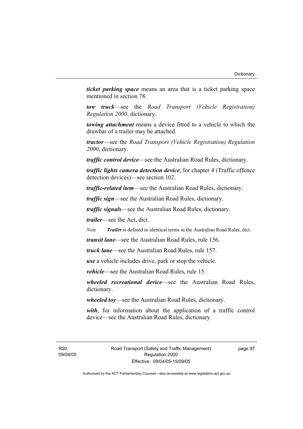*ticket parking space* means an area that is a ticket parking space mentioned in section 78.

*tow truck*—see the *Road Transport (Vehicle Registration) Regulation 2000*, dictionary.

*towing attachment* means a device fitted to a vehicle to which the drawbar of a trailer may be attached.

*tractor*—see the *Road Transport (Vehicle Registration) Regulation 2000*, dictionary.

*traffic control device*—see the Australian Road Rules, dictionary.

*traffic lights camera detection device*, for chapter 4 (Traffic offence detection devices)—see section 102.

*traffic-related item*—see the Australian Road Rules, dictionary.

*traffic sign*—see the Australian Road Rules, dictionary.

*traffic signals*—see the Australian Road Rules, dictionary.

*trailer*—see the Act, dict.

*Note Trailer* is defined in identical terms in the Australian Road Rules, dict.

*transit lane*—see the Australian Road Rules, rule 156.

*truck lane*—see the Australian Road Rules, rule 157.

*use* a vehicle includes drive, park or stop the vehicle.

*vehicle*—see the Australian Road Rules, rule 15.

*wheeled recreational device*—see the Australian Road Rules, dictionary.

*wheeled toy*—see the Australian Road Rules, dictionary.

*with*, for information about the application of a traffic control device—see the Australian Road Rules, dictionary.

R20 09/04/05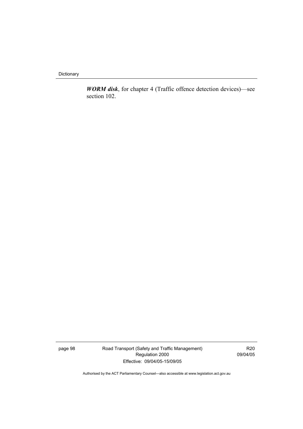**Dictionary** 

*WORM disk*, for chapter 4 (Traffic offence detection devices)—see section 102.

page 98 Road Transport (Safety and Traffic Management) Regulation 2000 Effective: 09/04/05-15/09/05

R20 09/04/05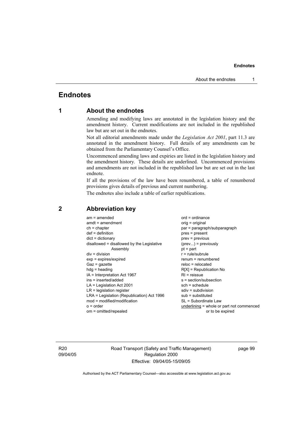# **Endnotes**

# **1 About the endnotes**

Amending and modifying laws are annotated in the legislation history and the amendment history. Current modifications are not included in the republished law but are set out in the endnotes.

Not all editorial amendments made under the *Legislation Act 2001*, part 11.3 are annotated in the amendment history. Full details of any amendments can be obtained from the Parliamentary Counsel's Office.

Uncommenced amending laws and expiries are listed in the legislation history and the amendment history. These details are underlined. Uncommenced provisions and amendments are not included in the republished law but are set out in the last endnote.

If all the provisions of the law have been renumbered, a table of renumbered provisions gives details of previous and current numbering.

The endnotes also include a table of earlier republications.

| $am = amended$                             | $ord = ordinance$                         |
|--------------------------------------------|-------------------------------------------|
| $amdt = amendment$                         | orig = original                           |
| $ch = chapter$                             | par = paragraph/subparagraph              |
| $def = definition$                         | pres = present                            |
| $dict = dictionary$                        | prev = previous                           |
| disallowed = disallowed by the Legislative | $(\text{prev}) = \text{previously}$       |
| Assembly                                   | $pt = part$                               |
| $div = division$                           | $r = rule/subrule$                        |
| $exp = expires/expired$                    | renum = renumbered                        |
| $Gaz = gazette$                            | $reloc = relocated$                       |
| $hda =$ heading                            | $R[X]$ = Republication No                 |
| $IA = Interpretation Act 1967$             | $RI =$ reissue                            |
| ins = inserted/added                       | s = section/subsection                    |
| $LA =$ Legislation Act 2001                | $sch = schedule$                          |
| $LR =$ legislation register                | $sdiv = subdivision$                      |
| LRA = Legislation (Republication) Act 1996 | $sub =$ substituted                       |
|                                            |                                           |
| $mod = modified/modification$              | SL = Subordinate Law                      |
| $o = order$                                | underlining = whole or part not commenced |
| om = omitted/repealed                      | or to be expired                          |

# **2 Abbreviation key**

R20 09/04/05 Road Transport (Safety and Traffic Management) Regulation 2000 Effective: 09/04/05-15/09/05

page 99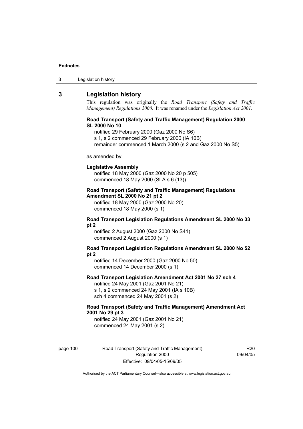| Legislation history<br>-3 |  |
|---------------------------|--|
|---------------------------|--|

# **3 Legislation history**

This regulation was originally the *Road Transport (Safety and Traffic Management) Regulations 2000*. It was renamed under the *Legislation Act 2001*.

## **Road Transport (Safety and Traffic Management) Regulation 2000 SL 2000 No 10**

notified 29 February 2000 (Gaz 2000 No S6)

s 1, s 2 commenced 29 February 2000 (IA 10B)

remainder commenced 1 March 2000 (s 2 and Gaz 2000 No S5)

#### as amended by

#### **Legislative Assembly**

notified 18 May 2000 (Gaz 2000 No 20 p 505) commenced 18 May 2000 (SLA s 6 (13))

## **Road Transport (Safety and Traffic Management) Regulations Amendment SL 2000 No 21 pt 2**

notified 18 May 2000 (Gaz 2000 No 20) commenced 18 May 2000 (s 1)

## **Road Transport Legislation Regulations Amendment SL 2000 No 33 pt 2**

notified 2 August 2000 (Gaz 2000 No S41) commenced 2 August 2000 (s 1)

### **Road Transport Legislation Regulations Amendment SL 2000 No 52 pt 2**

notified 14 December 2000 (Gaz 2000 No 50) commenced 14 December 2000 (s 1)

# **Road Transport Legislation Amendment Act 2001 No 27 sch 4**

notified 24 May 2001 (Gaz 2001 No 21) s 1, s 2 commenced 24 May 2001 (IA s 10B) sch 4 commenced 24 May 2001 (s 2)

## **Road Transport (Safety and Traffic Management) Amendment Act 2001 No 29 pt 3**

notified 24 May 2001 (Gaz 2001 No 21) commenced 24 May 2001 (s 2)

page 100 Road Transport (Safety and Traffic Management) Regulation 2000 Effective: 09/04/05-15/09/05

R20 09/04/05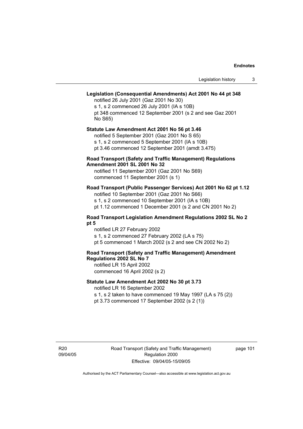# **Legislation (Consequential Amendments) Act 2001 No 44 pt 348**

notified 26 July 2001 (Gaz 2001 No 30) s 1, s 2 commenced 26 July 2001 (IA s 10B) pt 348 commenced 12 September 2001 (s 2 and see Gaz 2001 No S65)

### **Statute Law Amendment Act 2001 No 56 pt 3.46**

notified 5 September 2001 (Gaz 2001 No S 65) s 1, s 2 commenced 5 September 2001 (IA s 10B) pt 3.46 commenced 12 September 2001 (amdt 3.475)

## **Road Transport (Safety and Traffic Management) Regulations Amendment 2001 SL 2001 No 32**

notified 11 September 2001 (Gaz 2001 No S69) commenced 11 September 2001 (s 1)

# **Road Transport (Public Passenger Services) Act 2001 No 62 pt 1.12**

notified 10 September 2001 (Gaz 2001 No S66) s 1, s 2 commenced 10 September 2001 (IA s 10B)

pt 1.12 commenced 1 December 2001 (s 2 and CN 2001 No 2)

## **Road Transport Legislation Amendment Regulations 2002 SL No 2 pt 5**

notified LR 27 February 2002 s 1, s 2 commenced 27 February 2002 (LA s 75) pt 5 commenced 1 March 2002 (s 2 and see CN 2002 No 2)

# **Road Transport (Safety and Traffic Management) Amendment Regulations 2002 SL No 7**

notified LR 15 April 2002 commenced 16 April 2002 (s 2)

# **Statute Law Amendment Act 2002 No 30 pt 3.73**

notified LR 16 September 2002

s 1, s 2 taken to have commenced 19 May 1997 (LA s 75 (2)) pt 3.73 commenced 17 September 2002 (s 2 (1))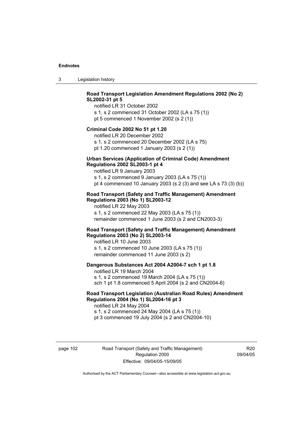3 Legislation history

# **Road Transport Legislation Amendment Regulations 2002 (No 2) SL2002-31 pt 5**

notified LR 31 October 2002 s 1, s 2 commenced 31 October 2002 (LA s 75 (1)) pt 5 commenced 1 November 2002 (s 2 (1))

### **Criminal Code 2002 No 51 pt 1.20**

notified LR 20 December 2002 s 1, s 2 commenced 20 December 2002 (LA s 75) pt 1.20 commenced 1 January 2003 (s 2 (1))

### **Urban Services (Application of Criminal Code) Amendment Regulations 2002 SL2003-1 pt 4**

notified LR 9 January 2003 s 1, s 2 commenced 9 January 2003 (LA s 75 (1)) pt 4 commenced 10 January 2003 (s 2 (3) and see LA s 73 (3) (b))

## **Road Transport (Safety and Traffic Management) Amendment Regulations 2003 (No 1) SL2003-12**

notified LR 22 May 2003 s 1, s 2 commenced 22 May 2003 (LA s 75 (1)) remainder commenced 1 June 2003 (s 2 and CN2003-3)

## **Road Transport (Safety and Traffic Management) Amendment Regulations 2003 (No 2) SL2003-14**

notified LR 10 June 2003 s 1, s 2 commenced 10 June 2003 (LA s 75 (1)) remainder commenced 11 June 2003 (s 2)

## **Dangerous Substances Act 2004 A2004-7 sch 1 pt 1.8**

notified LR 19 March 2004 s 1, s 2 commenced 19 March 2004 (LA s 75 (1)) sch 1 pt 1.8 commenced 5 April 2004 (s 2 and CN2004-6)

# **Road Transport Legislation (Australian Road Rules) Amendment Regulations 2004 (No 1) SL2004-16 pt 3**

notified LR 24 May 2004 s 1, s 2 commenced 24 May 2004 (LA s 75 (1)) pt 3 commenced 19 July 2004 (s 2 and CN2004-10)

page 102 Road Transport (Safety and Traffic Management) Regulation 2000 Effective: 09/04/05-15/09/05

R20 09/04/05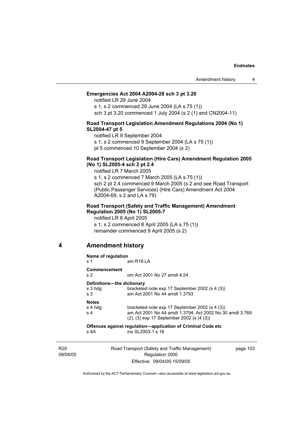# **Emergencies Act 2004 A2004-28 sch 3 pt 3.20**

notified LR 29 June 2004

s 1, s 2 commenced 29 June 2004 (LA s 75 (1)) sch 3 pt 3.20 commenced 1 July 2004 (s 2 (1) and CN2004-11)

## **Road Transport Legislation Amendment Regulations 2004 (No 1) SL2004-47 pt 5**

notified LR 9 September 2004

s 1, s 2 commenced 9 September 2004 (LA s 75 (1))

pt 5 commenced 10 September 2004 (s 2)

## **Road Transport Legislation (Hire Cars) Amendment Regulation 2005 (No 1) SL2005-4 sch 2 pt 2.4**

notified LR 7 March 2005

s 1, s 2 commenced 7 March 2005 (LA s 75 (1)) sch 2 pt 2.4 commenced 9 March 2005 (s 2 and see Road Transport (Public Passenger Services) (Hire Cars) Amendment Act 2004 A2004-69, s 2 and LA s 79)

## **Road Transport (Safety and Traffic Management) Amendment Regulation 2005 (No 1) SL2005-7**

notified LR 8 April 2005 s 1, s 2 commenced 8 April 2005 (LA s 75 (1)) remainder commenced 9 April 2005 (s 2)

# **4 Amendment history**

| Name of regulation<br>am R <sub>18</sub> LA<br>s 1 |                                                                                                                                                         |
|----------------------------------------------------|---------------------------------------------------------------------------------------------------------------------------------------------------------|
| Commencement<br>s <sub>2</sub>                     | om Act 2001 No 27 amdt 4.24                                                                                                                             |
| Definitions-the dictionary<br>s 3 hdg<br>s 3       | bracketed note exp 17 September 2002 (s 4 (3))<br>am Act 2001 No 44 amdt 1.3793                                                                         |
| <b>Notes</b><br>s 4 hdg<br>s <sub>4</sub>          | bracketed note exp 17 September 2002 (s 4 (3))<br>am Act 2001 No 44 amdt 1.3794; Act 2002 No 30 amdt 3.769<br>(2), (3) exp 17 September 2002 (s (4 (3)) |
| s 4A                                               | Offences against regulation—application of Criminal Code etc<br>ins SI 2003-1 s 16                                                                      |

R20 09/04/05 Road Transport (Safety and Traffic Management) Regulation 2000 Effective: 09/04/05-15/09/05

page 103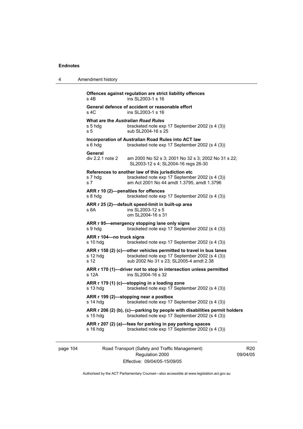| 4 | Amendment history                                                                                                                                                                  |
|---|------------------------------------------------------------------------------------------------------------------------------------------------------------------------------------|
|   | Offences against regulation are strict liability offences<br>ins SL2003-1 s 16<br>s 4B                                                                                             |
|   | General defence of accident or reasonable effort<br>s 4C<br>ins SL2003-1 s 16                                                                                                      |
|   | <b>What are the Australian Road Rules</b><br>s 5 hdg<br>bracketed note exp 17 September 2002 (s 4 (3))<br>s <sub>5</sub><br>sub SL2004-16 s 25                                     |
|   | Incorporation of Australian Road Rules into ACT law<br>bracketed note exp 17 September 2002 (s 4 (3))<br>s 6 hdg                                                                   |
|   | General<br>div 2.2.1 note 2<br>am 2000 No 52 s 3; 2001 No 32 s 3; 2002 No 31 s 22;<br>SL2003-12 s 4; SL2004-16 regs 26-30                                                          |
|   | References to another law of this jurisdiction etc<br>bracketed note exp 17 September 2002 (s 4 (3))<br>s 7 hdg<br>am Act 2001 No 44 amdt 1.3795, amdt 1.3796<br>s 7               |
|   | ARR r 10 (2)-penalties for offences<br>s 8 hdg<br>bracketed note exp 17 September 2002 (s 4 (3))                                                                                   |
|   | ARR r 25 (2)-default speed-limit in built-up area<br>ins SL2003-12 s 5<br>s 8A<br>om SL2004-16 s 31                                                                                |
|   | ARR r 95-emergency stopping lane only signs<br>bracketed note exp 17 September 2002 (s 4 (3))<br>s 9 hdg                                                                           |
|   | ARR r 104-no truck signs<br>bracketed note exp 17 September 2002 (s 4 (3))<br>s 10 hdg                                                                                             |
|   | ARR r 158 (2) (c)-other vehicles permitted to travel in bus lanes<br>bracketed note exp 17 September 2002 (s 4 (3))<br>s 12 hdg<br>sub 2002 No 31 s 23; SL2005-4 amdt 2.38<br>s 12 |
|   | ARR r 170 (1)—driver not to stop in intersection unless permitted<br>s 12A<br>ins SL2004-16 s 32                                                                                   |
|   | ARR r 179 (1) (c)-stopping in a loading zone<br>s 13 hdg<br>bracketed note exp 17 September 2002 (s 4 (3))                                                                         |
|   | ARR r 199 (2)-stopping near a postbox<br>bracketed note exp 17 September 2002 (s 4 (3))<br>s 14 hdg                                                                                |
|   | ARR r 206 (2) (b), (c)-parking by people with disabilities permit holders<br>s 15 hdg<br>bracketed note exp 17 September 2002 (s 4 (3))                                            |
|   | ARR r 207 (2) (a)—fees for parking in pay parking spaces<br>bracketed note exp 17 September 2002 (s 4 (3))<br>s 16 hdg                                                             |
|   |                                                                                                                                                                                    |

page 104 Road Transport (Safety and Traffic Management) Regulation 2000 Effective: 09/04/05-15/09/05

R20 09/04/05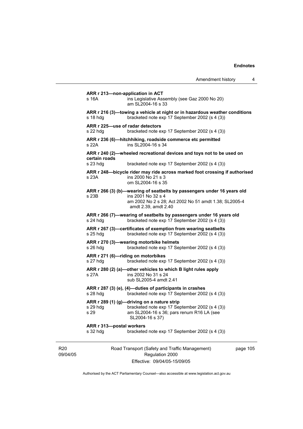|                             |                          | Amendment history                                                                                                                                                              |          | 4 |
|-----------------------------|--------------------------|--------------------------------------------------------------------------------------------------------------------------------------------------------------------------------|----------|---|
|                             | s 16A                    | ARR r 213-non-application in ACT<br>ins Legislative Assembly (see Gaz 2000 No 20)<br>am SL2004-16 s 33                                                                         |          |   |
|                             | $s$ 18 hdg               | ARR r 216 (3)—towing a vehicle at night or in hazardous weather conditions<br>bracketed note exp 17 September 2002 (s 4 (3))                                                   |          |   |
|                             | s 22 hdq                 | ARR r 225-use of radar detectors<br>bracketed note exp 17 September 2002 (s 4 (3))                                                                                             |          |   |
|                             | s 22A                    | ARR r 236 (6)—hitchhiking, roadside commerce etc permitted<br>ins SL2004-16 s 34                                                                                               |          |   |
|                             | certain roads            | ARR r 240 (2)-wheeled recreational devices and toys not to be used on                                                                                                          |          |   |
|                             | s 23 hdg                 | bracketed note exp 17 September 2002 (s 4 (3))                                                                                                                                 |          |   |
|                             | s 23A                    | ARR r 248—bicycle rider may ride across marked foot crossing if authorised<br>ins 2000 No 21 s 3<br>om SL2004-16 s 35                                                          |          |   |
|                             | s 23B                    | ARR r 266 (3) (b)-wearing of seatbelts by passengers under 16 years old<br>ins 2001 No 32 s 4<br>am 2002 No 2 s 28; Act 2002 No 51 amdt 1.38; SL2005-4<br>amdt 2.39, amdt 2.40 |          |   |
|                             | $s$ 24 hdg               | ARR r 266 (7)-wearing of seatbelts by passengers under 16 years old<br>bracketed note exp 17 September 2002 (s 4 (3))                                                          |          |   |
|                             | $s$ 25 hdg               | ARR r 267 (3)-certificates of exemption from wearing seatbelts<br>bracketed note exp 17 September 2002 (s 4 (3))                                                               |          |   |
|                             | s 26 hdg                 | ARR r 270 (3)—wearing motorbike helmets<br>bracketed note exp 17 September 2002 (s 4 (3))                                                                                      |          |   |
|                             | s 27 hdg                 | ARR r 271 (6)-riding on motorbikes<br>bracketed note exp 17 September 2002 (s 4 (3))                                                                                           |          |   |
|                             | s 27A                    | ARR r 280 (2) (a)-other vehicles to which B light rules apply<br>ins 2002 No 31 s 24<br>sub SL2005-4 amdt 2.41                                                                 |          |   |
|                             | $s$ 28 hdg               | ARR r 287 (3) (e), (4)-duties of participants in crashes<br>bracketed note exp 17 September 2002 (s 4 (3))                                                                     |          |   |
|                             | s 29 hdg<br>s 29         | ARR r 289 (1) (g)-driving on a nature strip<br>bracketed note exp 17 September 2002 (s 4 (3))<br>am SL2004-16 s 36; pars renum R16 LA (see<br>SL2004-16 s 37)                  |          |   |
|                             | ARR r 313-postal workers |                                                                                                                                                                                |          |   |
|                             | s 32 hdg                 | bracketed note exp 17 September 2002 (s 4 (3))                                                                                                                                 |          |   |
| R <sub>20</sub><br>09/04/05 |                          | Road Transport (Safety and Traffic Management)<br>Regulation 2000<br>Effective: 09/04/05-15/09/05                                                                              | page 105 |   |

Authorised by the ACT Parliamentary Counsel—also accessible at www.legislation.act.gov.au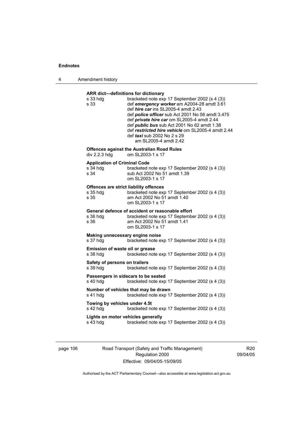4 Amendment history

# **ARR dict—definitions for dictionary**

| s 33 hdg<br>s 33                                                  | bracketed note exp 17 September 2002 (s 4 (3))<br>def emergency worker am A2004-28 amdt 3.61<br>def hire car ins SL2005-4 amdt 2.43<br>def <i>police officer</i> sub Act 2001 No 56 amdt 3.475<br>def private hire car om SL2005-4 amdt 2.44<br>def <i>public bus</i> sub Act 2001 No 62 amdt 1.38<br>def restricted hire vehicle om SL2005-4 amdt 2.44<br>def <i>taxi</i> sub 2002 No 2 s 29<br>am SL2005-4 amdt 2.42 |
|-------------------------------------------------------------------|------------------------------------------------------------------------------------------------------------------------------------------------------------------------------------------------------------------------------------------------------------------------------------------------------------------------------------------------------------------------------------------------------------------------|
| div 2.2.3 hdg                                                     | <b>Offences against the Australian Road Rules</b><br>om SL2003-1 s 17                                                                                                                                                                                                                                                                                                                                                  |
| <b>Application of Criminal Code</b><br>s 34 hda<br>s 34           | bracketed note exp 17 September 2002 (s 4 (3))<br>sub Act 2002 No 51 amdt 1.39<br>om SL2003-1 s 17                                                                                                                                                                                                                                                                                                                     |
| <b>Offences are strict liability offences</b><br>s 35 hdg<br>s 35 | bracketed note exp 17 September 2002 (s 4 (3))<br>am Act 2002 No 51 amdt 1.40<br>om SL2003-1 s 17                                                                                                                                                                                                                                                                                                                      |
| s 36 hdg<br>s 36                                                  | General defence of accident or reasonable effort<br>bracketed note exp 17 September 2002 (s 4 (3))<br>am Act 2002 No 51 amdt 1.41<br>om SL2003-1 s 17                                                                                                                                                                                                                                                                  |
| Making unnecessary engine noise<br>s 37 hdg                       | bracketed note exp 17 September 2002 (s 4 (3))                                                                                                                                                                                                                                                                                                                                                                         |
| Emission of waste oil or grease<br>s 38 hdg                       | bracketed note exp 17 September 2002 (s 4 (3))                                                                                                                                                                                                                                                                                                                                                                         |
| Safety of persons on trailers<br>s 39 hdg                         | bracketed note exp 17 September 2002 (s 4 (3))                                                                                                                                                                                                                                                                                                                                                                         |
| s 40 hdg                                                          | Passengers in sidecars to be seated<br>bracketed note exp 17 September 2002 (s 4 (3))                                                                                                                                                                                                                                                                                                                                  |
| s 41 hdg                                                          | Number of vehicles that may be drawn<br>bracketed note exp 17 September 2002 (s 4 (3))                                                                                                                                                                                                                                                                                                                                 |
| Towing by vehicles under 4.5t<br>s 42 hdg                         | bracketed note exp 17 September 2002 (s 4 (3))                                                                                                                                                                                                                                                                                                                                                                         |
| Lights on motor vehicles generally<br>s 43 hdg                    | bracketed note exp 17 September 2002 (s 4 (3))                                                                                                                                                                                                                                                                                                                                                                         |
|                                                                   |                                                                                                                                                                                                                                                                                                                                                                                                                        |

page 106 Road Transport (Safety and Traffic Management) Regulation 2000 Effective: 09/04/05-15/09/05

R20 09/04/05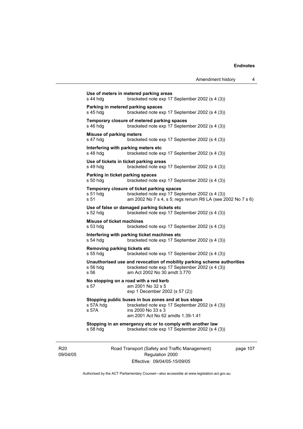| Amendment history |  |
|-------------------|--|
|                   |  |

09/04/05 Road Transport (Safety and Traffic Management) Regulation 2000 **Use of meters in metered parking areas**  s 44 hdg bracketed note exp 17 September 2002 (s 4 (3)) **Parking in metered parking spaces**  s 45 hdg bracketed note exp 17 September 2002 (s 4 (3)) **Temporary closure of metered parking spaces**  s 46 hdg bracketed note exp 17 September 2002 (s 4 (3)) **Misuse of parking meters**  s 47 hdg bracketed note exp 17 September 2002 (s 4 (3)) **Interfering with parking meters etc**  s 48 hdg bracketed note exp 17 September 2002 (s 4 (3)) **Use of tickets in ticket parking areas**  s 49 hdg bracketed note exp 17 September 2002 (s 4 (3)) **Parking in ticket parking spaces**  s 50 hdg bracketed note exp 17 September 2002 (s 4 (3)) **Temporary closure of ticket parking spaces**  s 51 hdg bracketed note exp 17 September 2002 (s 4 (3))<br>s 51 bram 2002 No 7 s 4. s 5: regs renum R6 LA (see 2) am 2002 No 7 s 4, s 5; regs renum R6 LA (see 2002 No 7 s 6) **Use of false or damaged parking tickets etc**  s 52 hdg bracketed note exp 17 September 2002 (s 4 (3)) **Misuse of ticket machines**  s 53 hdg bracketed note exp 17 September 2002 (s 4 (3)) **Interfering with parking ticket machines etc**  s 54 hdg bracketed note exp 17 September 2002 (s 4 (3)) **Removing parking tickets etc**<br>s 55 hdg bracketed n bracketed note exp 17 September 2002 (s 4 (3)) **Unauthorised use and revocation of mobility parking scheme authorities**  s 56 hdg bracketed note exp 17 September 2002 (s 4 (3)) s 56 am Act 2002 No 30 amdt 3.770 **No stopping on a road with a red kerb**  s 57 am 2001 No 32 s 5 exp 1 December 2002 (s 57 (2)) **Stopping public buses in bus zones and at bus stops**  s 57A hdg bracketed note exp 17 September 2002 (s 4 (3)) s 57A ins 2000 No 33 s 3 am 2001 Act No 62 amdts 1.39-1.41 **Stopping in an emergency etc or to comply with another law**  s 58 hdg bracketed note exp 17 September 2002 (s 4 (3))

Effective: 09/04/05-15/09/05

page 107

Authorised by the ACT Parliamentary Counsel—also accessible at www.legislation.act.gov.au

R20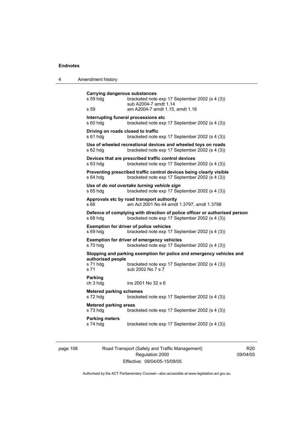| 4 | Amendment history                                        |                                                                                                                              |
|---|----------------------------------------------------------|------------------------------------------------------------------------------------------------------------------------------|
|   | <b>Carrying dangerous substances</b><br>s 59 hdg<br>s 59 | bracketed note exp 17 September 2002 (s 4 (3))<br>sub A2004-7 amdt 1.14<br>am A2004-7 amdt 1.15, amdt 1.16                   |
|   | s 60 hdg                                                 | Interrupting funeral processions etc<br>bracketed note exp 17 September 2002 (s 4 (3))                                       |
|   | Driving on roads closed to traffic<br>s 61 hdg           | bracketed note exp 17 September 2002 (s 4 (3))                                                                               |
|   | $s$ 62 hdg                                               | Use of wheeled recreational devices and wheeled toys on roads<br>bracketed note exp 17 September 2002 (s 4 (3))              |
|   | s 63 hda                                                 | Devices that are prescribed traffic control devices<br>bracketed note exp 17 September 2002 (s 4 (3))                        |
|   | s 64 hdg                                                 | Preventing prescribed traffic control devices being clearly visible<br>bracketed note exp 17 September 2002 (s 4 (3))        |
|   | s 65 hdg                                                 | Use of do not overtake turning vehicle sign<br>bracketed note exp 17 September 2002 (s 4 (3))                                |
|   | s 66                                                     | Approvals etc by road transport authority<br>am Act 2001 No 44 amdt 1.3797, amdt 1.3798                                      |
|   | s 68 hdg                                                 | Defence of complying with direction of police officer or authorised person<br>bracketed note exp 17 September 2002 (s 4 (3)) |
|   | s 69 hdg                                                 | <b>Exemption for driver of police vehicles</b><br>bracketed note exp 17 September 2002 (s 4 (3))                             |
|   | s 70 hda                                                 | <b>Exemption for driver of emergency vehicles</b><br>bracketed note exp 17 September 2002 (s 4 (3))                          |
|   |                                                          | Stopping and parking exemption for police and emergency vehicles and                                                         |
|   | authorised people<br>s 71 hdg<br>s 71                    | bracketed note exp 17 September 2002 (s 4 (3))<br>sub 2002 No 7 s 7                                                          |
|   | <b>Parking</b><br>ch 3 hdg                               | ins 2001 No 32 s 6                                                                                                           |
|   | <b>Metered parking schemes</b><br>s 72 hdg               | bracketed note exp 17 September 2002 (s 4 (3))                                                                               |
|   | <b>Metered parking areas</b><br>s 73 hdg                 | bracketed note exp 17 September 2002 (s 4 (3))                                                                               |
|   | <b>Parking meters</b><br>s 74 hdg                        | bracketed note exp 17 September 2002 (s 4 (3))                                                                               |

page 108 Road Transport (Safety and Traffic Management) Regulation 2000 Effective: 09/04/05-15/09/05

R20 09/04/05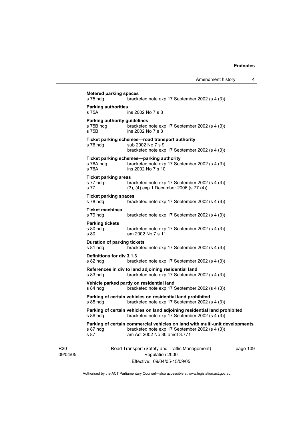| bracketed note exp 17 September 2002 (s 4 (3))                                                    |                                                                                                                                                                                                                                                                                                                                                                                                                                                                                                                                                                                                                                                                                                                                                                                |
|---------------------------------------------------------------------------------------------------|--------------------------------------------------------------------------------------------------------------------------------------------------------------------------------------------------------------------------------------------------------------------------------------------------------------------------------------------------------------------------------------------------------------------------------------------------------------------------------------------------------------------------------------------------------------------------------------------------------------------------------------------------------------------------------------------------------------------------------------------------------------------------------|
| ins 2002 No 7 s 8                                                                                 |                                                                                                                                                                                                                                                                                                                                                                                                                                                                                                                                                                                                                                                                                                                                                                                |
| bracketed note exp 17 September 2002 (s 4 (3))<br>ins 2002 No 7 s 8                               |                                                                                                                                                                                                                                                                                                                                                                                                                                                                                                                                                                                                                                                                                                                                                                                |
| sub 2002 No 7 s 9<br>bracketed note exp 17 September 2002 (s 4 (3))                               |                                                                                                                                                                                                                                                                                                                                                                                                                                                                                                                                                                                                                                                                                                                                                                                |
| bracketed note exp 17 September 2002 (s 4 (3))<br>ins 2002 No 7 s 10                              |                                                                                                                                                                                                                                                                                                                                                                                                                                                                                                                                                                                                                                                                                                                                                                                |
| bracketed note exp 17 September 2002 (s 4 (3))<br>$(3)$ , $(4)$ exp 1 December 2006 (s 77 $(4)$ ) |                                                                                                                                                                                                                                                                                                                                                                                                                                                                                                                                                                                                                                                                                                                                                                                |
| bracketed note exp 17 September 2002 (s 4 (3))                                                    |                                                                                                                                                                                                                                                                                                                                                                                                                                                                                                                                                                                                                                                                                                                                                                                |
| bracketed note exp 17 September 2002 (s 4 (3))                                                    |                                                                                                                                                                                                                                                                                                                                                                                                                                                                                                                                                                                                                                                                                                                                                                                |
| bracketed note exp 17 September 2002 (s 4 (3))<br>am 2002 No 7 s 11                               |                                                                                                                                                                                                                                                                                                                                                                                                                                                                                                                                                                                                                                                                                                                                                                                |
| bracketed note exp 17 September 2002 (s 4 (3))                                                    |                                                                                                                                                                                                                                                                                                                                                                                                                                                                                                                                                                                                                                                                                                                                                                                |
| bracketed note exp 17 September 2002 (s 4 (3))                                                    |                                                                                                                                                                                                                                                                                                                                                                                                                                                                                                                                                                                                                                                                                                                                                                                |
| bracketed note exp 17 September 2002 (s 4 (3))                                                    |                                                                                                                                                                                                                                                                                                                                                                                                                                                                                                                                                                                                                                                                                                                                                                                |
| bracketed note exp 17 September 2002 (s 4 (3))                                                    |                                                                                                                                                                                                                                                                                                                                                                                                                                                                                                                                                                                                                                                                                                                                                                                |
| bracketed note exp 17 September 2002 (s 4 (3))                                                    |                                                                                                                                                                                                                                                                                                                                                                                                                                                                                                                                                                                                                                                                                                                                                                                |
| bracketed note exp 17 September 2002 (s 4 (3))                                                    |                                                                                                                                                                                                                                                                                                                                                                                                                                                                                                                                                                                                                                                                                                                                                                                |
| bracketed note exp 17 September 2002 (s 4 (3))<br>am Act 2002 No 30 amdt 3.771                    |                                                                                                                                                                                                                                                                                                                                                                                                                                                                                                                                                                                                                                                                                                                                                                                |
| Regulation 2000                                                                                   | page 109                                                                                                                                                                                                                                                                                                                                                                                                                                                                                                                                                                                                                                                                                                                                                                       |
|                                                                                                   | <b>Metered parking spaces</b><br><b>Parking authorities</b><br>Parking authority guidelines<br>Ticket parking schemes-road transport authority<br>Ticket parking schemes-parking authority<br><b>Ticket parking areas</b><br><b>Ticket parking spaces</b><br><b>Ticket machines</b><br><b>Duration of parking tickets</b><br><b>Definitions for div 3.1.3</b><br>References in div to land adjoining residential land<br>Vehicle parked partly on residential land<br>Parking of certain vehicles on residential land prohibited<br>Parking of certain vehicles on land adjoining residential land prohibited<br>Parking of certain commercial vehicles on land with multi-unit developments<br>Road Transport (Safety and Traffic Management)<br>Effective: 09/04/05-15/09/05 |

Authorised by the ACT Parliamentary Counsel—also accessible at www.legislation.act.gov.au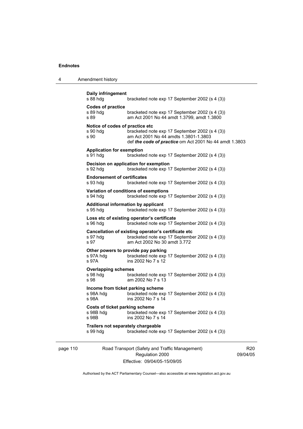| Amendment history |
|-------------------|
|                   |

```
page 110 Road Transport (Safety and Traffic Management) 
           Daily infringement 
                              bracketed note exp 17 September 2002 (s 4 (3))
           Codes of practice 
           s 89 hdg bracketed note exp 17 September 2002 (s 4 (3))<br>s 89 bram Act 2001 No 44 amdt 1.3799, amdt 1.3800
                              am Act 2001 No 44 amdt 1.3799, amdt 1.3800
           Notice of codes of practice etc 
           s 90 hdg bracketed note exp 17 September 2002 (s 4 (3))<br>s 90 am Act 2001 No 44 amdts 1.3801-1.3803
                              am Act 2001 No 44 amdts 1.3801-1.3803
                               def the code of practice om Act 2001 No 44 amdt 1.3803 
           Application for exemption 
           s 91 hdg bracketed note exp 17 September 2002 (s 4 (3)) 
           Decision on application for exemption 
           s 92 hdg bracketed note exp 17 September 2002 (s 4 (3)) 
           Endorsement of certificates 
           s 93 hdg bracketed note exp 17 September 2002 (s 4 (3)) 
           Variation of conditions of exemptions 
           s 94 hdg bracketed note exp 17 September 2002 (s 4 (3)) 
           Additional information by applicant 
           s 95 hdg bracketed note exp 17 September 2002 (s 4 (3)) 
           Loss etc of existing operator's certificate 
           s 96 hdg bracketed note exp 17 September 2002 (s 4 (3)) 
           Cancellation of existing operator's certificate etc 
           s 97 hdg bracketed note exp 17 September 2002 (s 4 (3)) 
           s 97 am Act 2002 No 30 amdt 3.772 
           Other powers to provide pay parking 
           s 97A hdg bracketed note exp 17 September 2002 (s 4 (3)) 
           s 97A ins 2002 No 7 s 12 
           Overlapping schemes 
           s 98 hdg bracketed note exp 17 September 2002 (s 4 (3))
           s 98 am 2002 No 7 s 13 
           Income from ticket parking scheme<br>s 98A hdg bracketed note ex-
           s 98A hdg bracketed note exp 17 September 2002 (s 4 (3))<br>s 98A ins 2002 No 7 s 14
                              ins 2002 No 7 s 14
           Costs of ticket parking scheme 
                              bracketed note exp 17 September 2002 (s 4 (3))
           s 98B ins 2002 No 7 s 14 
           Trailers not separately chargeable 
           s 99 hdg bracketed note exp 17 September 2002 (s 4 (3))
```
Effective: 09/04/05-15/09/05 Authorised by the ACT Parliamentary Counsel—also accessible at www.legislation.act.gov.au

Regulation 2000

R20 09/04/05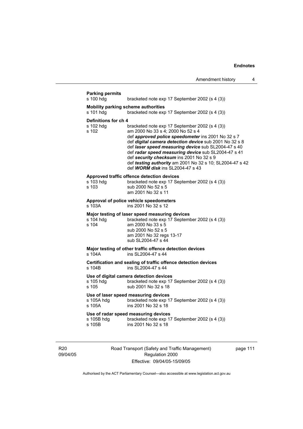| s 100 hdg                                  | bracketed note exp 17 September 2002 (s 4 (3))                                                                                                                                                                                                                                                                                                                                                                                                                |
|--------------------------------------------|---------------------------------------------------------------------------------------------------------------------------------------------------------------------------------------------------------------------------------------------------------------------------------------------------------------------------------------------------------------------------------------------------------------------------------------------------------------|
| s 101 hdg                                  | <b>Mobility parking scheme authorities</b><br>bracketed note exp 17 September 2002 (s 4 (3))                                                                                                                                                                                                                                                                                                                                                                  |
| Definitions for ch 4<br>s 102 hdg<br>s 102 | bracketed note exp 17 September 2002 (s 4 (3))<br>am 2000 No 33 s 4; 2000 No 52 s 4<br>def approved police speedometer ins 2001 No 32 s 7<br>def digital camera detection device sub 2001 No 32 s 8<br>def laser speed measuring device sub SL2004-47 s 40<br>def radar speed measuring device sub SL2004-47 s 41<br>def security checksum ins 2001 No 32 s 9<br>def testing authority am 2001 No 32 s 10; SL2004-47 s 42<br>def WORM disk ins SL2004-47 s 43 |
| s 103 hdg<br>s 103                         | Approved traffic offence detection devices<br>bracketed note exp 17 September 2002 (s 4 (3))<br>sub 2000 No 52 s 5<br>am 2001 No 32 s 11                                                                                                                                                                                                                                                                                                                      |
| s 103A                                     | Approval of police vehicle speedometers<br>ins 2001 No 32 s 12                                                                                                                                                                                                                                                                                                                                                                                                |
| s 104 hdg<br>s 104                         | Major testing of laser speed measuring devices<br>bracketed note exp 17 September 2002 (s 4 (3))<br>am 2000 No 33 s 5<br>sub 2000 No 52 s 5<br>am 2001 No 32 regs 13-17<br>sub SL2004-47 s 44                                                                                                                                                                                                                                                                 |
| s 104A                                     | Major testing of other traffic offence detection devices<br>ins SL2004-47 s 44                                                                                                                                                                                                                                                                                                                                                                                |
| s 104B                                     | Certification and sealing of traffic offence detection devices<br>ins SI 2004-47 s 44                                                                                                                                                                                                                                                                                                                                                                         |
| s 105 hdg<br>s 105                         | Use of digital camera detection devices<br>bracketed note exp 17 September 2002 (s 4 (3))<br>sub 2001 No 32 s 18                                                                                                                                                                                                                                                                                                                                              |
| s 105A hdq<br>s 105A                       | Use of laser speed measuring devices<br>bracketed note exp 17 September 2002 (s 4 (3))<br>ins 2001 No 32 s 18                                                                                                                                                                                                                                                                                                                                                 |
| s 105B hdg<br>s 105B                       | Use of radar speed measuring devices<br>bracketed note exp 17 September 2002 (s 4 (3))<br>ins 2001 No 32 s 18                                                                                                                                                                                                                                                                                                                                                 |

R20 09/04/05 Road Transport (Safety and Traffic Management) Regulation 2000 Effective: 09/04/05-15/09/05

page 111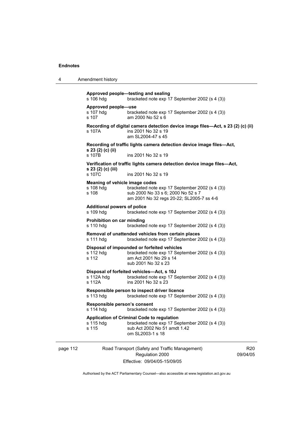4 Amendment history

**Approved people—testing and sealing**  s 106 hdg bracketed note exp 17 September 2002 (s 4 (3)) **Approved people—use**  s 107 hdg bracketed note exp 17 September 2002 (s 4 (3))<br>s 107 am 2000 No 52 s 6 am 2000 No 52 s 6 **Recording of digital camera detection device image files—Act, s 23 (2) (c) (ii)**  s 107A ins 2001 No 32 s 19 am SL2004-47 s 45 **Recording of traffic lights camera detection device image files—Act, s 23 (2) (c) (ii)**  s 107B ins 2001 No 32 s 19 **Verification of traffic lights camera detection device image files—Act, s 23 (2) (c) (iii)**  s 107C ins 2001 No 32 s 19 **Meaning of vehicle image codes**  s 108 hdg bracketed note exp 17 September 2002 (s 4 (3))<br>s 108 sub 2000 No 33 s 6: 2000 No 52 s 7 sub 2000 No 33 s 6: 2000 No 52 s 7 am 2001 No 32 regs 20-22; SL2005-7 ss 4-6 **Additional powers of police**  s 109 hdg bracketed note exp 17 September 2002 (s 4 (3)) **Prohibition on car minding**  s 110 hdg bracketed note exp 17 September 2002 (s 4 (3)) **Removal of unattended vehicles from certain places**  s 111 hdg bracketed note exp 17 September 2002 (s 4 (3)) **Disposal of impounded or forfeited vehicles**  s 112 hdg bracketed note exp 17 September 2002 (s 4 (3)) s 112 am Act 2001 No 29 s 14 sub 2001 No 32 s 23 **Disposal of forfeited vehicles—Act, s 10J**  s 112A hdg bracketed note exp 17 September 2002 (s 4 (3))<br>s 112A ins 2001 No 32 s 23  $ins$  2001 No 32 s 23 **Responsible person to inspect driver licence**  s 113 hdg bracketed note exp 17 September 2002 (s 4 (3)) **Responsible person's consent**  bracketed note exp 17 September 2002 (s 4 (3))

#### **Application of Criminal Code to regulation**  s 115 hdg bracketed note exp 17 September 2002 (s 4 (3)) s 115 sub Act 2002 No 51 amdt 1.42 om SL2003-1 s 18

page 112 Road Transport (Safety and Traffic Management) Regulation 2000 Effective: 09/04/05-15/09/05

R20 09/04/05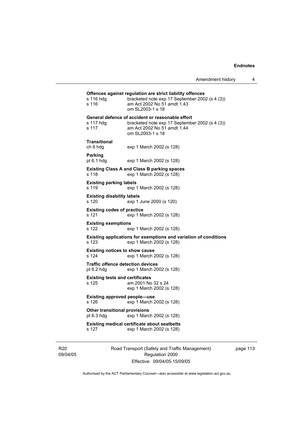| s 116 hdg<br>s 116                                     | Offences against regulation are strict liability offences<br>bracketed note exp 17 September 2002 (s 4 (3))<br>am Act 2002 No 51 amdt 1.43<br>om SL2003-1 s 18 |
|--------------------------------------------------------|----------------------------------------------------------------------------------------------------------------------------------------------------------------|
| s 117 hdg<br>s 117                                     | General defence of accident or reasonable effort<br>bracketed note exp 17 September 2002 (s 4 (3))<br>am Act 2002 No 51 amdt 1.44<br>om SL2003-1 s 18          |
| <b>Transitional</b><br>ch 6 hdg                        | exp 1 March 2002 (s 128)                                                                                                                                       |
| Parking<br>pt $6.1$ hdg                                | exp 1 March 2002 (s 128)                                                                                                                                       |
| s 118                                                  | <b>Existing Class A and Class B parking spaces</b><br>exp 1 March 2002 (s 128)                                                                                 |
| <b>Existing parking labels</b><br>s 119                | exp 1 March 2002 (s 128)                                                                                                                                       |
| <b>Existing disability labels</b><br>s 120             | exp 1 June 2000 (s 120)                                                                                                                                        |
| <b>Existing codes of practice</b><br>s 121             | exp 1 March 2002 (s 128)                                                                                                                                       |
| <b>Existing exemptions</b><br>s 122                    | exp 1 March 2002 (s 128)                                                                                                                                       |
| s 123                                                  | Existing applications for exemptions and variation of conditions<br>exp 1 March 2002 (s 128)                                                                   |
| <b>Existing notices to show cause</b><br>s 124         | exp 1 March 2002 (s 128)                                                                                                                                       |
| <b>Traffic offence detection devices</b><br>pt 6.2 hdg | exp 1 March 2002 (s 128)                                                                                                                                       |
| <b>Existing tests and certificates</b><br>s 125        | am 2001 No 32 s 24<br>exp 1 March 2002 (s 128)                                                                                                                 |
| <b>Existing approved people-use</b><br>s 126           | exp 1 March 2002 (s 128)                                                                                                                                       |
| <b>Other transitional provisions</b><br>pt 6.3 hdg     | exp 1 March 2002 (s 128)                                                                                                                                       |
| s 127                                                  | <b>Existing medical certificate about seatbelts</b><br>exp 1 March 2002 (s 128)                                                                                |
|                                                        |                                                                                                                                                                |

R20 09/04/05 Road Transport (Safety and Traffic Management) Regulation 2000 Effective: 09/04/05-15/09/05

page 113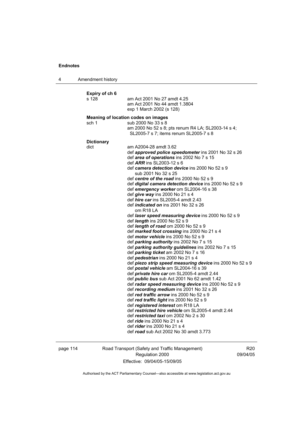4 Amendment history **Expiry of ch 6**  am Act 2001 No 27 amdt 4.25 am Act 2001 No 44 amdt 1.3804 exp 1 March 2002 (s 128) **Meaning of location codes on images**  sch 1 sub 2000 No 33 s 8 am 2000 No 52 s 8; pts renum R4 LA; SL2003-14 s 4; SL2005-7 s 7; items renum SL2005-7 s 8 **Dictionary**  dict am A2004-28 amdt 3.62 def *approved police speedometer* ins 2001 No 32 s 26 def *area of operations* ins 2002 No 7 s 15 def *ARR* ins SL2003-12 s 6 def *camera detection device* ins 2000 No 52 s 9 sub 2001 No 32 s 25 def *centre of the road* ins 2000 No 52 s 9 def *digital camera detection device* ins 2000 No 52 s 9 def *emergency worker* om SL2004-16 s 38 def *give way* ins 2000 No 21 s 4 def *hire car* ins SL2005-4 amdt 2.43 def *indicated on* ins 2001 No 32 s 26 om R18 LA def *laser speed measuring device* ins 2000 No 52 s 9 def *length* ins 2000 No 52 s 9 def *length of road* om 2000 No 52 s 9 def *marked foot crossing* ins 2000 No 21 s 4 def *motor vehicle* ins 2000 No 52 s 9 def *parking authority* ins 2002 No 7 s 15 def *parking authority guidelines* ins 2002 No 7 s 15 def *parking ticket* am 2002 No 7 s 16 def *pedestrian* ins 2000 No 21 s 4 def *piezo strip speed measuring device* ins 2000 No 52 s 9 def *postal vehicle* am SL2004-16 s 39 def *private hire car* om SL2005-4 amdt 2.44 def *public bus* sub Act 2001 No 62 amdt 1.42 def *radar speed measuring device* ins 2000 No 52 s 9 def *recording medium* ins 2001 No 32 s 26 def *red traffic arrow* ins 2000 No 52 s 9 def *red traffic light* ins 2000 No 52 s 9 def *registered interest* om R18 LA def *restricted hire vehicle* om SL2005-4 amdt 2.44 def *restricted taxi* om 2002 No 2 s 30 def *ride* ins 2000 No 21 s 4 def *rider* ins 2000 No 21 s 4 def *road* sub Act 2002 No 30 amdt 3.773

page 114 Road Transport (Safety and Traffic Management) Regulation 2000 Effective: 09/04/05-15/09/05

R20 09/04/05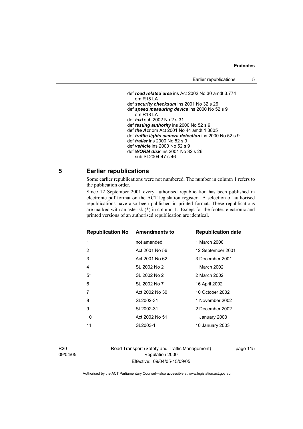```
 def road related area ins Act 2002 No 30 amdt 3.774 
   om R18 LA 
def security checksum ins 2001 No 32 s 26 
def speed measuring device ins 2000 No 52 s 9 
   om R18 LA 
def taxi sub 2002 No 2 s 31 
def testing authority ins 2000 No 52 s 9 
def the Act om Act 2001 No 44 amdt 1.3805 
def traffic lights camera detection ins 2000 No 52 s 9 
def trailer ins 2000 No 52 s 9 
def vehicle ins 2000 No 52 s 9 
def WORM disk ins 2001 No 32 s 26 
   sub SL2004-47 s 46
```
# **5 Earlier republications**

Some earlier republications were not numbered. The number in column 1 refers to the publication order.

Since 12 September 2001 every authorised republication has been published in electronic pdf format on the ACT legislation register. A selection of authorised republications have also been published in printed format. These republications are marked with an asterisk (\*) in column 1. Except for the footer, electronic and printed versions of an authorised republication are identical.

| <b>Republication No</b> | <b>Amendments to</b> | <b>Republication date</b> |
|-------------------------|----------------------|---------------------------|
| 1                       | not amended          | 1 March 2000              |
| 2                       | Act 2001 No 56       | 12 September 2001         |
| 3                       | Act 2001 No 62       | 3 December 2001           |
| 4                       | SL 2002 No 2         | 1 March 2002              |
| $5^*$                   | SL 2002 No 2         | 2 March 2002              |
| 6                       | SL 2002 No 7         | 16 April 2002             |
| 7                       | Act 2002 No 30       | 10 October 2002           |
| 8                       | SL2002-31            | 1 November 2002           |
| 9                       | SL2002-31            | 2 December 2002           |
| 10                      | Act 2002 No 51       | 1 January 2003            |
| 11                      | SL2003-1             | 10 January 2003           |
|                         |                      |                           |

R20 09/04/05 Road Transport (Safety and Traffic Management) Regulation 2000 Effective: 09/04/05-15/09/05

page 115